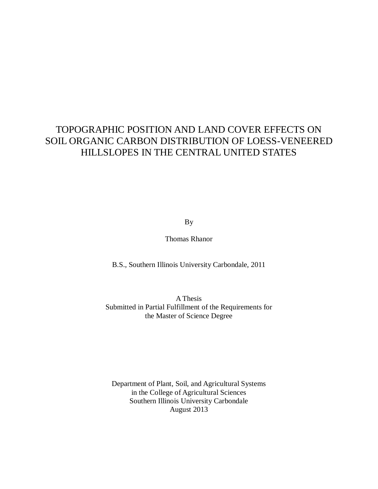## TOPOGRAPHIC POSITION AND LAND COVER EFFECTS ON SOIL ORGANIC CARBON DISTRIBUTION OF LOESS-VENEERED HILLSLOPES IN THE CENTRAL UNITED STATES

By

Thomas Rhanor

B.S., Southern Illinois University Carbondale, 2011

A Thesis Submitted in Partial Fulfillment of the Requirements for the Master of Science Degree

Department of Plant, Soil, and Agricultural Systems in the College of Agricultural Sciences Southern Illinois University Carbondale August 2013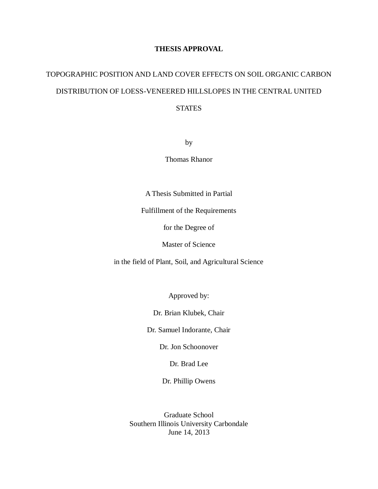### **THESIS APPROVAL**

# TOPOGRAPHIC POSITION AND LAND COVER EFFECTS ON SOIL ORGANIC CARBON DISTRIBUTION OF LOESS-VENEERED HILLSLOPES IN THE CENTRAL UNITED STATES

by

Thomas Rhanor

A Thesis Submitted in Partial

Fulfillment of the Requirements

for the Degree of

Master of Science

in the field of Plant, Soil, and Agricultural Science

Approved by:

Dr. Brian Klubek, Chair

Dr. Samuel Indorante, Chair

Dr. Jon Schoonover

Dr. Brad Lee

Dr. Phillip Owens

Graduate School Southern Illinois University Carbondale June 14, 2013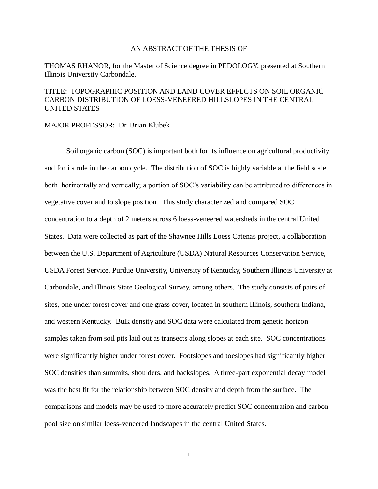### AN ABSTRACT OF THE THESIS OF

THOMAS RHANOR, for the Master of Science degree in PEDOLOGY, presented at Southern Illinois University Carbondale.

### TITLE: TOPOGRAPHIC POSITION AND LAND COVER EFFECTS ON SOIL ORGANIC CARBON DISTRIBUTION OF LOESS-VENEERED HILLSLOPES IN THE CENTRAL UNITED STATES

MAJOR PROFESSOR: Dr. Brian Klubek

Soil organic carbon (SOC) is important both for its influence on agricultural productivity and for its role in the carbon cycle. The distribution of SOC is highly variable at the field scale both horizontally and vertically; a portion of SOC's variability can be attributed to differences in vegetative cover and to slope position. This study characterized and compared SOC concentration to a depth of 2 meters across 6 loess-veneered watersheds in the central United States. Data were collected as part of the Shawnee Hills Loess Catenas project, a collaboration between the U.S. Department of Agriculture (USDA) Natural Resources Conservation Service, USDA Forest Service, Purdue University, University of Kentucky, Southern Illinois University at Carbondale, and Illinois State Geological Survey, among others. The study consists of pairs of sites, one under forest cover and one grass cover, located in southern Illinois, southern Indiana, and western Kentucky. Bulk density and SOC data were calculated from genetic horizon samples taken from soil pits laid out as transects along slopes at each site. SOC concentrations were significantly higher under forest cover. Footslopes and toeslopes had significantly higher SOC densities than summits, shoulders, and backslopes. A three-part exponential decay model was the best fit for the relationship between SOC density and depth from the surface. The comparisons and models may be used to more accurately predict SOC concentration and carbon pool size on similar loess-veneered landscapes in the central United States.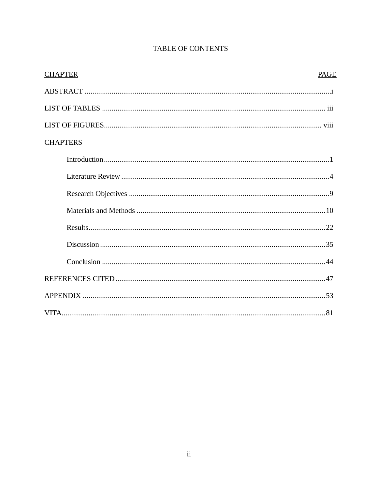| <b>CHAPTER</b><br><b>PAGE</b> |
|-------------------------------|
|                               |
|                               |
|                               |
| <b>CHAPTERS</b>               |
|                               |
|                               |
|                               |
|                               |
|                               |
|                               |
|                               |
|                               |
|                               |
|                               |

### **TABLE OF CONTENTS**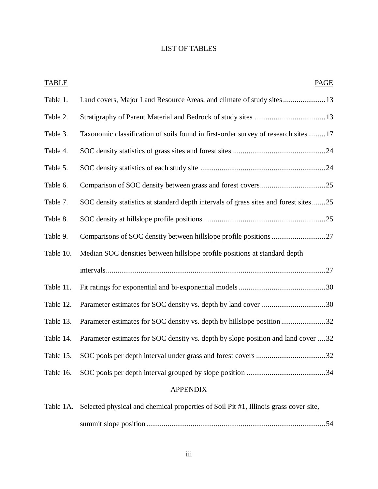### LIST OF TABLES

| <b>TABLE</b>    | <b>PAGE</b>                                                                          |  |  |  |  |
|-----------------|--------------------------------------------------------------------------------------|--|--|--|--|
| Table 1.        | Land covers, Major Land Resource Areas, and climate of study sites  13               |  |  |  |  |
| Table 2.        |                                                                                      |  |  |  |  |
| Table 3.        | Taxonomic classification of soils found in first-order survey of research sites  17  |  |  |  |  |
| Table 4.        |                                                                                      |  |  |  |  |
| Table 5.        |                                                                                      |  |  |  |  |
| Table 6.        |                                                                                      |  |  |  |  |
| Table 7.        | SOC density statistics at standard depth intervals of grass sites and forest sites25 |  |  |  |  |
| Table 8.        |                                                                                      |  |  |  |  |
| Table 9.        | Comparisons of SOC density between hillslope profile positions 27                    |  |  |  |  |
| Table 10.       | Median SOC densities between hillslope profile positions at standard depth           |  |  |  |  |
|                 |                                                                                      |  |  |  |  |
| Table 11.       |                                                                                      |  |  |  |  |
| Table 12.       |                                                                                      |  |  |  |  |
| Table 13.       |                                                                                      |  |  |  |  |
| Table 14.       | Parameter estimates for SOC density vs. depth by slope position and land cover 32    |  |  |  |  |
| Table 15.       |                                                                                      |  |  |  |  |
| Table 16.       |                                                                                      |  |  |  |  |
| <b>APPENDIX</b> |                                                                                      |  |  |  |  |

| Table 1A. Selected physical and chemical properties of Soil Pit #1, Illinois grass cover site, |  |
|------------------------------------------------------------------------------------------------|--|
|                                                                                                |  |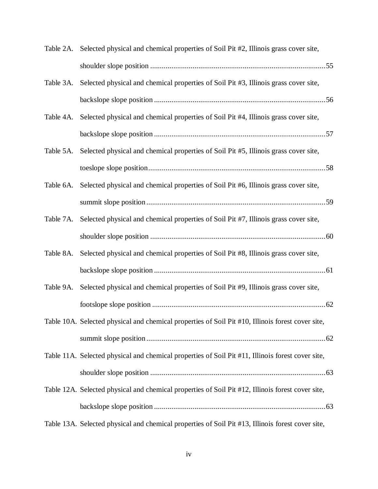|           | Table 2A. Selected physical and chemical properties of Soil Pit #2, Illinois grass cover site,    |  |
|-----------|---------------------------------------------------------------------------------------------------|--|
|           |                                                                                                   |  |
| Table 3A. | Selected physical and chemical properties of Soil Pit #3, Illinois grass cover site,              |  |
|           |                                                                                                   |  |
| Table 4A. | Selected physical and chemical properties of Soil Pit #4, Illinois grass cover site,              |  |
|           |                                                                                                   |  |
| Table 5A. | Selected physical and chemical properties of Soil Pit #5, Illinois grass cover site,              |  |
|           |                                                                                                   |  |
| Table 6A. | Selected physical and chemical properties of Soil Pit #6, Illinois grass cover site,              |  |
|           |                                                                                                   |  |
| Table 7A. | Selected physical and chemical properties of Soil Pit #7, Illinois grass cover site,              |  |
|           |                                                                                                   |  |
| Table 8A. | Selected physical and chemical properties of Soil Pit #8, Illinois grass cover site,              |  |
|           |                                                                                                   |  |
| Table 9A. | Selected physical and chemical properties of Soil Pit #9, Illinois grass cover site,              |  |
|           |                                                                                                   |  |
|           | Table 10A. Selected physical and chemical properties of Soil Pit #10, Illinois forest cover site, |  |
|           |                                                                                                   |  |
|           | Table 11A. Selected physical and chemical properties of Soil Pit #11, Illinois forest cover site, |  |
|           |                                                                                                   |  |
|           | Table 12A. Selected physical and chemical properties of Soil Pit #12, Illinois forest cover site, |  |
|           |                                                                                                   |  |
|           | Table 13A. Selected physical and chemical properties of Soil Pit #13, Illinois forest cover site, |  |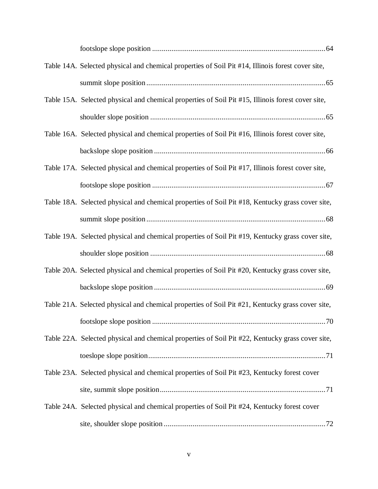| Table 14A. Selected physical and chemical properties of Soil Pit #14, Illinois forest cover site, |
|---------------------------------------------------------------------------------------------------|
|                                                                                                   |
| Table 15A. Selected physical and chemical properties of Soil Pit #15, Illinois forest cover site, |
|                                                                                                   |
| Table 16A. Selected physical and chemical properties of Soil Pit #16, Illinois forest cover site, |
|                                                                                                   |
| Table 17A. Selected physical and chemical properties of Soil Pit #17, Illinois forest cover site, |
|                                                                                                   |
| Table 18A. Selected physical and chemical properties of Soil Pit #18, Kentucky grass cover site,  |
|                                                                                                   |
| Table 19A. Selected physical and chemical properties of Soil Pit #19, Kentucky grass cover site,  |
|                                                                                                   |
| Table 20A. Selected physical and chemical properties of Soil Pit #20, Kentucky grass cover site,  |
|                                                                                                   |
| Table 21A. Selected physical and chemical properties of Soil Pit #21, Kentucky grass cover site,  |
|                                                                                                   |
| Table 22A. Selected physical and chemical properties of Soil Pit #22, Kentucky grass cover site,  |
|                                                                                                   |
| Table 23A. Selected physical and chemical properties of Soil Pit #23, Kentucky forest cover       |
|                                                                                                   |
| Table 24A. Selected physical and chemical properties of Soil Pit #24, Kentucky forest cover       |
|                                                                                                   |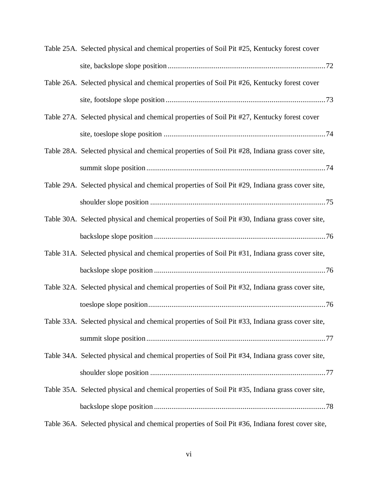| Table 25A. Selected physical and chemical properties of Soil Pit #25, Kentucky forest cover      |
|--------------------------------------------------------------------------------------------------|
|                                                                                                  |
| Table 26A. Selected physical and chemical properties of Soil Pit #26, Kentucky forest cover      |
|                                                                                                  |
| Table 27A. Selected physical and chemical properties of Soil Pit #27, Kentucky forest cover      |
|                                                                                                  |
| Table 28A. Selected physical and chemical properties of Soil Pit #28, Indiana grass cover site,  |
|                                                                                                  |
| Table 29A. Selected physical and chemical properties of Soil Pit #29, Indiana grass cover site,  |
|                                                                                                  |
| Table 30A. Selected physical and chemical properties of Soil Pit #30, Indiana grass cover site,  |
|                                                                                                  |
| Table 31A. Selected physical and chemical properties of Soil Pit #31, Indiana grass cover site,  |
|                                                                                                  |
| Table 32A. Selected physical and chemical properties of Soil Pit #32, Indiana grass cover site,  |
|                                                                                                  |
| Table 33A. Selected physical and chemical properties of Soil Pit #33, Indiana grass cover site,  |
|                                                                                                  |
| Table 34A. Selected physical and chemical properties of Soil Pit #34, Indiana grass cover site,  |
|                                                                                                  |
| Table 35A. Selected physical and chemical properties of Soil Pit #35, Indiana grass cover site,  |
|                                                                                                  |
| Table 36A. Selected physical and chemical properties of Soil Pit #36, Indiana forest cover site, |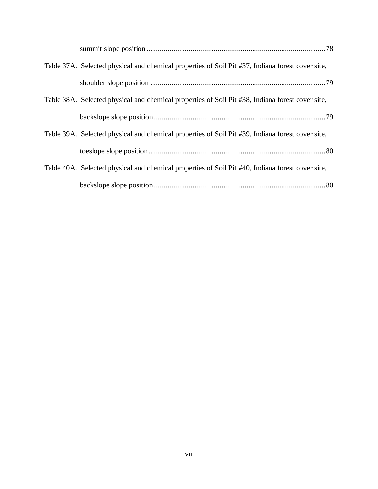| Table 37A. Selected physical and chemical properties of Soil Pit #37, Indiana forest cover site, |
|--------------------------------------------------------------------------------------------------|
|                                                                                                  |
| Table 38A. Selected physical and chemical properties of Soil Pit #38, Indiana forest cover site, |
|                                                                                                  |
| Table 39A. Selected physical and chemical properties of Soil Pit #39, Indiana forest cover site, |
|                                                                                                  |
| Table 40A. Selected physical and chemical properties of Soil Pit #40, Indiana forest cover site, |
|                                                                                                  |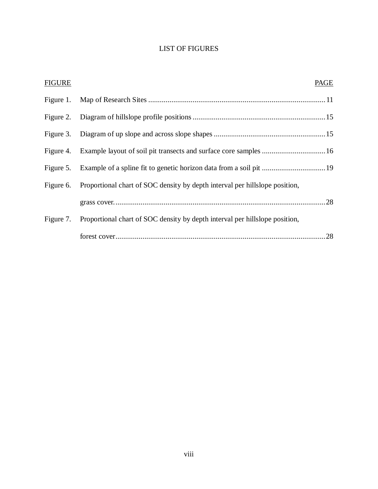### LIST OF FIGURES

| <b>FIGURE</b> |                                                                                       | PAGE |
|---------------|---------------------------------------------------------------------------------------|------|
|               |                                                                                       |      |
|               |                                                                                       |      |
|               |                                                                                       |      |
|               |                                                                                       |      |
|               |                                                                                       |      |
|               | Figure 6. Proportional chart of SOC density by depth interval per hillslope position, |      |
|               |                                                                                       |      |
|               | Figure 7. Proportional chart of SOC density by depth interval per hillslope position, |      |
|               |                                                                                       |      |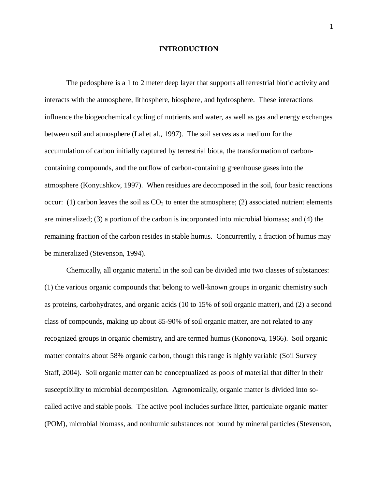### **INTRODUCTION**

The pedosphere is a 1 to 2 meter deep layer that supports all terrestrial biotic activity and interacts with the atmosphere, lithosphere, biosphere, and hydrosphere. These interactions influence the biogeochemical cycling of nutrients and water, as well as gas and energy exchanges between soil and atmosphere (Lal et al., 1997). The soil serves as a medium for the accumulation of carbon initially captured by terrestrial biota, the transformation of carboncontaining compounds, and the outflow of carbon-containing greenhouse gases into the atmosphere (Konyushkov, 1997). When residues are decomposed in the soil, four basic reactions occur: (1) carbon leaves the soil as  $CO<sub>2</sub>$  to enter the atmosphere; (2) associated nutrient elements are mineralized; (3) a portion of the carbon is incorporated into microbial biomass; and (4) the remaining fraction of the carbon resides in stable humus. Concurrently, a fraction of humus may be mineralized (Stevenson, 1994).

Chemically, all organic material in the soil can be divided into two classes of substances: (1) the various organic compounds that belong to well-known groups in organic chemistry such as proteins, carbohydrates, and organic acids (10 to 15% of soil organic matter), and (2) a second class of compounds, making up about 85-90% of soil organic matter, are not related to any recognized groups in organic chemistry, and are termed humus (Kononova, 1966). Soil organic matter contains about 58% organic carbon, though this range is highly variable (Soil Survey Staff, 2004). Soil organic matter can be conceptualized as pools of material that differ in their susceptibility to microbial decomposition. Agronomically, organic matter is divided into socalled active and stable pools. The active pool includes surface litter, particulate organic matter (POM), microbial biomass, and nonhumic substances not bound by mineral particles (Stevenson,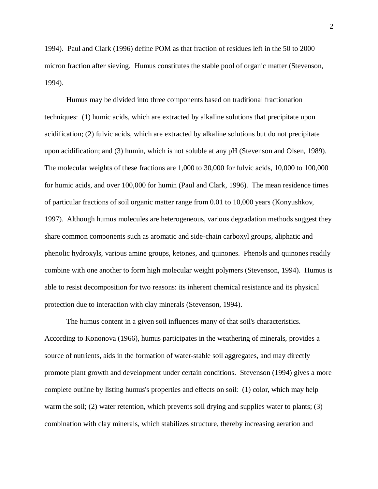1994). Paul and Clark (1996) define POM as that fraction of residues left in the 50 to 2000 micron fraction after sieving. Humus constitutes the stable pool of organic matter (Stevenson, 1994).

Humus may be divided into three components based on traditional fractionation techniques: (1) humic acids, which are extracted by alkaline solutions that precipitate upon acidification; (2) fulvic acids, which are extracted by alkaline solutions but do not precipitate upon acidification; and (3) humin, which is not soluble at any pH (Stevenson and Olsen, 1989). The molecular weights of these fractions are 1,000 to 30,000 for fulvic acids, 10,000 to 100,000 for humic acids, and over 100,000 for humin (Paul and Clark, 1996). The mean residence times of particular fractions of soil organic matter range from 0.01 to 10,000 years (Konyushkov, 1997). Although humus molecules are heterogeneous, various degradation methods suggest they share common components such as aromatic and side-chain carboxyl groups, aliphatic and phenolic hydroxyls, various amine groups, ketones, and quinones. Phenols and quinones readily combine with one another to form high molecular weight polymers (Stevenson, 1994). Humus is able to resist decomposition for two reasons: its inherent chemical resistance and its physical protection due to interaction with clay minerals (Stevenson, 1994).

The humus content in a given soil influences many of that soil's characteristics. According to Kononova (1966), humus participates in the weathering of minerals, provides a source of nutrients, aids in the formation of water-stable soil aggregates, and may directly promote plant growth and development under certain conditions. Stevenson (1994) gives a more complete outline by listing humus's properties and effects on soil: (1) color, which may help warm the soil; (2) water retention, which prevents soil drying and supplies water to plants; (3) combination with clay minerals, which stabilizes structure, thereby increasing aeration and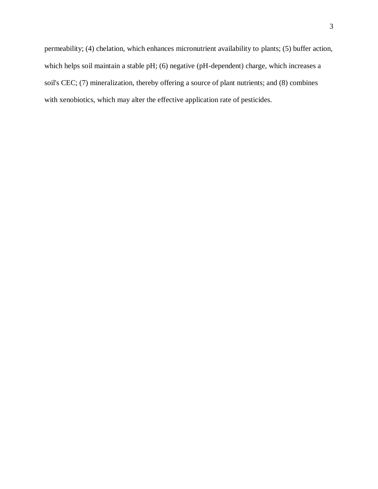permeability; (4) chelation, which enhances micronutrient availability to plants; (5) buffer action, which helps soil maintain a stable pH; (6) negative (pH-dependent) charge, which increases a soil's CEC; (7) mineralization, thereby offering a source of plant nutrients; and (8) combines with xenobiotics, which may alter the effective application rate of pesticides.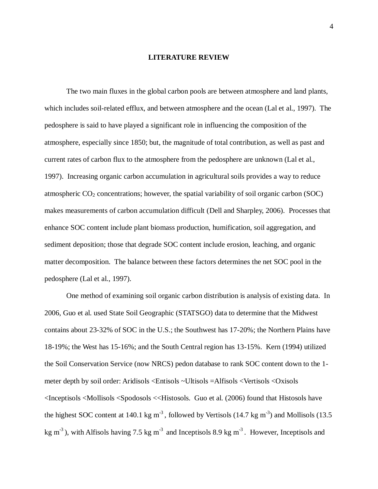#### **LITERATURE REVIEW**

The two main fluxes in the global carbon pools are between atmosphere and land plants, which includes soil-related efflux, and between atmosphere and the ocean (Lal et al., 1997). The pedosphere is said to have played a significant role in influencing the composition of the atmosphere, especially since 1850; but, the magnitude of total contribution, as well as past and current rates of carbon flux to the atmosphere from the pedosphere are unknown (Lal et al., 1997). Increasing organic carbon accumulation in agricultural soils provides a way to reduce atmospheric  $CO<sub>2</sub>$  concentrations; however, the spatial variability of soil organic carbon (SOC) makes measurements of carbon accumulation difficult (Dell and Sharpley, 2006). Processes that enhance SOC content include plant biomass production, humification, soil aggregation, and sediment deposition; those that degrade SOC content include erosion, leaching, and organic matter decomposition. The balance between these factors determines the net SOC pool in the pedosphere (Lal et al., 1997).

One method of examining soil organic carbon distribution is analysis of existing data. In 2006, Guo et al. used State Soil Geographic (STATSGO) data to determine that the Midwest contains about 23-32% of SOC in the U.S.; the Southwest has 17-20%; the Northern Plains have 18-19%; the West has 15-16%; and the South Central region has 13-15%. Kern (1994) utilized the Soil Conservation Service (now NRCS) pedon database to rank SOC content down to the 1 meter depth by soil order: Aridisols <Entisols ~Ultisols =Alfisols <Vertisols <Oxisols <Inceptisols <Mollisols <Spodosols <<Histosols. Guo et al. (2006) found that Histosols have the highest SOC content at 140.1 kg  $m^{-3}$ , followed by Vertisols (14.7 kg  $m^{-3}$ ) and Mollisols (13.5 kg m<sup>-3</sup>), with Alfisols having 7.5 kg m<sup>-3</sup> and Inceptisols 8.9 kg m<sup>-3</sup>. However, Inceptisols and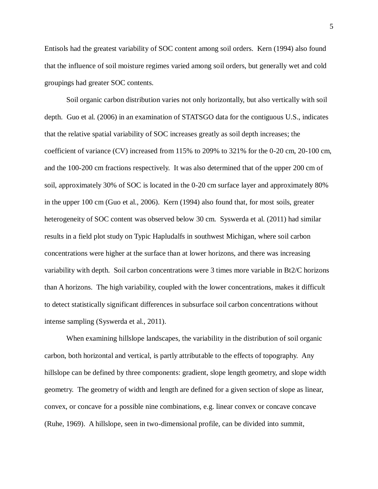Entisols had the greatest variability of SOC content among soil orders. Kern (1994) also found that the influence of soil moisture regimes varied among soil orders, but generally wet and cold groupings had greater SOC contents.

Soil organic carbon distribution varies not only horizontally, but also vertically with soil depth. Guo et al. (2006) in an examination of STATSGO data for the contiguous U.S., indicates that the relative spatial variability of SOC increases greatly as soil depth increases; the coefficient of variance (CV) increased from 115% to 209% to 321% for the 0-20 cm, 20-100 cm, and the 100-200 cm fractions respectively. It was also determined that of the upper 200 cm of soil, approximately 30% of SOC is located in the 0-20 cm surface layer and approximately 80% in the upper 100 cm (Guo et al., 2006). Kern (1994) also found that, for most soils, greater heterogeneity of SOC content was observed below 30 cm. Syswerda et al. (2011) had similar results in a field plot study on Typic Hapludalfs in southwest Michigan, where soil carbon concentrations were higher at the surface than at lower horizons, and there was increasing variability with depth. Soil carbon concentrations were 3 times more variable in Bt2/C horizons than A horizons. The high variability, coupled with the lower concentrations, makes it difficult to detect statistically significant differences in subsurface soil carbon concentrations without intense sampling (Syswerda et al., 2011).

When examining hillslope landscapes, the variability in the distribution of soil organic carbon, both horizontal and vertical, is partly attributable to the effects of topography. Any hillslope can be defined by three components: gradient, slope length geometry, and slope width geometry. The geometry of width and length are defined for a given section of slope as linear, convex, or concave for a possible nine combinations, e.g. linear convex or concave concave (Ruhe, 1969). A hillslope, seen in two-dimensional profile, can be divided into summit,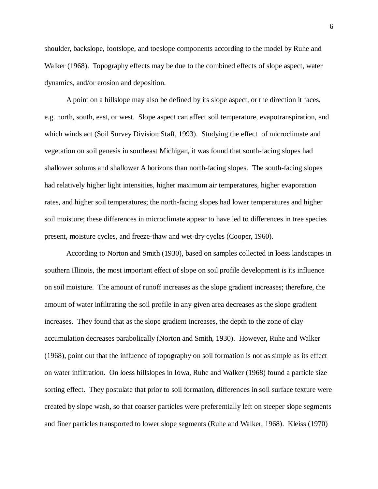shoulder, backslope, footslope, and toeslope components according to the model by Ruhe and Walker (1968). Topography effects may be due to the combined effects of slope aspect, water dynamics, and/or erosion and deposition.

A point on a hillslope may also be defined by its slope aspect, or the direction it faces, e.g. north, south, east, or west. Slope aspect can affect soil temperature, evapotranspiration, and which winds act (Soil Survey Division Staff, 1993). Studying the effect of microclimate and vegetation on soil genesis in southeast Michigan, it was found that south-facing slopes had shallower solums and shallower A horizons than north-facing slopes. The south-facing slopes had relatively higher light intensities, higher maximum air temperatures, higher evaporation rates, and higher soil temperatures; the north-facing slopes had lower temperatures and higher soil moisture; these differences in microclimate appear to have led to differences in tree species present, moisture cycles, and freeze-thaw and wet-dry cycles (Cooper, 1960).

According to Norton and Smith (1930), based on samples collected in loess landscapes in southern Illinois, the most important effect of slope on soil profile development is its influence on soil moisture. The amount of runoff increases as the slope gradient increases; therefore, the amount of water infiltrating the soil profile in any given area decreases as the slope gradient increases. They found that as the slope gradient increases, the depth to the zone of clay accumulation decreases parabolically (Norton and Smith, 1930). However, Ruhe and Walker (1968), point out that the influence of topography on soil formation is not as simple as its effect on water infiltration. On loess hillslopes in Iowa, Ruhe and Walker (1968) found a particle size sorting effect. They postulate that prior to soil formation, differences in soil surface texture were created by slope wash, so that coarser particles were preferentially left on steeper slope segments and finer particles transported to lower slope segments (Ruhe and Walker, 1968). Kleiss (1970)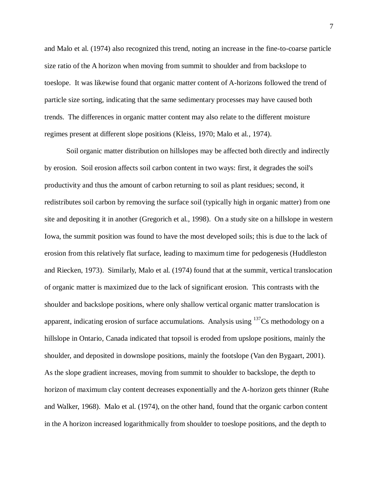and Malo et al. (1974) also recognized this trend, noting an increase in the fine-to-coarse particle size ratio of the A horizon when moving from summit to shoulder and from backslope to toeslope. It was likewise found that organic matter content of A-horizons followed the trend of particle size sorting, indicating that the same sedimentary processes may have caused both trends. The differences in organic matter content may also relate to the different moisture regimes present at different slope positions (Kleiss, 1970; Malo et al., 1974).

Soil organic matter distribution on hillslopes may be affected both directly and indirectly by erosion. Soil erosion affects soil carbon content in two ways: first, it degrades the soil's productivity and thus the amount of carbon returning to soil as plant residues; second, it redistributes soil carbon by removing the surface soil (typically high in organic matter) from one site and depositing it in another (Gregorich et al., 1998). On a study site on a hillslope in western Iowa, the summit position was found to have the most developed soils; this is due to the lack of erosion from this relatively flat surface, leading to maximum time for pedogenesis (Huddleston and Riecken, 1973). Similarly, Malo et al. (1974) found that at the summit, vertical translocation of organic matter is maximized due to the lack of significant erosion. This contrasts with the shoulder and backslope positions, where only shallow vertical organic matter translocation is apparent, indicating erosion of surface accumulations. Analysis using  $137Cs$  methodology on a hillslope in Ontario, Canada indicated that topsoil is eroded from upslope positions, mainly the shoulder, and deposited in downslope positions, mainly the footslope (Van den Bygaart, 2001). As the slope gradient increases, moving from summit to shoulder to backslope, the depth to horizon of maximum clay content decreases exponentially and the A-horizon gets thinner (Ruhe and Walker, 1968). Malo et al. (1974), on the other hand, found that the organic carbon content in the A horizon increased logarithmically from shoulder to toeslope positions, and the depth to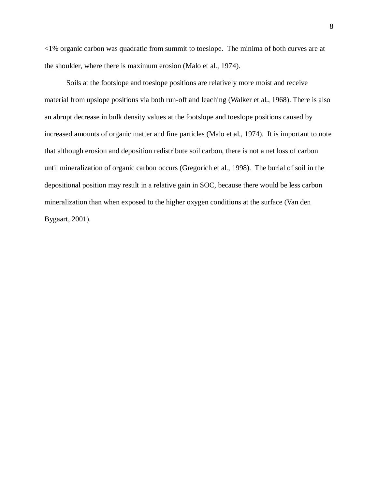<1% organic carbon was quadratic from summit to toeslope. The minima of both curves are at the shoulder, where there is maximum erosion (Malo et al., 1974).

Soils at the footslope and toeslope positions are relatively more moist and receive material from upslope positions via both run-off and leaching (Walker et al., 1968). There is also an abrupt decrease in bulk density values at the footslope and toeslope positions caused by increased amounts of organic matter and fine particles (Malo et al., 1974). It is important to note that although erosion and deposition redistribute soil carbon, there is not a net loss of carbon until mineralization of organic carbon occurs (Gregorich et al., 1998). The burial of soil in the depositional position may result in a relative gain in SOC, because there would be less carbon mineralization than when exposed to the higher oxygen conditions at the surface (Van den Bygaart, 2001).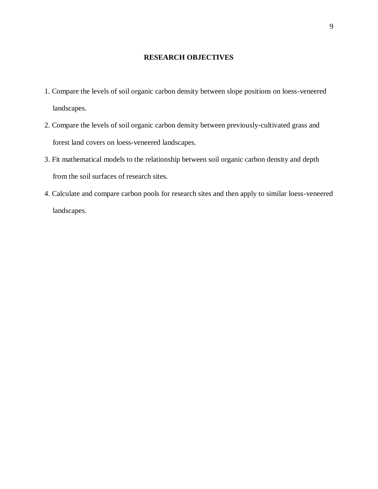### **RESEARCH OBJECTIVES**

- 1. Compare the levels of soil organic carbon density between slope positions on loess-veneered landscapes.
- 2. Compare the levels of soil organic carbon density between previously-cultivated grass and forest land covers on loess-veneered landscapes.
- 3. Fit mathematical models to the relationship between soil organic carbon density and depth from the soil surfaces of research sites.
- 4. Calculate and compare carbon pools for research sites and then apply to similar loess-veneered landscapes.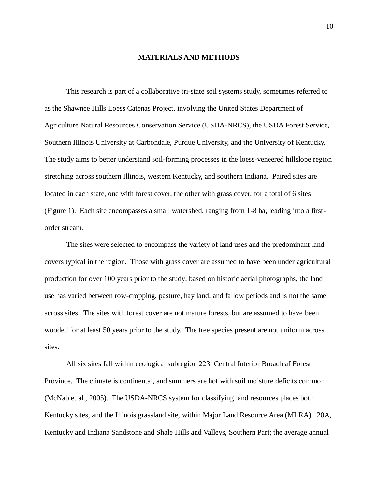#### **MATERIALS AND METHODS**

This research is part of a collaborative tri-state soil systems study, sometimes referred to as the Shawnee Hills Loess Catenas Project, involving the United States Department of Agriculture Natural Resources Conservation Service (USDA-NRCS), the USDA Forest Service, Southern Illinois University at Carbondale, Purdue University, and the University of Kentucky. The study aims to better understand soil-forming processes in the loess-veneered hillslope region stretching across southern Illinois, western Kentucky, and southern Indiana. Paired sites are located in each state, one with forest cover, the other with grass cover, for a total of 6 sites (Figure 1). Each site encompasses a small watershed, ranging from 1-8 ha, leading into a firstorder stream.

The sites were selected to encompass the variety of land uses and the predominant land covers typical in the region. Those with grass cover are assumed to have been under agricultural production for over 100 years prior to the study; based on historic aerial photographs, the land use has varied between row-cropping, pasture, hay land, and fallow periods and is not the same across sites. The sites with forest cover are not mature forests, but are assumed to have been wooded for at least 50 years prior to the study. The tree species present are not uniform across sites.

All six sites fall within ecological subregion 223, Central Interior Broadleaf Forest Province. The climate is continental, and summers are hot with soil moisture deficits common (McNab et al., 2005). The USDA-NRCS system for classifying land resources places both Kentucky sites, and the Illinois grassland site, within Major Land Resource Area (MLRA) 120A, Kentucky and Indiana Sandstone and Shale Hills and Valleys, Southern Part; the average annual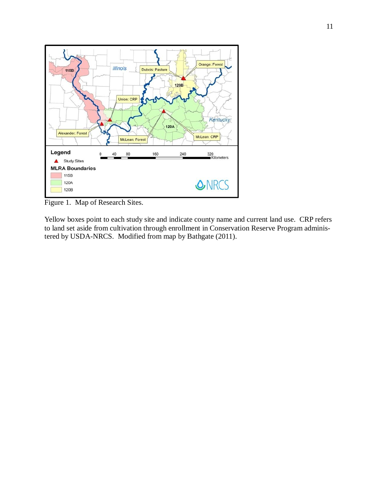

Figure 1. Map of Research Sites.

Yellow boxes point to each study site and indicate county name and current land use. CRP refers to land set aside from cultivation through enrollment in Conservation Reserve Program administered by USDA-NRCS. Modified from map by Bathgate (2011).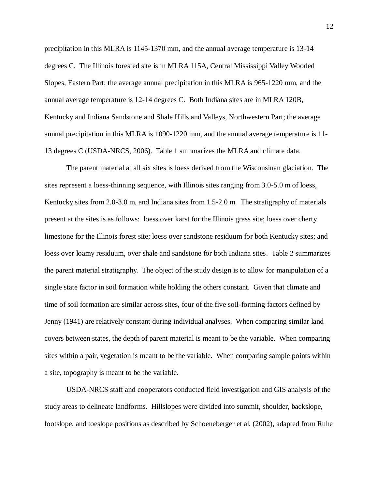precipitation in this MLRA is 1145-1370 mm, and the annual average temperature is 13-14 degrees C. The Illinois forested site is in MLRA 115A, Central Mississippi Valley Wooded Slopes, Eastern Part; the average annual precipitation in this MLRA is 965-1220 mm, and the annual average temperature is 12-14 degrees C. Both Indiana sites are in MLRA 120B, Kentucky and Indiana Sandstone and Shale Hills and Valleys, Northwestern Part; the average annual precipitation in this MLRA is 1090-1220 mm, and the annual average temperature is 11- 13 degrees C (USDA-NRCS, 2006). Table 1 summarizes the MLRA and climate data.

The parent material at all six sites is loess derived from the Wisconsinan glaciation. The sites represent a loess-thinning sequence, with Illinois sites ranging from 3.0-5.0 m of loess, Kentucky sites from 2.0-3.0 m, and Indiana sites from 1.5-2.0 m. The stratigraphy of materials present at the sites is as follows: loess over karst for the Illinois grass site; loess over cherty limestone for the Illinois forest site; loess over sandstone residuum for both Kentucky sites; and loess over loamy residuum, over shale and sandstone for both Indiana sites. Table 2 summarizes the parent material stratigraphy. The object of the study design is to allow for manipulation of a single state factor in soil formation while holding the others constant. Given that climate and time of soil formation are similar across sites, four of the five soil-forming factors defined by Jenny (1941) are relatively constant during individual analyses. When comparing similar land covers between states, the depth of parent material is meant to be the variable. When comparing sites within a pair, vegetation is meant to be the variable. When comparing sample points within a site, topography is meant to be the variable.

USDA-NRCS staff and cooperators conducted field investigation and GIS analysis of the study areas to delineate landforms. Hillslopes were divided into summit, shoulder, backslope, footslope, and toeslope positions as described by Schoeneberger et al. (2002), adapted from Ruhe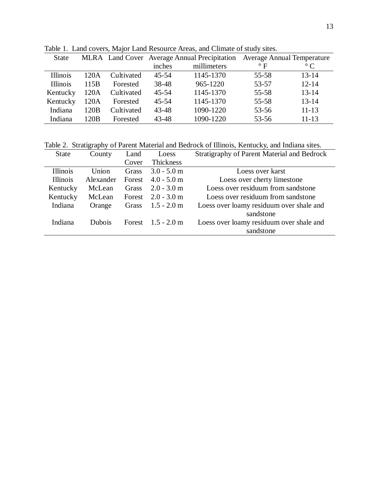| <b>State</b> |                  |            | MLRA Land Cover Average Annual Precipitation Average Annual Temperature |             |           |           |
|--------------|------------------|------------|-------------------------------------------------------------------------|-------------|-----------|-----------|
|              |                  |            | inches                                                                  | millimeters | $\circ$ F | $\circ$ C |
| Illinois     | 120A             | Cultivated | $45 - 54$                                                               | 1145-1370   | 55-58     | $13 - 14$ |
| Illinois     | 115B             | Forested   | 38-48                                                                   | 965-1220    | 53-57     | $12 - 14$ |
| Kentucky     | 120A             | Cultivated | $45 - 54$                                                               | 1145-1370   | $55 - 58$ | $13 - 14$ |
| Kentucky     | 120A             | Forested   | $45 - 54$                                                               | 1145-1370   | 55-58     | $13 - 14$ |
| Indiana      | 120 <sub>B</sub> | Cultivated | 43-48                                                                   | 1090-1220   | 53-56     | $11 - 13$ |
| Indiana      | 120B             | Forested   | 43-48                                                                   | 1090-1220   | $53 - 56$ | $11 - 13$ |

Table 1. Land covers, Major Land Resource Areas, and Climate of study sites.

Table 2. Stratigraphy of Parent Material and Bedrock of Illinois, Kentucky, and Indiana sites.

| <b>State</b>    | County        | Land   | Loess         | <b>Stratigraphy of Parent Material and Bedrock</b> |
|-----------------|---------------|--------|---------------|----------------------------------------------------|
|                 |               | Cover  | Thickness     |                                                    |
| Illinois        | Union         | Grass  | $3.0 - 5.0$ m | Loess over karst                                   |
| <b>Illinois</b> | Alexander     | Forest | $4.0 - 5.0$ m | Loess over cherty limestone                        |
| Kentucky        | McLean        | Grass  | $2.0 - 3.0$ m | Loess over residuum from sandstone                 |
| Kentucky        | McLean        | Forest | $2.0 - 3.0$ m | Loess over residuum from sandstone                 |
| Indiana         | Orange        | Grass  | $1.5 - 2.0$ m | Loess over loamy residuum over shale and           |
|                 |               |        |               | sandstone                                          |
| Indiana         | <b>Dubois</b> | Forest | $1.5 - 2.0$ m | Loess over loamy residuum over shale and           |
|                 |               |        |               | sandstone                                          |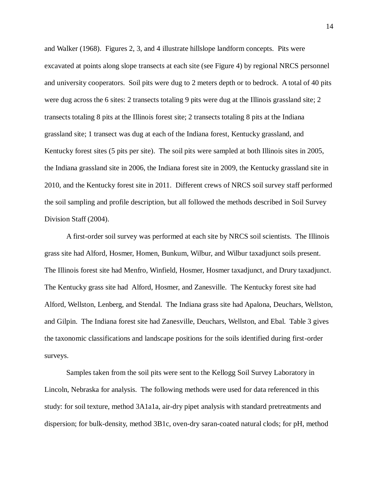and Walker (1968). Figures 2, 3, and 4 illustrate hillslope landform concepts. Pits were excavated at points along slope transects at each site (see Figure 4) by regional NRCS personnel and university cooperators. Soil pits were dug to 2 meters depth or to bedrock. A total of 40 pits were dug across the 6 sites: 2 transects totaling 9 pits were dug at the Illinois grassland site; 2 transects totaling 8 pits at the Illinois forest site; 2 transects totaling 8 pits at the Indiana grassland site; 1 transect was dug at each of the Indiana forest, Kentucky grassland, and Kentucky forest sites (5 pits per site). The soil pits were sampled at both Illinois sites in 2005, the Indiana grassland site in 2006, the Indiana forest site in 2009, the Kentucky grassland site in 2010, and the Kentucky forest site in 2011. Different crews of NRCS soil survey staff performed the soil sampling and profile description, but all followed the methods described in Soil Survey Division Staff (2004).

A first-order soil survey was performed at each site by NRCS soil scientists. The Illinois grass site had Alford, Hosmer, Homen, Bunkum, Wilbur, and Wilbur taxadjunct soils present. The Illinois forest site had Menfro, Winfield, Hosmer, Hosmer taxadjunct, and Drury taxadjunct. The Kentucky grass site had Alford, Hosmer, and Zanesville. The Kentucky forest site had Alford, Wellston, Lenberg, and Stendal. The Indiana grass site had Apalona, Deuchars, Wellston, and Gilpin. The Indiana forest site had Zanesville, Deuchars, Wellston, and Ebal. Table 3 gives the taxonomic classifications and landscape positions for the soils identified during first-order surveys.

Samples taken from the soil pits were sent to the Kellogg Soil Survey Laboratory in Lincoln, Nebraska for analysis. The following methods were used for data referenced in this study: for soil texture, method 3A1a1a, air-dry pipet analysis with standard pretreatments and dispersion; for bulk-density, method 3B1c, oven-dry saran-coated natural clods; for pH, method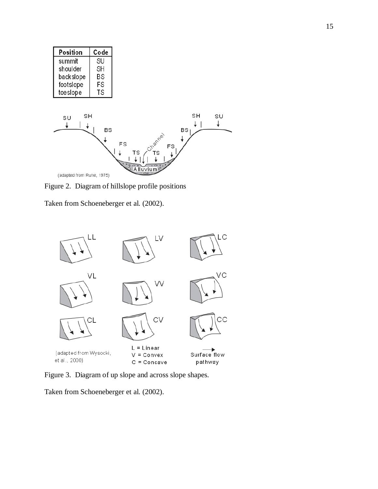| Position  | Code |
|-----------|------|
| summit    | SU   |
| shoulder  | SН   |
| backslope | ΒS   |
| footslope | FS   |
| toeslope  | TS   |
|           |      |
|           |      |
| SΗ<br>SU  |      |



Figure 2. Diagram of hillslope profile positions

Taken from Schoeneberger et al. (2002).



Figure 3. Diagram of up slope and across slope shapes.

Taken from Schoeneberger et al. (2002).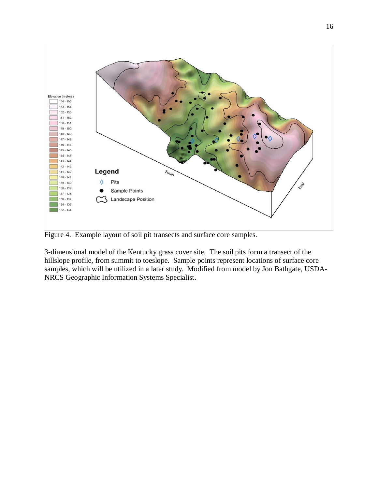

Figure 4. Example layout of soil pit transects and surface core samples.

3-dimensional model of the Kentucky grass cover site. The soil pits form a transect of the hillslope profile, from summit to toeslope. Sample points represent locations of surface core samples, which will be utilized in a later study. Modified from model by Jon Bathgate, USDA-NRCS Geographic Information Systems Specialist.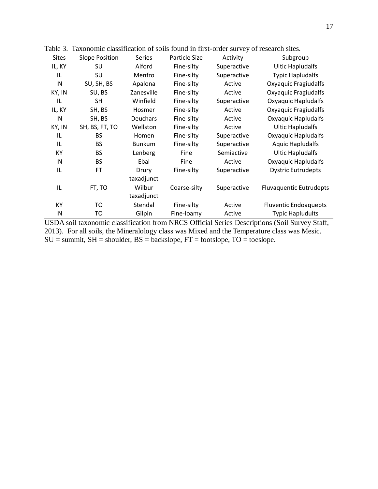| <b>Sites</b> | <b>Slope Position</b> | Series          | Particle Size | Activity    | Subgroup                       |
|--------------|-----------------------|-----------------|---------------|-------------|--------------------------------|
| IL, KY       | SU                    | Alford          | Fine-silty    | Superactive | <b>Ultic Hapludalfs</b>        |
| IL           | SU                    | Menfro          | Fine-silty    | Superactive | <b>Typic Hapludalfs</b>        |
| IN           | SU, SH, BS            | Apalona         | Fine-silty    | Active      | Oxyaquic Fragiudalfs           |
| KY, IN       | SU, BS                | Zanesville      | Fine-silty    | Active      | Oxyaquic Fragiudalfs           |
| IL           | <b>SH</b>             | Winfield        | Fine-silty    | Superactive | Oxyaquic Hapludalfs            |
| IL, KY       | SH, BS                | Hosmer          | Fine-silty    | Active      | Oxyaquic Fragiudalfs           |
| IN           | SH, BS                | <b>Deuchars</b> | Fine-silty    | Active      | Oxyaquic Hapludalfs            |
| KY, IN       | SH, BS, FT, TO        | Wellston        | Fine-silty    | Active      | <b>Ultic Hapludalfs</b>        |
| IL           | BS                    | Homen           | Fine-silty    | Superactive | Oxyaquic Hapludalfs            |
| IL           | <b>BS</b>             | <b>Bunkum</b>   | Fine-silty    | Superactive | <b>Aquic Hapludalfs</b>        |
| KY           | <b>BS</b>             | Lenberg         | Fine          | Semiactive  | <b>Ultic Hapludalfs</b>        |
| IN           | <b>BS</b>             | Ebal            | Fine          | Active      | Oxyaquic Hapludalfs            |
| IL           | FT                    | Drury           | Fine-silty    | Superactive | <b>Dystric Eutrudepts</b>      |
|              |                       | taxadjunct      |               |             |                                |
| IL           | FT, TO                | Wilbur          | Coarse-silty  | Superactive | <b>Fluvaquentic Eutrudepts</b> |
|              |                       | taxadjunct      |               |             |                                |
| KY           | то                    | Stendal         | Fine-silty    | Active      | <b>Fluventic Endoaquepts</b>   |
| IN           | то                    | Gilpin          | Fine-loamy    | Active      | <b>Typic Hapludults</b>        |

Table 3. Taxonomic classification of soils found in first-order survey of research sites.

USDA soil taxonomic classification from NRCS Official Series Descriptions (Soil Survey Staff, 2013). For all soils, the Mineralology class was Mixed and the Temperature class was Mesic.  $SU =$  summit,  $SH =$  shoulder,  $BS =$  backslope,  $FT =$  footslope,  $TO =$  toeslope.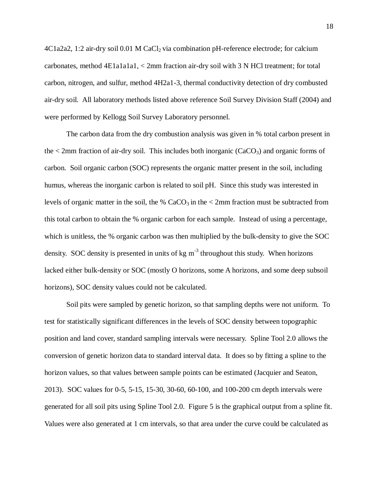$4C1a2a2$ , 1:2 air-dry soil 0.01 M CaCl<sub>2</sub> via combination pH-reference electrode; for calcium carbonates, method 4E1a1a1a1, < 2mm fraction air-dry soil with 3 N HCl treatment; for total carbon, nitrogen, and sulfur, method 4H2a1-3, thermal conductivity detection of dry combusted air-dry soil. All laboratory methods listed above reference Soil Survey Division Staff (2004) and were performed by Kellogg Soil Survey Laboratory personnel.

The carbon data from the dry combustion analysis was given in % total carbon present in the  $\leq$  2mm fraction of air-dry soil. This includes both inorganic (CaCO<sub>3</sub>) and organic forms of carbon. Soil organic carbon (SOC) represents the organic matter present in the soil, including humus, whereas the inorganic carbon is related to soil pH. Since this study was interested in levels of organic matter in the soil, the %  $CaCO<sub>3</sub>$  in the  $\lt 2$  mm fraction must be subtracted from this total carbon to obtain the % organic carbon for each sample. Instead of using a percentage, which is unitless, the % organic carbon was then multiplied by the bulk-density to give the SOC density. SOC density is presented in units of  $kg \, \text{m}^{-3}$  throughout this study. When horizons lacked either bulk-density or SOC (mostly O horizons, some A horizons, and some deep subsoil horizons), SOC density values could not be calculated.

Soil pits were sampled by genetic horizon, so that sampling depths were not uniform. To test for statistically significant differences in the levels of SOC density between topographic position and land cover, standard sampling intervals were necessary. Spline Tool 2.0 allows the conversion of genetic horizon data to standard interval data. It does so by fitting a spline to the horizon values, so that values between sample points can be estimated (Jacquier and Seaton, 2013). SOC values for 0-5, 5-15, 15-30, 30-60, 60-100, and 100-200 cm depth intervals were generated for all soil pits using Spline Tool 2.0. Figure 5 is the graphical output from a spline fit. Values were also generated at 1 cm intervals, so that area under the curve could be calculated as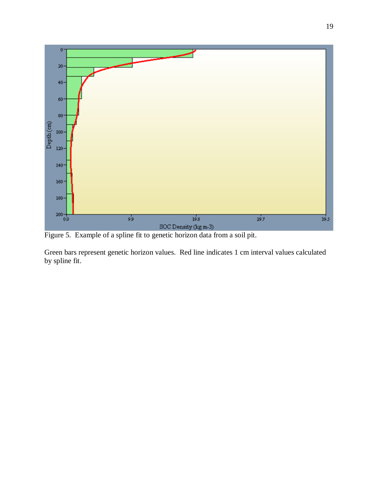

Figure 5. Example of a spline fit to genetic horizon data from a soil pit.

Green bars represent genetic horizon values. Red line indicates 1 cm interval values calculated by spline fit.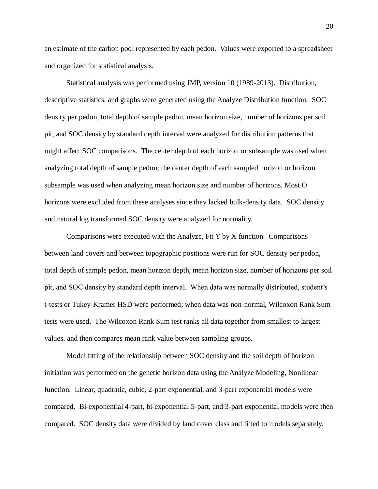an estimate of the carbon pool represented by each pedon. Values were exported to a spreadsheet and organized for statistical analysis.

Statistical analysis was performed using JMP, version 10 (1989-2013). Distribution, descriptive statistics, and graphs were generated using the Analyze Distribution function. SOC density per pedon, total depth of sample pedon, mean horizon size, number of horizons per soil pit, and SOC density by standard depth interval were analyzed for distribution patterns that might affect SOC comparisons. The center depth of each horizon or subsample was used when analyzing total depth of sample pedon; the center depth of each sampled horizon or horizon subsample was used when analyzing mean horizon size and number of horizons. Most O horizons were excluded from these analyses since they lacked bulk-density data. SOC density and natural log transformed SOC density were analyzed for normality.

Comparisons were executed with the Analyze, Fit Y by X function. Comparisons between land covers and between topographic positions were run for SOC density per pedon, total depth of sample pedon, mean horizon depth, mean horizon size, number of horizons per soil pit, and SOC density by standard depth interval. When data was normally distributed, student's t-tests or Tukey-Kramer HSD were performed; when data was non-normal, Wilcoxon Rank Sum tests were used. The Wilcoxon Rank Sum test ranks all data together from smallest to largest values, and then compares mean rank value between sampling groups.

Model fitting of the relationship between SOC density and the soil depth of horizon initiation was performed on the genetic horizon data using the Analyze Modeling, Nonlinear function. Linear, quadratic, cubic, 2-part exponential, and 3-part exponential models were compared. Bi-exponential 4-part, bi-exponential 5-part, and 3-part exponential models were then compared. SOC density data were divided by land cover class and fitted to models separately.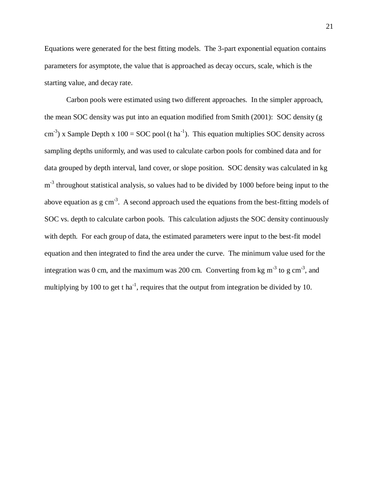Equations were generated for the best fitting models. The 3-part exponential equation contains parameters for asymptote, the value that is approached as decay occurs, scale, which is the starting value, and decay rate.

Carbon pools were estimated using two different approaches. In the simpler approach, the mean SOC density was put into an equation modified from Smith (2001): SOC density (g  $\text{cm}^{-3}$ ) x Sample Depth x 100 = SOC pool (t ha<sup>-1</sup>). This equation multiplies SOC density across sampling depths uniformly, and was used to calculate carbon pools for combined data and for data grouped by depth interval, land cover, or slope position. SOC density was calculated in kg m<sup>-3</sup> throughout statistical analysis, so values had to be divided by 1000 before being input to the above equation as  $g \text{ cm}^{-3}$ . A second approach used the equations from the best-fitting models of SOC vs. depth to calculate carbon pools. This calculation adjusts the SOC density continuously with depth. For each group of data, the estimated parameters were input to the best-fit model equation and then integrated to find the area under the curve. The minimum value used for the integration was 0 cm, and the maximum was 200 cm. Converting from kg m<sup>-3</sup> to g cm<sup>-3</sup>, and multiplying by 100 to get t ha<sup>-1</sup>, requires that the output from integration be divided by 10.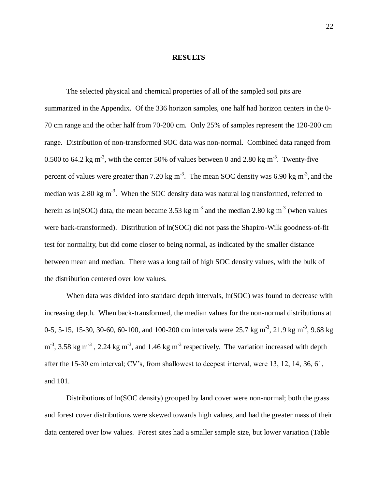#### **RESULTS**

The selected physical and chemical properties of all of the sampled soil pits are summarized in the Appendix. Of the 336 horizon samples, one half had horizon centers in the 0- 70 cm range and the other half from 70-200 cm. Only 25% of samples represent the 120-200 cm range. Distribution of non-transformed SOC data was non-normal. Combined data ranged from 0.500 to 64.2 kg m<sup>-3</sup>, with the center 50% of values between 0 and 2.80 kg m<sup>-3</sup>. Twenty-five percent of values were greater than 7.20 kg m<sup>-3</sup>. The mean SOC density was 6.90 kg m<sup>-3</sup>, and the median was 2.80 kg m<sup>-3</sup>. When the SOC density data was natural log transformed, referred to herein as ln(SOC) data, the mean became 3.53 kg m<sup>-3</sup> and the median 2.80 kg m<sup>-3</sup> (when values were back-transformed). Distribution of ln(SOC) did not pass the Shapiro-Wilk goodness-of-fit test for normality, but did come closer to being normal, as indicated by the smaller distance between mean and median. There was a long tail of high SOC density values, with the bulk of the distribution centered over low values.

When data was divided into standard depth intervals,  $ln(SOC)$  was found to decrease with increasing depth. When back-transformed, the median values for the non-normal distributions at 0-5, 5-15, 15-30, 30-60, 60-100, and 100-200 cm intervals were 25.7 kg m<sup>-3</sup>, 21.9 kg m<sup>-3</sup>, 9.68 kg  $m<sup>-3</sup>$ , 3.58 kg m<sup>-3</sup>, 2.24 kg m<sup>-3</sup>, and 1.46 kg m<sup>-3</sup> respectively. The variation increased with depth after the 15-30 cm interval; CV's, from shallowest to deepest interval, were 13, 12, 14, 36, 61, and 101.

Distributions of ln(SOC density) grouped by land cover were non-normal; both the grass and forest cover distributions were skewed towards high values, and had the greater mass of their data centered over low values. Forest sites had a smaller sample size, but lower variation (Table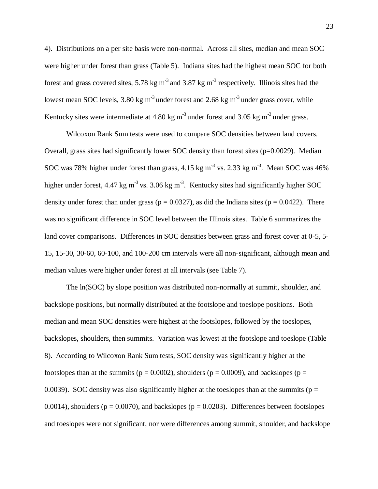4). Distributions on a per site basis were non-normal. Across all sites, median and mean SOC were higher under forest than grass (Table 5). Indiana sites had the highest mean SOC for both forest and grass covered sites, 5.78 kg m<sup>-3</sup> and 3.87 kg m<sup>-3</sup> respectively. Illinois sites had the lowest mean SOC levels, 3.80 kg m<sup>-3</sup> under forest and 2.68 kg m<sup>-3</sup> under grass cover, while Kentucky sites were intermediate at  $4.80 \text{ kg m}^3$  under forest and  $3.05 \text{ kg m}^3$  under grass.

Wilcoxon Rank Sum tests were used to compare SOC densities between land covers. Overall, grass sites had significantly lower SOC density than forest sites  $(p=0.0029)$ . Median SOC was 78% higher under forest than grass, 4.15 kg m<sup>-3</sup> vs. 2.33 kg m<sup>-3</sup>. Mean SOC was 46% higher under forest, 4.47 kg m<sup>-3</sup> vs. 3.06 kg m<sup>-3</sup>. Kentucky sites had significantly higher SOC density under forest than under grass ( $p = 0.0327$ ), as did the Indiana sites ( $p = 0.0422$ ). There was no significant difference in SOC level between the Illinois sites. Table 6 summarizes the land cover comparisons. Differences in SOC densities between grass and forest cover at 0-5, 5- 15, 15-30, 30-60, 60-100, and 100-200 cm intervals were all non-significant, although mean and median values were higher under forest at all intervals (see Table 7).

The ln(SOC) by slope position was distributed non-normally at summit, shoulder, and backslope positions, but normally distributed at the footslope and toeslope positions. Both median and mean SOC densities were highest at the footslopes, followed by the toeslopes, backslopes, shoulders, then summits. Variation was lowest at the footslope and toeslope (Table 8). According to Wilcoxon Rank Sum tests, SOC density was significantly higher at the footslopes than at the summits ( $p = 0.0002$ ), shoulders ( $p = 0.0009$ ), and backslopes ( $p =$ 0.0039). SOC density was also significantly higher at the toeslopes than at the summits ( $p =$ 0.0014), shoulders ( $p = 0.0070$ ), and backslopes ( $p = 0.0203$ ). Differences between footslopes and toeslopes were not significant, nor were differences among summit, shoulder, and backslope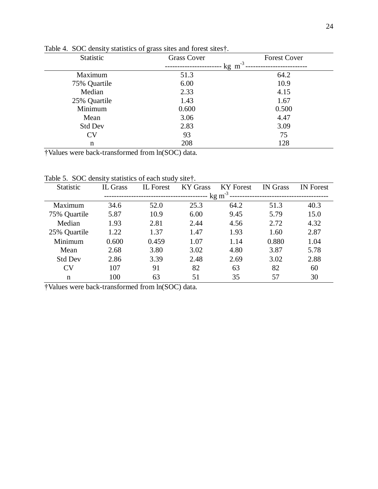| Statistic      | <b>Grass Cover</b> | <b>Forest Cover</b> |
|----------------|--------------------|---------------------|
|                | kg m               | $-3$                |
| Maximum        | 51.3               | 64.2                |
| 75% Quartile   | 6.00               | 10.9                |
| Median         | 2.33               | 4.15                |
| 25% Quartile   | 1.43               | 1.67                |
| Minimum        | 0.600              | 0.500               |
| Mean           | 3.06               | 4.47                |
| <b>Std Dev</b> | 2.83               | 3.09                |
| <b>CV</b>      | 93                 | 75                  |
| n              | 208                | 128                 |

Table 4. SOC density statistics of grass sites and forest sites†.

†Values were back-transformed from ln(SOC) data.

Table 5. SOC density statistics of each study site†.

| <b>Statistic</b> | <b>IL Grass</b>   | <b>IL</b> Forest | <b>KY Grass</b> | <b>KY</b> Forest | <b>IN</b> Grass | <b>IN</b> Forest |  |
|------------------|-------------------|------------------|-----------------|------------------|-----------------|------------------|--|
|                  | $\text{kg m}^3$ . |                  |                 |                  |                 |                  |  |
| Maximum          | 34.6              | 52.0             | 25.3            | 64.2             | 51.3            | 40.3             |  |
| 75% Quartile     | 5.87              | 10.9             | 6.00            | 9.45             | 5.79            | 15.0             |  |
| Median           | 1.93              | 2.81             | 2.44            | 4.56             | 2.72            | 4.32             |  |
| 25% Quartile     | 1.22              | 1.37             | 1.47            | 1.93             | 1.60            | 2.87             |  |
| Minimum          | 0.600             | 0.459            | 1.07            | 1.14             | 0.880           | 1.04             |  |
| Mean             | 2.68              | 3.80             | 3.02            | 4.80             | 3.87            | 5.78             |  |
| <b>Std Dev</b>   | 2.86              | 3.39             | 2.48            | 2.69             | 3.02            | 2.88             |  |
| CV               | 107               | 91               | 82              | 63               | 82              | 60               |  |
| n                | 100               | 63               | 51              | 35               | 57              | 30               |  |

†Values were back-transformed from ln(SOC) data.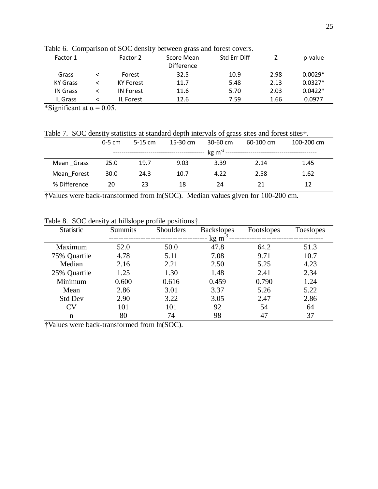| Factor 2         | Score Mean        | Std Err Diff |      | p-value   |
|------------------|-------------------|--------------|------|-----------|
|                  | <b>Difference</b> |              |      |           |
| Forest           | 32.5              | 10.9         | 2.98 | $0.0029*$ |
| <b>KY Forest</b> | 11.7              | 5.48         | 2.13 | $0.0327*$ |
| <b>IN Forest</b> | 11.6              | 5.70         | 2.03 | $0.0422*$ |
| IL Forest        | 12.6              | 7.59         | 1.66 | 0.0977    |
|                  |                   |              |      |           |

Table 6. Comparison of SOC density between grass and forest covers.

\*Significant at  $\alpha$  = 0.05.

Table 7. SOC density statistics at standard depth intervals of grass sites and forest sites†.

|              | $0-5$ cm | $5-15$ cm | 15-30 $cm$ | $30-60$ cm | $60-100$ cm | 100-200 cm |
|--------------|----------|-----------|------------|------------|-------------|------------|
|              |          |           |            |            |             |            |
| Mean Grass   | 25.0     | 19.7      | 9.03       | 3.39       | 2.14        | 1.45       |
| Mean Forest  | 30.0     | 24.3      | 10.7       | 4.22       | 2.58        | 1.62       |
| % Difference | 20       | 23        | 18         | 24         | 21          | 12         |

†Values were back-transformed from ln(SOC). Median values given for 100-200 cm.

| Statistic      | <b>Summits</b> | Shoulders | <b>Backslopes</b> | Footslopes | <b>Toeslopes</b> |
|----------------|----------------|-----------|-------------------|------------|------------------|
|                |                |           | $\text{kg m}^3$ . |            |                  |
| Maximum        | 52.0           | 50.0      | 47.8              | 64.2       | 51.3             |
| 75% Quartile   | 4.78           | 5.11      | 7.08              | 9.71       | 10.7             |
| Median         | 2.16           | 2.21      | 2.50              | 5.25       | 4.23             |
| 25% Quartile   | 1.25           | 1.30      | 1.48              | 2.41       | 2.34             |
| Minimum        | 0.600          | 0.616     | 0.459             | 0.790      | 1.24             |
| Mean           | 2.86           | 3.01      | 3.37              | 5.26       | 5.22             |
| <b>Std Dev</b> | 2.90           | 3.22      | 3.05              | 2.47       | 2.86             |
| CV             | 101            | 101       | 92                | 54         | 64               |
| n              | 80             | 74        | 98                | 47         | 37               |

Table 8. SOC density at hillslope profile positions†.

†Values were back-transformed from ln(SOC).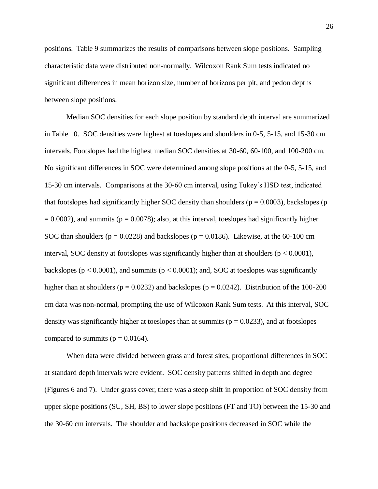positions. Table 9 summarizes the results of comparisons between slope positions. Sampling characteristic data were distributed non-normally. Wilcoxon Rank Sum tests indicated no significant differences in mean horizon size, number of horizons per pit, and pedon depths between slope positions.

Median SOC densities for each slope position by standard depth interval are summarized in Table 10. SOC densities were highest at toeslopes and shoulders in 0-5, 5-15, and 15-30 cm intervals. Footslopes had the highest median SOC densities at 30-60, 60-100, and 100-200 cm. No significant differences in SOC were determined among slope positions at the 0-5, 5-15, and 15-30 cm intervals. Comparisons at the 30-60 cm interval, using Tukey's HSD test, indicated that footslopes had significantly higher SOC density than shoulders ( $p = 0.0003$ ), backslopes (p  $= 0.0002$ ), and summits ( $p = 0.0078$ ); also, at this interval, toeslopes had significantly higher SOC than shoulders ( $p = 0.0228$ ) and backslopes ( $p = 0.0186$ ). Likewise, at the 60-100 cm interval, SOC density at footslopes was significantly higher than at shoulders ( $p < 0.0001$ ), backslopes ( $p < 0.0001$ ), and summits ( $p < 0.0001$ ); and, SOC at toeslopes was significantly higher than at shoulders ( $p = 0.0232$ ) and backslopes ( $p = 0.0242$ ). Distribution of the 100-200 cm data was non-normal, prompting the use of Wilcoxon Rank Sum tests. At this interval, SOC density was significantly higher at toeslopes than at summits ( $p = 0.0233$ ), and at footslopes compared to summits ( $p = 0.0164$ ).

When data were divided between grass and forest sites, proportional differences in SOC at standard depth intervals were evident. SOC density patterns shifted in depth and degree (Figures 6 and 7). Under grass cover, there was a steep shift in proportion of SOC density from upper slope positions (SU, SH, BS) to lower slope positions (FT and TO) between the 15-30 and the 30-60 cm intervals. The shoulder and backslope positions decreased in SOC while the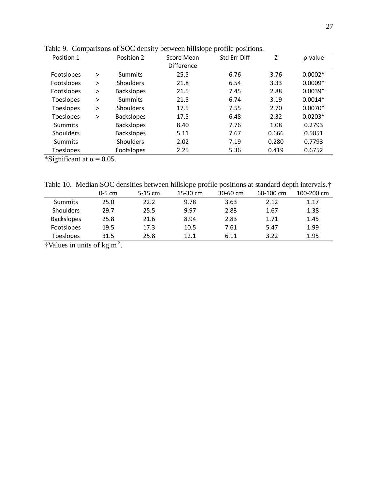| Position 1       |        | Position 2        | Score Mean        | Std Err Diff | Z     | p-value   |
|------------------|--------|-------------------|-------------------|--------------|-------|-----------|
|                  |        |                   | <b>Difference</b> |              |       |           |
| Footslopes       | $\geq$ | <b>Summits</b>    | 25.5              | 6.76         | 3.76  | $0.0002*$ |
| Footslopes       | $\geq$ | Shoulders         | 21.8              | 6.54         | 3.33  | $0.0009*$ |
| Footslopes       | $\geq$ | <b>Backslopes</b> | 21.5              | 7.45         | 2.88  | $0.0039*$ |
| <b>Toeslopes</b> | $\geq$ | <b>Summits</b>    | 21.5              | 6.74         | 3.19  | $0.0014*$ |
| <b>Toeslopes</b> | $\geq$ | Shoulders         | 17.5              | 7.55         | 2.70  | $0.0070*$ |
| <b>Toeslopes</b> | $\geq$ | <b>Backslopes</b> | 17.5              | 6.48         | 2.32  | $0.0203*$ |
| Summits          |        | <b>Backslopes</b> | 8.40              | 7.76         | 1.08  | 0.2793    |
| <b>Shoulders</b> |        | <b>Backslopes</b> | 5.11              | 7.67         | 0.666 | 0.5051    |
| <b>Summits</b>   |        | <b>Shoulders</b>  | 2.02              | 7.19         | 0.280 | 0.7793    |
| <b>Toeslopes</b> |        | Footslopes        | 2.25              | 5.36         | 0.419 | 0.6752    |

Table 9. Comparisons of SOC density between hillslope profile positions.

\*Significant at  $\alpha$  = 0.05.

Table 10. Median SOC densities between hillslope profile positions at standard depth intervals.†

|                   | $0-5$ cm | $5-15$ cm | 15-30 cm | 30-60 cm | 60-100 cm | 100-200 cm |
|-------------------|----------|-----------|----------|----------|-----------|------------|
| <b>Summits</b>    | 25.0     | 22.2      | 9.78     | 3.63     | 2.12      | 1.17       |
| <b>Shoulders</b>  | 29.7     | 25.5      | 9.97     | 2.83     | 1.67      | 1.38       |
| <b>Backslopes</b> | 25.8     | 21.6      | 8.94     | 2.83     | 1.71      | 1.45       |
| Footslopes        | 19.5     | 17.3      | 10.5     | 7.61     | 5.47      | 1.99       |
| <b>Toeslopes</b>  | 31.5     | 25.8      | 12.1     | 6.11     | 3.22      | 1.95       |

 $\dagger$ Values in units of kg m<sup>-3</sup>.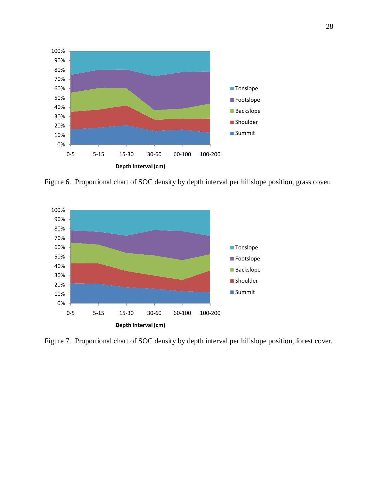

Figure 6. Proportional chart of SOC density by depth interval per hillslope position, grass cover.



Figure 7. Proportional chart of SOC density by depth interval per hillslope position, forest cover.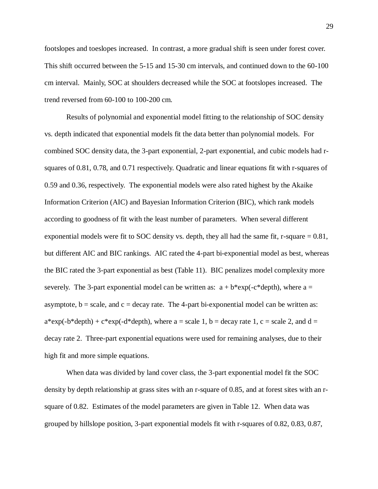footslopes and toeslopes increased. In contrast, a more gradual shift is seen under forest cover. This shift occurred between the 5-15 and 15-30 cm intervals, and continued down to the 60-100 cm interval. Mainly, SOC at shoulders decreased while the SOC at footslopes increased. The trend reversed from 60-100 to 100-200 cm.

Results of polynomial and exponential model fitting to the relationship of SOC density vs. depth indicated that exponential models fit the data better than polynomial models. For combined SOC density data, the 3-part exponential, 2-part exponential, and cubic models had rsquares of 0.81, 0.78, and 0.71 respectively. Quadratic and linear equations fit with r-squares of 0.59 and 0.36, respectively. The exponential models were also rated highest by the Akaike Information Criterion (AIC) and Bayesian Information Criterion (BIC), which rank models according to goodness of fit with the least number of parameters. When several different exponential models were fit to SOC density vs. depth, they all had the same fit, r-square  $= 0.81$ , but different AIC and BIC rankings. AIC rated the 4-part bi-exponential model as best, whereas the BIC rated the 3-part exponential as best (Table 11). BIC penalizes model complexity more severely. The 3-part exponential model can be written as:  $a + b*exp(-c*depth)$ , where  $a =$ asymptote,  $b = scale$ , and  $c = decay$  rate. The 4-part bi-exponential model can be written as:  $a*exp(-b*depth) + c*exp(-d*depth)$ , where  $a = scale 1$ ,  $b = decay$  rate 1,  $c = scale 2$ , and  $d =$ decay rate 2. Three-part exponential equations were used for remaining analyses, due to their high fit and more simple equations.

When data was divided by land cover class, the 3-part exponential model fit the SOC density by depth relationship at grass sites with an r-square of 0.85, and at forest sites with an rsquare of 0.82. Estimates of the model parameters are given in Table 12. When data was grouped by hillslope position, 3-part exponential models fit with r-squares of 0.82, 0.83, 0.87,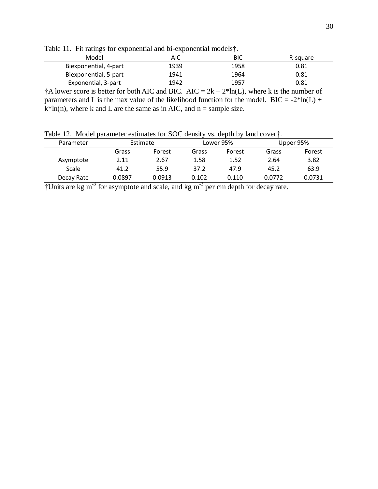|                       | Table 11. I'll famigs for exponential and of-exponential models [. |      |          |  |  |  |  |  |  |
|-----------------------|--------------------------------------------------------------------|------|----------|--|--|--|--|--|--|
| Model                 | AIC                                                                | BIC  | R-square |  |  |  |  |  |  |
| Biexponential, 4-part | 1939                                                               | 1958 | 0.81     |  |  |  |  |  |  |
| Biexponential, 5-part | 1941                                                               | 1964 | 0.81     |  |  |  |  |  |  |
| Exponential, 3-part   | 1942                                                               | 1957 | 0.81     |  |  |  |  |  |  |

Table 11. Fit ratings for exponential and bi-exponential models†.

<sup>†</sup>A lower score is better for both AIC and BIC. AIC =  $2k - 2 * ln(L)$ , where k is the number of parameters and L is the max value of the likelihood function for the model. BIC =  $-2*ln(L)$  +  $k^*$ ln(n), where k and L are the same as in AIC, and n = sample size.

Table 12. Model parameter estimates for SOC density vs. depth by land cover†.

| Parameter  | Estimate |        |       | Lower 95% | Upper 95% |        |  |
|------------|----------|--------|-------|-----------|-----------|--------|--|
|            | Grass    | Forest | Grass | Forest    | Grass     | Forest |  |
| Asymptote  | 2.11     | 2.67   | 1.58  | 1.52      | 2.64      | 3.82   |  |
| Scale      | 41.2     | 55.9   | 37.2  | 47.9      | 45.2      | 63.9   |  |
| Decay Rate | 0.0897   | 0.0913 | 0.102 | 0.110     | 0.0772    | 0.0731 |  |
|            |          |        |       |           |           |        |  |

 $\dagger$ Units are kg m<sup>-3</sup> for asymptote and scale, and kg m<sup>-3</sup> per cm depth for decay rate.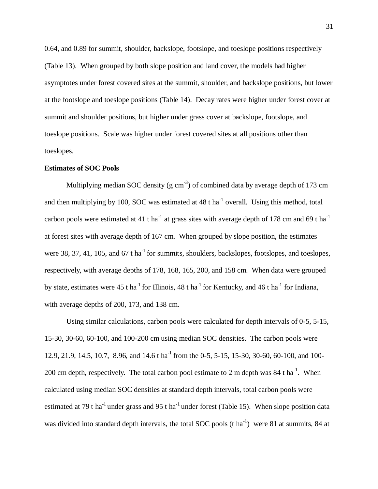0.64, and 0.89 for summit, shoulder, backslope, footslope, and toeslope positions respectively (Table 13). When grouped by both slope position and land cover, the models had higher asymptotes under forest covered sites at the summit, shoulder, and backslope positions, but lower at the footslope and toeslope positions (Table 14). Decay rates were higher under forest cover at summit and shoulder positions, but higher under grass cover at backslope, footslope, and toeslope positions. Scale was higher under forest covered sites at all positions other than toeslopes.

## **Estimates of SOC Pools**

Multiplying median SOC density (g  $cm^{-3}$ ) of combined data by average depth of 173 cm and then multiplying by 100, SOC was estimated at  $48$  t ha<sup>-1</sup> overall. Using this method, total carbon pools were estimated at 41 t ha<sup>-1</sup> at grass sites with average depth of 178 cm and 69 t ha<sup>-1</sup> at forest sites with average depth of 167 cm. When grouped by slope position, the estimates were 38, 37, 41, 105, and  $67$  t ha<sup>-1</sup> for summits, shoulders, backslopes, footslopes, and toeslopes, respectively, with average depths of 178, 168, 165, 200, and 158 cm. When data were grouped by state, estimates were 45 t ha<sup>-1</sup> for Illinois, 48 t ha<sup>-1</sup> for Kentucky, and 46 t ha<sup>-1</sup> for Indiana, with average depths of 200, 173, and 138 cm.

Using similar calculations, carbon pools were calculated for depth intervals of 0-5, 5-15, 15-30, 30-60, 60-100, and 100-200 cm using median SOC densities. The carbon pools were 12.9, 21.9, 14.5, 10.7, 8.96, and 14.6 t ha<sup>-1</sup> from the 0-5, 5-15, 15-30, 30-60, 60-100, and 100-200 cm depth, respectively. The total carbon pool estimate to 2 m depth was 84 t ha<sup>-1</sup>. When calculated using median SOC densities at standard depth intervals, total carbon pools were estimated at 79 t ha<sup>-1</sup> under grass and 95 t ha<sup>-1</sup> under forest (Table 15). When slope position data was divided into standard depth intervals, the total SOC pools (t ha<sup>-1</sup>) were 81 at summits, 84 at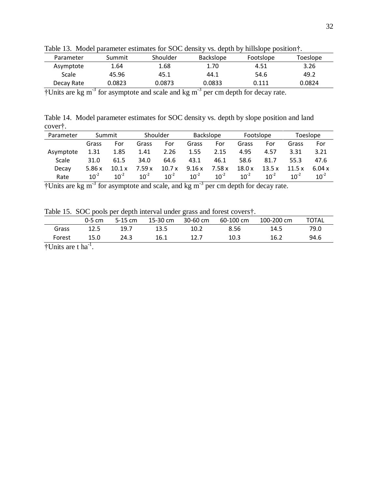| Tuote Tot Though purunterer communes for $\omega \in \alpha$ action |        |          |                  | $1.91$ GVD 0.11 O T 11111910 DV DODITION T |          |
|---------------------------------------------------------------------|--------|----------|------------------|--------------------------------------------|----------|
| Parameter                                                           | Summit | Shoulder | <b>Backslope</b> | Footslope                                  | Toeslope |
| Asymptote                                                           | 1.64   | 1.68     | 1.70             | 4.51                                       | 3.26     |
| Scale                                                               | 45.96  | 45.1     | 44.1             | 54.6                                       | 49.2     |
| Decay Rate                                                          | 0.0823 | 0.0873   | 0.0833           | 0.111                                      | 0.0824   |

Table 13. Model parameter estimates for SOC density vs. depth by hillslope position†.

 $\dagger$ Units are kg m<sup>-3</sup> for asymptote and scale and kg m<sup>-3</sup> per cm depth for decay rate.

Table 14. Model parameter estimates for SOC density vs. depth by slope position and land cover†.

| Parameter | Summit    |           | Shoulder  |           | <b>Backslope</b> |           | Footslope |           | Toeslope  |           |
|-----------|-----------|-----------|-----------|-----------|------------------|-----------|-----------|-----------|-----------|-----------|
|           | Grass     | For       | Grass     | For       | Grass            | For       | Grass     | For       | Grass     | For       |
| Asymptote | 1.31      | 1.85      | 1.41      | 2.26      | 1.55             | 2.15      | 4.95      | 4.57      | 3.31      | 3.21      |
| Scale     | 31.0      | 61.5      | 34.0      | 64.6      | 43.1             | 46.1      | 58.6      | 81.7      | 55.3      | 47.6      |
| Decay     | 5.86x     | 10.1 x    | 7.59x     | 10.7x     | 9.16x            | 7.58x     | 18.0x     | 13.5x     | 11.5x     | 6.04 x    |
| Rate      | $10^{-2}$ | $10^{-2}$ | $10^{-2}$ | $10^{-2}$ | $10^{-2}$        | $10^{-2}$ | $10^{-2}$ | $10^{-2}$ | $10^{-2}$ | $10^{-2}$ |

 $\dagger$ Units are kg m<sup>-3</sup> for asymptote and scale, and kg m<sup>-3</sup> per cm depth for decay rate.

Table 15. SOC pools per depth interval under grass and forest covers†.

|                       | $0-5$ cm | 5-15 cm | 15-30 cm | 30-60 cm | 60-100 cm | 100-200 cm | <b>TOTAL</b> |
|-----------------------|----------|---------|----------|----------|-----------|------------|--------------|
| Grass                 | 12.5     | 19.7    | 13.5     | 10.2     | 8.56      | 14.5       | 79.0         |
| Forest                | 15.0     | 24.3    | 16.1     | 12.7     | 10.3      | 16.2       | 94.6         |
| $ATL, 2L, 3L, 4L, -1$ |          |         |          |          |           |            |              |

 $\dagger$ Units are t ha<sup>-1</sup>.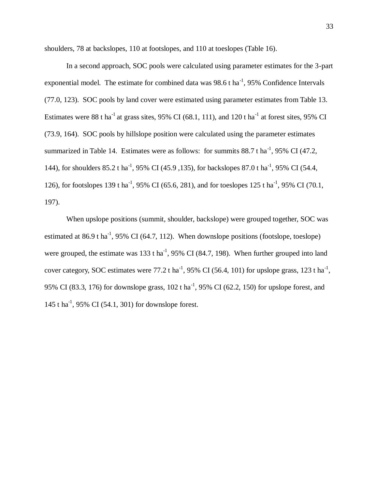shoulders, 78 at backslopes, 110 at footslopes, and 110 at toeslopes (Table 16).

In a second approach, SOC pools were calculated using parameter estimates for the 3-part exponential model. The estimate for combined data was  $98.6$  t ha<sup>-1</sup>,  $95\%$  Confidence Intervals (77.0, 123). SOC pools by land cover were estimated using parameter estimates from Table 13. Estimates were 88 t ha<sup>-1</sup> at grass sites, 95% CI (68.1, 111), and 120 t ha<sup>-1</sup> at forest sites, 95% CI (73.9, 164). SOC pools by hillslope position were calculated using the parameter estimates summarized in Table 14. Estimates were as follows: for summits  $88.7$  t ha<sup>-1</sup>, 95% CI (47.2, 144), for shoulders 85.2 t ha<sup>-1</sup>, 95% CI (45.9, 135), for backslopes 87.0 t ha<sup>-1</sup>, 95% CI (54.4, 126), for footslopes 139 t ha<sup>-1</sup>, 95% CI (65.6, 281), and for toeslopes 125 t ha<sup>-1</sup>, 95% CI (70.1, 197).

When upslope positions (summit, shoulder, backslope) were grouped together, SOC was estimated at 86.9 t ha<sup>-1</sup>, 95% CI (64.7, 112). When downslope positions (footslope, toeslope) were grouped, the estimate was 133 t ha<sup>-1</sup>, 95% CI (84.7, 198). When further grouped into land cover category, SOC estimates were 77.2 t ha<sup>-1</sup>, 95% CI (56.4, 101) for upslope grass, 123 t ha<sup>-1</sup>, 95% CI (83.3, 176) for downslope grass,  $102$  t ha<sup>-1</sup>, 95% CI (62.2, 150) for upslope forest, and 145 t ha<sup>-1</sup>, 95% CI (54.1, 301) for downslope forest.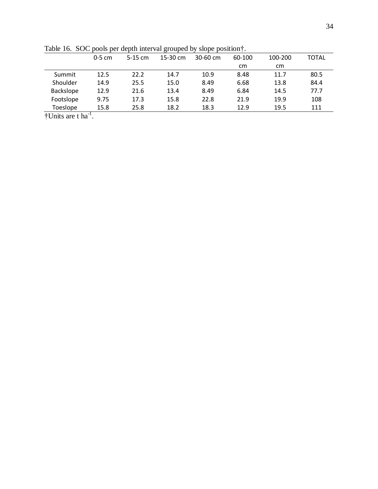|                                     | $0-5$ cm | $5-15$ cm | $15-30$ cm | $30-60$ cm | 60-100 | 100-200 | <b>TOTAL</b> |
|-------------------------------------|----------|-----------|------------|------------|--------|---------|--------------|
|                                     |          |           |            |            | cm     | cm      |              |
| Summit                              | 12.5     | 22.2      | 14.7       | 10.9       | 8.48   | 11.7    | 80.5         |
| Shoulder                            | 14.9     | 25.5      | 15.0       | 8.49       | 6.68   | 13.8    | 84.4         |
| Backslope                           | 12.9     | 21.6      | 13.4       | 8.49       | 6.84   | 14.5    | 77.7         |
| Footslope                           | 9.75     | 17.3      | 15.8       | 22.8       | 21.9   | 19.9    | 108          |
| Toeslope                            | 15.8     | 25.8      | 18.2       | 18.3       | 12.9   | 19.5    | 111          |
| $\pm$ I Inite are the <sup>-1</sup> |          |           |            |            |        |         |              |

Table 16. SOC pools per depth interval grouped by slope position†.

†Units are t ha<sup>-1</sup>.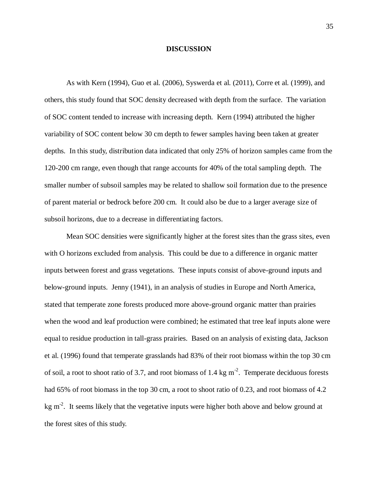## **DISCUSSION**

As with Kern (1994), Guo et al. (2006), Syswerda et al. (2011), Corre et al. (1999), and others, this study found that SOC density decreased with depth from the surface. The variation of SOC content tended to increase with increasing depth. Kern (1994) attributed the higher variability of SOC content below 30 cm depth to fewer samples having been taken at greater depths. In this study, distribution data indicated that only 25% of horizon samples came from the 120-200 cm range, even though that range accounts for 40% of the total sampling depth. The smaller number of subsoil samples may be related to shallow soil formation due to the presence of parent material or bedrock before 200 cm. It could also be due to a larger average size of subsoil horizons, due to a decrease in differentiating factors.

Mean SOC densities were significantly higher at the forest sites than the grass sites, even with O horizons excluded from analysis. This could be due to a difference in organic matter inputs between forest and grass vegetations. These inputs consist of above-ground inputs and below-ground inputs. Jenny (1941), in an analysis of studies in Europe and North America, stated that temperate zone forests produced more above-ground organic matter than prairies when the wood and leaf production were combined; he estimated that tree leaf inputs alone were equal to residue production in tall-grass prairies. Based on an analysis of existing data, Jackson et al. (1996) found that temperate grasslands had 83% of their root biomass within the top 30 cm of soil, a root to shoot ratio of 3.7, and root biomass of 1.4 kg  $m^2$ . Temperate deciduous forests had 65% of root biomass in the top 30 cm, a root to shoot ratio of 0.23, and root biomass of 4.2 kg  $m<sup>2</sup>$ . It seems likely that the vegetative inputs were higher both above and below ground at the forest sites of this study.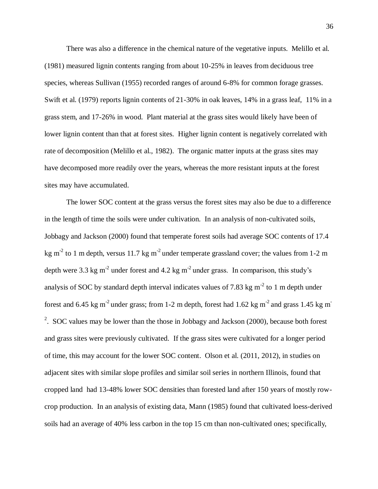There was also a difference in the chemical nature of the vegetative inputs. Melillo et al. (1981) measured lignin contents ranging from about 10-25% in leaves from deciduous tree species, whereas Sullivan (1955) recorded ranges of around 6-8% for common forage grasses. Swift et al. (1979) reports lignin contents of 21-30% in oak leaves, 14% in a grass leaf, 11% in a grass stem, and 17-26% in wood. Plant material at the grass sites would likely have been of lower lignin content than that at forest sites. Higher lignin content is negatively correlated with rate of decomposition (Melillo et al., 1982). The organic matter inputs at the grass sites may have decomposed more readily over the years, whereas the more resistant inputs at the forest sites may have accumulated.

The lower SOC content at the grass versus the forest sites may also be due to a difference in the length of time the soils were under cultivation. In an analysis of non-cultivated soils, Jobbagy and Jackson (2000) found that temperate forest soils had average SOC contents of 17.4 kg m<sup>-2</sup> to 1 m depth, versus 11.7 kg m<sup>-2</sup> under temperate grassland cover; the values from 1-2 m depth were 3.3 kg m<sup>-2</sup> under forest and 4.2 kg m<sup>-2</sup> under grass. In comparison, this study's analysis of SOC by standard depth interval indicates values of 7.83 kg m<sup>-2</sup> to 1 m depth under forest and 6.45 kg m<sup>-2</sup> under grass; from 1-2 m depth, forest had 1.62 kg m<sup>-2</sup> and grass 1.45 kg m<sup>-</sup> <sup>2</sup>. SOC values may be lower than the those in Jobbagy and Jackson  $(2000)$ , because both forest and grass sites were previously cultivated. If the grass sites were cultivated for a longer period of time, this may account for the lower SOC content. Olson et al. (2011, 2012), in studies on adjacent sites with similar slope profiles and similar soil series in northern Illinois, found that cropped land had 13-48% lower SOC densities than forested land after 150 years of mostly rowcrop production. In an analysis of existing data, Mann (1985) found that cultivated loess-derived soils had an average of 40% less carbon in the top 15 cm than non-cultivated ones; specifically,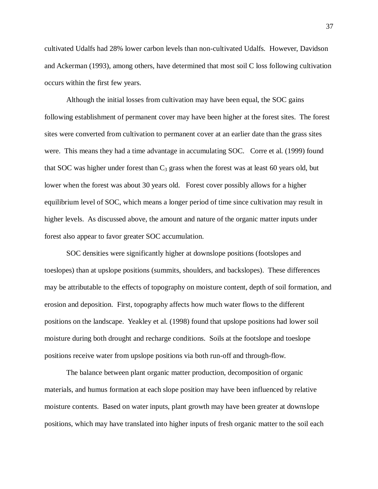cultivated Udalfs had 28% lower carbon levels than non-cultivated Udalfs. However, Davidson and Ackerman (1993), among others, have determined that most soil C loss following cultivation occurs within the first few years.

Although the initial losses from cultivation may have been equal, the SOC gains following establishment of permanent cover may have been higher at the forest sites. The forest sites were converted from cultivation to permanent cover at an earlier date than the grass sites were. This means they had a time advantage in accumulating SOC. Corre et al. (1999) found that SOC was higher under forest than  $C_3$  grass when the forest was at least 60 years old, but lower when the forest was about 30 years old. Forest cover possibly allows for a higher equilibrium level of SOC, which means a longer period of time since cultivation may result in higher levels. As discussed above, the amount and nature of the organic matter inputs under forest also appear to favor greater SOC accumulation.

SOC densities were significantly higher at downslope positions (footslopes and toeslopes) than at upslope positions (summits, shoulders, and backslopes). These differences may be attributable to the effects of topography on moisture content, depth of soil formation, and erosion and deposition. First, topography affects how much water flows to the different positions on the landscape. Yeakley et al. (1998) found that upslope positions had lower soil moisture during both drought and recharge conditions. Soils at the footslope and toeslope positions receive water from upslope positions via both run-off and through-flow.

The balance between plant organic matter production, decomposition of organic materials, and humus formation at each slope position may have been influenced by relative moisture contents. Based on water inputs, plant growth may have been greater at downslope positions, which may have translated into higher inputs of fresh organic matter to the soil each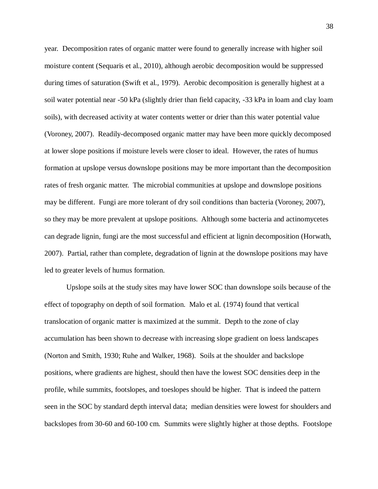year. Decomposition rates of organic matter were found to generally increase with higher soil moisture content (Sequaris et al., 2010), although aerobic decomposition would be suppressed during times of saturation (Swift et al., 1979). Aerobic decomposition is generally highest at a soil water potential near -50 kPa (slightly drier than field capacity, -33 kPa in loam and clay loam soils), with decreased activity at water contents wetter or drier than this water potential value (Voroney, 2007). Readily-decomposed organic matter may have been more quickly decomposed at lower slope positions if moisture levels were closer to ideal. However, the rates of humus formation at upslope versus downslope positions may be more important than the decomposition rates of fresh organic matter. The microbial communities at upslope and downslope positions may be different. Fungi are more tolerant of dry soil conditions than bacteria (Voroney, 2007), so they may be more prevalent at upslope positions. Although some bacteria and actinomycetes can degrade lignin, fungi are the most successful and efficient at lignin decomposition (Horwath, 2007). Partial, rather than complete, degradation of lignin at the downslope positions may have led to greater levels of humus formation.

Upslope soils at the study sites may have lower SOC than downslope soils because of the effect of topography on depth of soil formation. Malo et al. (1974) found that vertical translocation of organic matter is maximized at the summit. Depth to the zone of clay accumulation has been shown to decrease with increasing slope gradient on loess landscapes (Norton and Smith, 1930; Ruhe and Walker, 1968). Soils at the shoulder and backslope positions, where gradients are highest, should then have the lowest SOC densities deep in the profile, while summits, footslopes, and toeslopes should be higher. That is indeed the pattern seen in the SOC by standard depth interval data; median densities were lowest for shoulders and backslopes from 30-60 and 60-100 cm. Summits were slightly higher at those depths. Footslope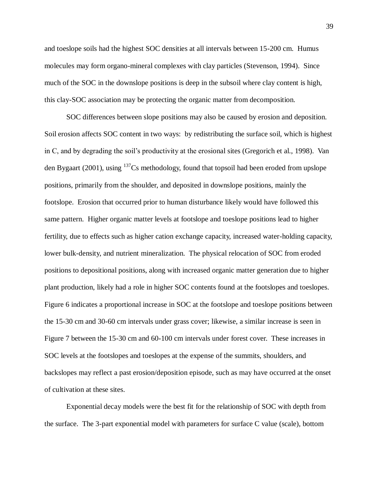and toeslope soils had the highest SOC densities at all intervals between 15-200 cm. Humus molecules may form organo-mineral complexes with clay particles (Stevenson, 1994). Since much of the SOC in the downslope positions is deep in the subsoil where clay content is high, this clay-SOC association may be protecting the organic matter from decomposition.

SOC differences between slope positions may also be caused by erosion and deposition. Soil erosion affects SOC content in two ways: by redistributing the surface soil, which is highest in C, and by degrading the soil's productivity at the erosional sites (Gregorich et al., 1998). Van den Bygaart (2001), using  $137$ Cs methodology, found that topsoil had been eroded from upslope positions, primarily from the shoulder, and deposited in downslope positions, mainly the footslope. Erosion that occurred prior to human disturbance likely would have followed this same pattern. Higher organic matter levels at footslope and toeslope positions lead to higher fertility, due to effects such as higher cation exchange capacity, increased water-holding capacity, lower bulk-density, and nutrient mineralization. The physical relocation of SOC from eroded positions to depositional positions, along with increased organic matter generation due to higher plant production, likely had a role in higher SOC contents found at the footslopes and toeslopes. Figure 6 indicates a proportional increase in SOC at the footslope and toeslope positions between the 15-30 cm and 30-60 cm intervals under grass cover; likewise, a similar increase is seen in Figure 7 between the 15-30 cm and 60-100 cm intervals under forest cover. These increases in SOC levels at the footslopes and toeslopes at the expense of the summits, shoulders, and backslopes may reflect a past erosion/deposition episode, such as may have occurred at the onset of cultivation at these sites.

Exponential decay models were the best fit for the relationship of SOC with depth from the surface. The 3-part exponential model with parameters for surface C value (scale), bottom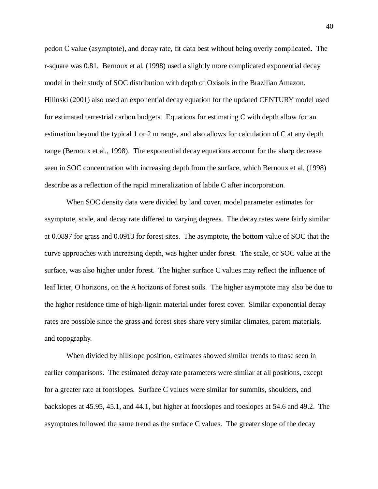pedon C value (asymptote), and decay rate, fit data best without being overly complicated. The r-square was 0.81. Bernoux et al. (1998) used a slightly more complicated exponential decay model in their study of SOC distribution with depth of Oxisols in the Brazilian Amazon. Hilinski (2001) also used an exponential decay equation for the updated CENTURY model used for estimated terrestrial carbon budgets. Equations for estimating C with depth allow for an estimation beyond the typical 1 or 2 m range, and also allows for calculation of C at any depth range (Bernoux et al., 1998). The exponential decay equations account for the sharp decrease seen in SOC concentration with increasing depth from the surface, which Bernoux et al. (1998) describe as a reflection of the rapid mineralization of labile C after incorporation.

When SOC density data were divided by land cover, model parameter estimates for asymptote, scale, and decay rate differed to varying degrees. The decay rates were fairly similar at 0.0897 for grass and 0.0913 for forest sites. The asymptote, the bottom value of SOC that the curve approaches with increasing depth, was higher under forest. The scale, or SOC value at the surface, was also higher under forest. The higher surface C values may reflect the influence of leaf litter, O horizons, on the A horizons of forest soils. The higher asymptote may also be due to the higher residence time of high-lignin material under forest cover. Similar exponential decay rates are possible since the grass and forest sites share very similar climates, parent materials, and topography.

When divided by hillslope position, estimates showed similar trends to those seen in earlier comparisons. The estimated decay rate parameters were similar at all positions, except for a greater rate at footslopes. Surface C values were similar for summits, shoulders, and backslopes at 45.95, 45.1, and 44.1, but higher at footslopes and toeslopes at 54.6 and 49.2. The asymptotes followed the same trend as the surface C values. The greater slope of the decay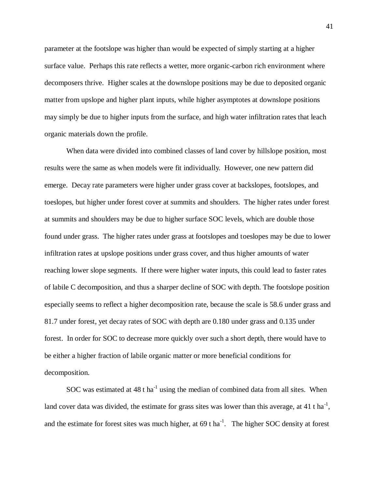parameter at the footslope was higher than would be expected of simply starting at a higher surface value. Perhaps this rate reflects a wetter, more organic-carbon rich environment where decomposers thrive. Higher scales at the downslope positions may be due to deposited organic matter from upslope and higher plant inputs, while higher asymptotes at downslope positions may simply be due to higher inputs from the surface, and high water infiltration rates that leach organic materials down the profile.

When data were divided into combined classes of land cover by hillslope position, most results were the same as when models were fit individually. However, one new pattern did emerge. Decay rate parameters were higher under grass cover at backslopes, footslopes, and toeslopes, but higher under forest cover at summits and shoulders. The higher rates under forest at summits and shoulders may be due to higher surface SOC levels, which are double those found under grass. The higher rates under grass at footslopes and toeslopes may be due to lower infiltration rates at upslope positions under grass cover, and thus higher amounts of water reaching lower slope segments. If there were higher water inputs, this could lead to faster rates of labile C decomposition, and thus a sharper decline of SOC with depth. The footslope position especially seems to reflect a higher decomposition rate, because the scale is 58.6 under grass and 81.7 under forest, yet decay rates of SOC with depth are 0.180 under grass and 0.135 under forest. In order for SOC to decrease more quickly over such a short depth, there would have to be either a higher fraction of labile organic matter or more beneficial conditions for decomposition.

SOC was estimated at  $48$  t ha<sup>-1</sup> using the median of combined data from all sites. When land cover data was divided, the estimate for grass sites was lower than this average, at 41 t ha<sup>-1</sup>, and the estimate for forest sites was much higher, at  $69$  t ha<sup>-1</sup>. The higher SOC density at forest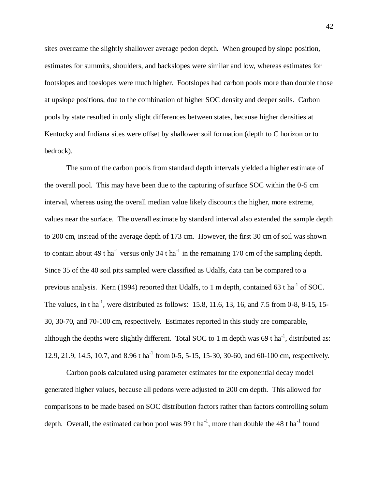sites overcame the slightly shallower average pedon depth. When grouped by slope position, estimates for summits, shoulders, and backslopes were similar and low, whereas estimates for footslopes and toeslopes were much higher. Footslopes had carbon pools more than double those at upslope positions, due to the combination of higher SOC density and deeper soils. Carbon pools by state resulted in only slight differences between states, because higher densities at Kentucky and Indiana sites were offset by shallower soil formation (depth to C horizon or to bedrock).

The sum of the carbon pools from standard depth intervals yielded a higher estimate of the overall pool. This may have been due to the capturing of surface SOC within the 0-5 cm interval, whereas using the overall median value likely discounts the higher, more extreme, values near the surface. The overall estimate by standard interval also extended the sample depth to 200 cm, instead of the average depth of 173 cm. However, the first 30 cm of soil was shown to contain about 49 t ha<sup>-1</sup> versus only 34 t ha<sup>-1</sup> in the remaining 170 cm of the sampling depth. Since 35 of the 40 soil pits sampled were classified as Udalfs, data can be compared to a previous analysis. Kern (1994) reported that Udalfs, to 1 m depth, contained 63 t ha<sup>-1</sup> of SOC. The values, in t ha<sup>-1</sup>, were distributed as follows: 15.8, 11.6, 13, 16, and 7.5 from 0-8, 8-15, 15-30, 30-70, and 70-100 cm, respectively. Estimates reported in this study are comparable, although the depths were slightly different. Total SOC to 1 m depth was 69 t ha<sup>-1</sup>, distributed as: 12.9, 21.9, 14.5, 10.7, and 8.96 t ha<sup>-1</sup> from 0-5, 5-15, 15-30, 30-60, and 60-100 cm, respectively.

Carbon pools calculated using parameter estimates for the exponential decay model generated higher values, because all pedons were adjusted to 200 cm depth. This allowed for comparisons to be made based on SOC distribution factors rather than factors controlling solum depth. Overall, the estimated carbon pool was 99 t ha<sup>-1</sup>, more than double the 48 t ha<sup>-1</sup> found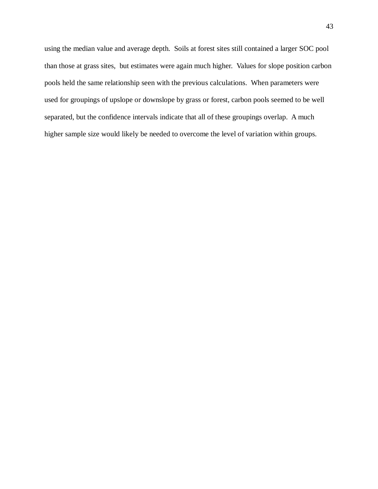using the median value and average depth. Soils at forest sites still contained a larger SOC pool than those at grass sites, but estimates were again much higher. Values for slope position carbon pools held the same relationship seen with the previous calculations. When parameters were used for groupings of upslope or downslope by grass or forest, carbon pools seemed to be well separated, but the confidence intervals indicate that all of these groupings overlap. A much higher sample size would likely be needed to overcome the level of variation within groups.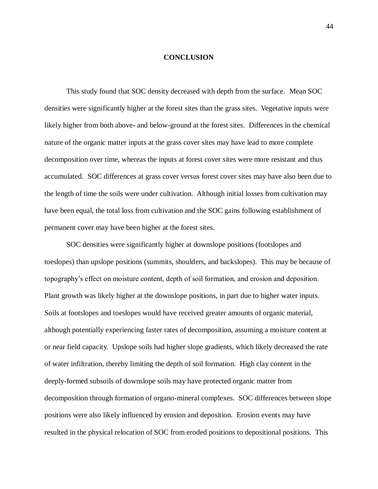## **CONCLUSION**

This study found that SOC density decreased with depth from the surface. Mean SOC densities were significantly higher at the forest sites than the grass sites. Vegetative inputs were likely higher from both above- and below-ground at the forest sites. Differences in the chemical nature of the organic matter inputs at the grass cover sites may have lead to more complete decomposition over time, whereas the inputs at forest cover sites were more resistant and thus accumulated. SOC differences at grass cover versus forest cover sites may have also been due to the length of time the soils were under cultivation. Although initial losses from cultivation may have been equal, the total loss from cultivation and the SOC gains following establishment of permanent cover may have been higher at the forest sites.

SOC densities were significantly higher at downslope positions (footslopes and toeslopes) than upslope positions (summits, shoulders, and backslopes). This may be because of topography's effect on moisture content, depth of soil formation, and erosion and deposition. Plant growth was likely higher at the downslope positions, in part due to higher water inputs. Soils at footslopes and toeslopes would have received greater amounts of organic material, although potentially experiencing faster rates of decomposition, assuming a moisture content at or near field capacity. Upslope soils had higher slope gradients, which likely decreased the rate of water infiltration, thereby limiting the depth of soil formation. High clay content in the deeply-formed subsoils of downslope soils may have protected organic matter from decomposition through formation of organo-mineral complexes. SOC differences between slope positions were also likely influenced by erosion and deposition. Erosion events may have resulted in the physical relocation of SOC from eroded positions to depositional positions. This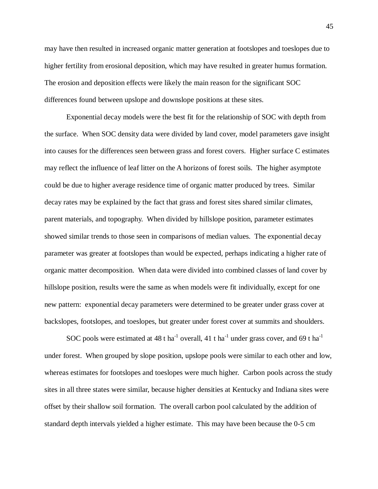may have then resulted in increased organic matter generation at footslopes and toeslopes due to higher fertility from erosional deposition, which may have resulted in greater humus formation. The erosion and deposition effects were likely the main reason for the significant SOC differences found between upslope and downslope positions at these sites.

Exponential decay models were the best fit for the relationship of SOC with depth from the surface. When SOC density data were divided by land cover, model parameters gave insight into causes for the differences seen between grass and forest covers. Higher surface C estimates may reflect the influence of leaf litter on the A horizons of forest soils. The higher asymptote could be due to higher average residence time of organic matter produced by trees. Similar decay rates may be explained by the fact that grass and forest sites shared similar climates, parent materials, and topography. When divided by hillslope position, parameter estimates showed similar trends to those seen in comparisons of median values. The exponential decay parameter was greater at footslopes than would be expected, perhaps indicating a higher rate of organic matter decomposition. When data were divided into combined classes of land cover by hillslope position, results were the same as when models were fit individually, except for one new pattern: exponential decay parameters were determined to be greater under grass cover at backslopes, footslopes, and toeslopes, but greater under forest cover at summits and shoulders.

SOC pools were estimated at 48 t ha<sup>-1</sup> overall, 41 t ha<sup>-1</sup> under grass cover, and 69 t ha<sup>-1</sup> under forest. When grouped by slope position, upslope pools were similar to each other and low, whereas estimates for footslopes and toeslopes were much higher. Carbon pools across the study sites in all three states were similar, because higher densities at Kentucky and Indiana sites were offset by their shallow soil formation. The overall carbon pool calculated by the addition of standard depth intervals yielded a higher estimate. This may have been because the 0-5 cm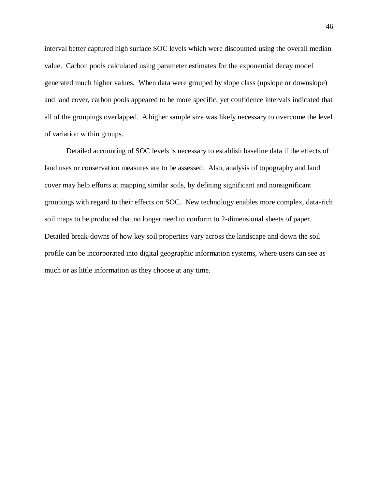interval better captured high surface SOC levels which were discounted using the overall median value. Carbon pools calculated using parameter estimates for the exponential decay model generated much higher values. When data were grouped by slope class (upslope or downslope) and land cover, carbon pools appeared to be more specific, yet confidence intervals indicated that all of the groupings overlapped. A higher sample size was likely necessary to overcome the level of variation within groups.

Detailed accounting of SOC levels is necessary to establish baseline data if the effects of land uses or conservation measures are to be assessed. Also, analysis of topography and land cover may help efforts at mapping similar soils, by defining significant and nonsignificant groupings with regard to their effects on SOC. New technology enables more complex, data-rich soil maps to be produced that no longer need to conform to 2-dimensional sheets of paper. Detailed break-downs of how key soil properties vary across the landscape and down the soil profile can be incorporated into digital geographic information systems, where users can see as much or as little information as they choose at any time.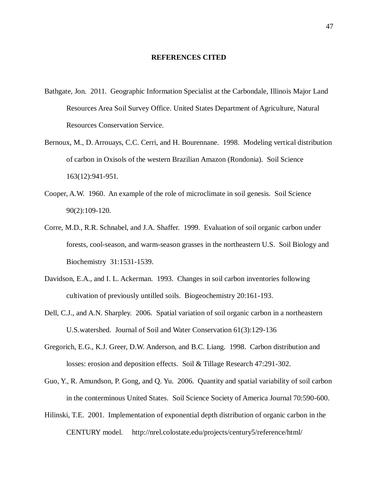## **REFERENCES CITED**

- Bathgate, Jon. 2011. Geographic Information Specialist at the Carbondale, Illinois Major Land Resources Area Soil Survey Office. United States Department of Agriculture, Natural Resources Conservation Service.
- Bernoux, M., D. Arrouays, C.C. Cerri, and H. Bourennane. 1998. Modeling vertical distribution of carbon in Oxisols of the western Brazilian Amazon (Rondonia). Soil Science 163(12):941-951.
- Cooper, A.W. 1960. An example of the role of microclimate in soil genesis. Soil Science 90(2):109-120.
- Corre, M.D., R.R. Schnabel, and J.A. Shaffer. 1999. Evaluation of soil organic carbon under forests, cool-season, and warm-season grasses in the northeastern U.S. Soil Biology and Biochemistry 31:1531-1539.
- Davidson, E.A., and I. L. Ackerman. 1993. Changes in soil carbon inventories following cultivation of previously untilled soils. Biogeochemistry 20:161-193.
- Dell, C.J., and A.N. Sharpley. 2006. Spatial variation of soil organic carbon in a northeastern U.S.watershed. Journal of Soil and Water Conservation 61(3):129-136
- Gregorich, E.G., K.J. Greer, D.W. Anderson, and B.C. Liang. 1998. Carbon distribution and losses: erosion and deposition effects. Soil & Tillage Research 47:291-302.
- Guo, Y., R. Amundson, P. Gong, and Q. Yu. 2006. Quantity and spatial variability of soil carbon in the conterminous United States. Soil Science Society of America Journal 70:590-600.
- Hilinski, T.E. 2001. Implementation of exponential depth distribution of organic carbon in the CENTURY model. http://nrel.colostate.edu/projects/century5/reference/html/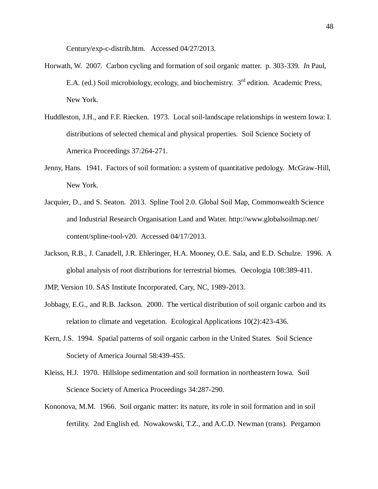Century/exp-c-distrib.htm. Accessed 04/27/2013.

- Horwath, W. 2007. Carbon cycling and formation of soil organic matter. p. 303-339. *In* Paul, E.A. (ed.) Soil microbiology, ecology, and biochemistry. 3<sup>rd</sup> edition. Academic Press, New York.
- Huddleston, J.H., and F.F. Riecken. 1973. Local soil-landscape relationships in western Iowa: I. distributions of selected chemical and physical properties. Soil Science Society of America Proceedings 37:264-271.
- Jenny, Hans. 1941. Factors of soil formation: a system of quantitative pedology. McGraw-Hill, New York.
- Jacquier, D., and S. Seaton. 2013. Spline Tool 2.0. Global Soil Map, Commonwealth Science and Industrial Research Organisation Land and Water. http://www.globalsoilmap.net/ content/spline-tool-v20. Accessed 04/17/2013.
- Jackson, R.B., J. Canadell, J.R. Ehleringer, H.A. Mooney, O.E. Sala, and E.D. Schulze. 1996. A global analysis of root distributions for terrestrial biomes. Oecologia 108:389-411.
- JMP, Version 10. SAS Institute Incorporated, Cary, NC, 1989-2013.
- Jobbagy, E.G., and R.B. Jackson. 2000. The vertical distribution of soil organic carbon and its relation to climate and vegetation. Ecological Applications 10(2):423-436.
- Kern, J.S. 1994. Spatial patterns of soil organic carbon in the United States. Soil Science Society of America Journal 58:439-455.
- Kleiss, H.J. 1970. Hillslope sedimentation and soil formation in northeastern Iowa. Soil Science Society of America Proceedings 34:287-290.
- Kononova, M.M. 1966. Soil organic matter: its nature, its role in soil formation and in soil fertility. 2nd English ed. Nowakowski, T.Z., and A.C.D. Newman (trans). Pergamon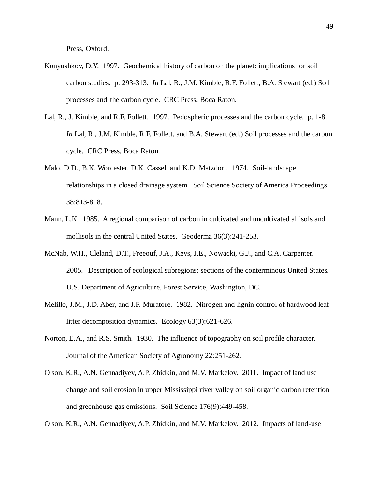Press, Oxford.

- Konyushkov, D.Y. 1997. Geochemical history of carbon on the planet: implications for soil carbon studies. p. 293-313. *In* Lal, R., J.M. Kimble, R.F. Follett, B.A. Stewart (ed.) Soil processes and the carbon cycle. CRC Press, Boca Raton.
- Lal, R., J. Kimble, and R.F. Follett. 1997. Pedospheric processes and the carbon cycle. p. 1-8. *In* Lal, R., J.M. Kimble, R.F. Follett, and B.A. Stewart (ed.) Soil processes and the carbon cycle. CRC Press, Boca Raton.
- Malo, D.D., B.K. Worcester, D.K. Cassel, and K.D. Matzdorf. 1974. Soil-landscape relationships in a closed drainage system. Soil Science Society of America Proceedings 38:813-818.
- Mann, L.K. 1985. A regional comparison of carbon in cultivated and uncultivated alfisols and mollisols in the central United States. Geoderma 36(3):241-253.
- McNab, W.H., Cleland, D.T., Freeouf, J.A., Keys, J.E., Nowacki, G.J., and C.A. Carpenter. 2005. Description of ecological subregions: sections of the conterminous United States. U.S. Department of Agriculture, Forest Service, Washington, DC.
- Melillo, J.M., J.D. Aber, and J.F. Muratore. 1982. Nitrogen and lignin control of hardwood leaf litter decomposition dynamics. Ecology 63(3):621-626.
- Norton, E.A., and R.S. Smith. 1930. The influence of topography on soil profile character. Journal of the American Society of Agronomy 22:251-262.
- Olson, K.R., A.N. Gennadiyev, A.P. Zhidkin, and M.V. Markelov. 2011. Impact of land use change and soil erosion in upper Mississippi river valley on soil organic carbon retention and greenhouse gas emissions. Soil Science 176(9):449-458.

Olson, K.R., A.N. Gennadiyev, A.P. Zhidkin, and M.V. Markelov. 2012. Impacts of land-use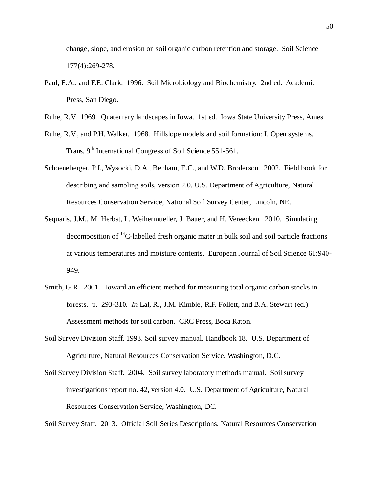change, slope, and erosion on soil organic carbon retention and storage. Soil Science 177(4):269-278.

- Paul, E.A., and F.E. Clark. 1996. Soil Microbiology and Biochemistry. 2nd ed. Academic Press, San Diego.
- Ruhe, R.V. 1969. Quaternary landscapes in Iowa. 1st ed. Iowa State University Press, Ames.
- Ruhe, R.V., and P.H. Walker. 1968. Hillslope models and soil formation: I. Open systems. Trans. 9<sup>th</sup> International Congress of Soil Science 551-561.
- Schoeneberger, P.J., Wysocki, D.A., Benham, E.C., and W.D. Broderson. 2002. Field book for describing and sampling soils, version 2.0. U.S. Department of Agriculture, Natural Resources Conservation Service, National Soil Survey Center, Lincoln, NE.
- Sequaris, J.M., M. Herbst, L. Weihermueller, J. Bauer, and H. Vereecken. 2010. Simulating decomposition of  ${}^{14}$ C-labelled fresh organic mater in bulk soil and soil particle fractions at various temperatures and moisture contents. European Journal of Soil Science 61:940- 949.
- Smith, G.R. 2001. Toward an efficient method for measuring total organic carbon stocks in forests. p. 293-310. *In* Lal, R., J.M. Kimble, R.F. Follett, and B.A. Stewart (ed.) Assessment methods for soil carbon. CRC Press, Boca Raton.
- Soil Survey Division Staff. 1993. Soil survey manual. Handbook 18. U.S. Department of Agriculture, Natural Resources Conservation Service, Washington, D.C.
- Soil Survey Division Staff. 2004. Soil survey laboratory methods manual. Soil survey investigations report no. 42, version 4.0. U.S. Department of Agriculture, Natural Resources Conservation Service, Washington, DC.

Soil Survey Staff. 2013. Official Soil Series Descriptions. Natural Resources Conservation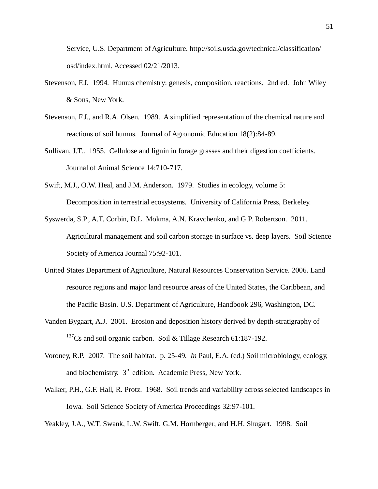Service, U.S. Department of Agriculture. http://soils.usda.gov/technical/classification/ osd/index.html. Accessed 02/21/2013.

- Stevenson, F.J. 1994. Humus chemistry: genesis, composition, reactions. 2nd ed. John Wiley & Sons, New York.
- Stevenson, F.J., and R.A. Olsen. 1989. A simplified representation of the chemical nature and reactions of soil humus. Journal of Agronomic Education 18(2):84-89.
- Sullivan, J.T.. 1955. Cellulose and lignin in forage grasses and their digestion coefficients. Journal of Animal Science 14:710-717.
- Swift, M.J., O.W. Heal, and J.M. Anderson. 1979. Studies in ecology, volume 5: Decomposition in terrestrial ecosystems. University of California Press, Berkeley.
- Syswerda, S.P., A.T. Corbin, D.L. Mokma, A.N. Kravchenko, and G.P. Robertson. 2011. Agricultural management and soil carbon storage in surface vs. deep layers. Soil Science Society of America Journal 75:92-101.
- United States Department of Agriculture, Natural Resources Conservation Service. 2006. Land resource regions and major land resource areas of the United States, the Caribbean, and the Pacific Basin. U.S. Department of Agriculture, Handbook 296, Washington, DC.
- Vanden Bygaart, A.J. 2001. Erosion and deposition history derived by depth-stratigraphy of <sup>137</sup>Cs and soil organic carbon. Soil & Tillage Research  $61:187-192$ .
- Voroney, R.P. 2007. The soil habitat. p. 25-49. *In* Paul, E.A. (ed.) Soil microbiology, ecology, and biochemistry. 3rd edition. Academic Press, New York.
- Walker, P.H., G.F. Hall, R. Protz. 1968. Soil trends and variability across selected landscapes in Iowa. Soil Science Society of America Proceedings 32:97-101.

Yeakley, J.A., W.T. Swank, L.W. Swift, G.M. Hornberger, and H.H. Shugart. 1998. Soil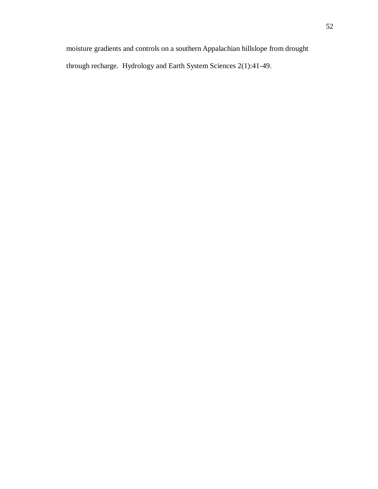moisture gradients and controls on a southern Appalachian hillslope from drought through recharge. Hydrology and Earth System Sciences 2(1):41-49.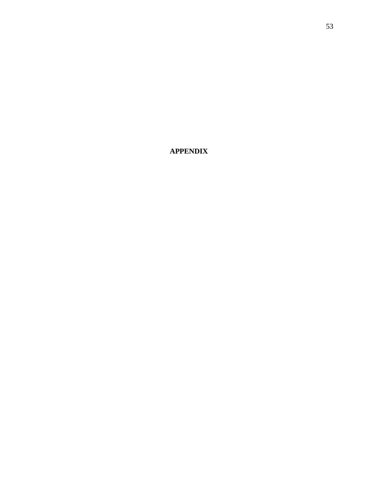**APPENDIX**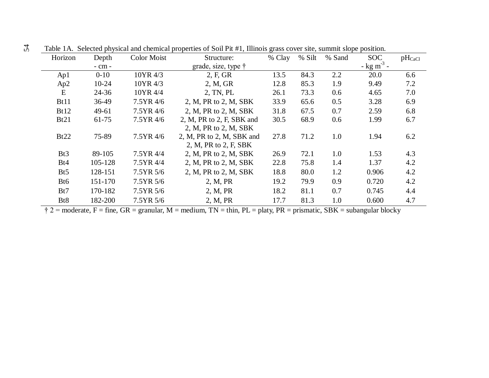| Horizon          | Depth     | <b>Color Moist</b> | Structure:                  | % Clay | % Silt | % Sand | <b>SOC</b>               | $pH_{CaCl}$ |
|------------------|-----------|--------------------|-----------------------------|--------|--------|--------|--------------------------|-------------|
|                  | - cm -    |                    | grade, size, type $\dagger$ |        |        |        | $-$ kg m <sup>-3</sup> - |             |
| Ap1              | $0 - 10$  | 10YR 4/3           | 2, F, GR                    | 13.5   | 84.3   | 2.2    | 20.0                     | 6.6         |
| Ap2              | $10 - 24$ | 10YR 4/3           | 2, M, GR                    | 12.8   | 85.3   | 1.9    | 9.49                     | 7.2         |
| E                | $24 - 36$ | 10YR 4/4           | 2, TN, PL                   | 26.1   | 73.3   | 0.6    | 4.65                     | 7.0         |
| Bt11             | 36-49     | 7.5YR 4/6          | 2, M, PR to 2, M, SBK       | 33.9   | 65.6   | 0.5    | 3.28                     | 6.9         |
| Bt12             | 49-61     | 7.5YR 4/6          | 2, M, PR to 2, M, SBK       | 31.8   | 67.5   | 0.7    | 2.59                     | 6.8         |
| Bt21             | 61-75     | 7.5YR 4/6          | 2, M, PR to 2, F, SBK and   | 30.5   | 68.9   | 0.6    | 1.99                     | 6.7         |
|                  |           |                    | 2, M, PR to 2, M, SBK       |        |        |        |                          |             |
| Bt22             | 75-89     | 7.5YR 4/6          | 2, M, PR to 2, M, SBK and   | 27.8   | 71.2   | 1.0    | 1.94                     | 6.2         |
|                  |           |                    | 2, M, PR to $2$ , F, SBK    |        |        |        |                          |             |
| Bt <sub>3</sub>  | 89-105    | 7.5YR 4/4          | 2, M, PR to 2, M, SBK       | 26.9   | 72.1   | 1.0    | 1.53                     | 4.3         |
| Bt4              | 105-128   | 7.5YR 4/4          | 2, M, PR to 2, M, SBK       | 22.8   | 75.8   | 1.4    | 1.37                     | 4.2         |
| B <sub>t5</sub>  | 128-151   | 7.5YR 5/6          | 2, M, PR to 2, M, SBK       | 18.8   | 80.0   | 1.2    | 0.906                    | 4.2         |
| B <sub>t6</sub>  | 151-170   | 7.5YR 5/6          | 2, M, PR                    | 19.2   | 79.9   | 0.9    | 0.720                    | 4.2         |
| Bt7              | 170-182   | 7.5YR 5/6          | 2, M, PR                    | 18.2   | 81.1   | 0.7    | 0.745                    | 4.4         |
| B <sub>t</sub> 8 | 182-200   | 7.5YR 5/6          | 2, M, PR                    | 17.7   | 81.3   | 1.0    | 0.600                    | 4.7         |

Table 1A. Selected physical and chemical properties of Soil Pit #1, Illinois grass cover site, summit slope position.

 $\ddot{\uparrow}$  2 = moderate, F = fine, GR = granular, M = medium, TN = thin, PL = platy, PR = prismatic, SBK = subangular blocky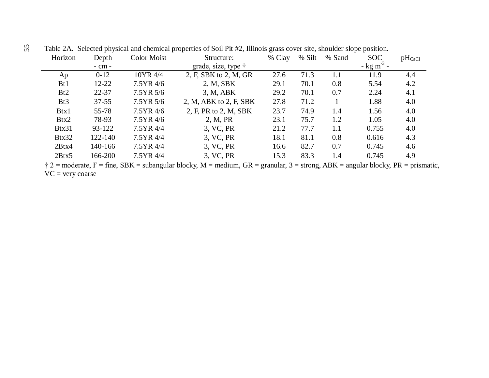| Horizon         | Depth      | <b>Color Moist</b> | Structure:                  | % Clay | % Silt | % Sand | <b>SOC</b>                        | $pH_{CaCl}$ |
|-----------------|------------|--------------------|-----------------------------|--------|--------|--------|-----------------------------------|-------------|
|                 | $-$ cm $-$ |                    | grade, size, type $\dagger$ |        |        |        | $-\frac{\text{kg}}{\text{m}^3}$ - |             |
| Ap              | $0 - 12$   | 10YR 4/4           | 2, F, SBK to 2, M, GR       | 27.6   | 71.3   | 1.1    | 11.9                              | 4.4         |
| B <sub>t1</sub> | $12 - 22$  | $7.5YR$ 4/6        | 2, M, SBK                   | 29.1   | 70.1   | 0.8    | 5.54                              | 4.2         |
| Bt2             | $22 - 37$  | 7.5YR 5/6          | 3, M, ABK                   | 29.2   | 70.1   | 0.7    | 2.24                              | 4.1         |
| Bt3             | $37 - 55$  | 7.5YR 5/6          | 2, M, ABK to 2, F, SBK      | 27.8   | 71.2   |        | 1.88                              | 4.0         |
| Btx1            | $55 - 78$  | 7.5YR 4/6          | 2, F, PR to 2, M, SBK       | 23.7   | 74.9   | 1.4    | 1.56                              | 4.0         |
| Btx2            | 78-93      | 7.5YR 4/6          | 2, M, PR                    | 23.1   | 75.7   | 1.2    | 1.05                              | 4.0         |
| Btx31           | 93-122     | 7.5YR 4/4          | 3, VC, PR                   | 21.2   | 77.7   | 1.1    | 0.755                             | 4.0         |
| Btx32           | 122-140    | 7.5YR 4/4          | 3, VC, PR                   | 18.1   | 81.1   | 0.8    | 0.616                             | 4.3         |
| 2Btx4           | 140-166    | 7.5YR 4/4          | 3, VC, PR                   | 16.6   | 82.7   | 0.7    | 0.745                             | 4.6         |
| 2Btx5           | 166-200    | 7.5YR 4/4          | 3, VC, PR                   | 15.3   | 83.3   | 1.4    | 0.745                             | 4.9         |

Table 2A. Selected physical and chemical properties of Soil Pit #2, Illinois grass cover site, shoulder slope position.

 $\dot{\tau}$  2 = moderate, F = fine, SBK = subangular blocky, M = medium, GR = granular, 3 = strong, ABK = angular blocky, PR = prismatic, VC = very coarse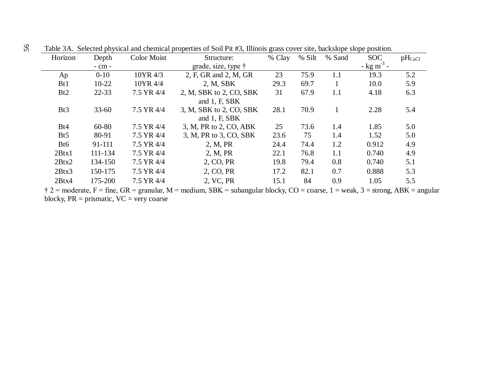| Horizon          | Depth      | Color Moist | Structure:                  | % Clay | % Silt | % Sand | <b>SOC</b>               | $pH_{CaCl}$ |
|------------------|------------|-------------|-----------------------------|--------|--------|--------|--------------------------|-------------|
|                  | $-$ cm $-$ |             | grade, size, type $\dagger$ |        |        |        | $-$ kg m <sup>-3</sup> - |             |
| Ap               | $0 - 10$   | 10YR 4/3    | 2, F, GR and 2, M, GR       | 23     | 75.9   | 1.1    | 19.3                     | 5.2         |
| B <sub>t1</sub>  | $10-22$    | 10YR 4/4    | 2. M, SBK                   | 29.3   | 69.7   |        | 10.0                     | 5.9         |
| Bt2              | 22-33      | 7.5 YR 4/4  | 2, M, SBK to 2, CO, SBK     | 31     | 67.9   | 1.1    | 4.18                     | 6.3         |
|                  |            |             | and $1, F, SBK$             |        |        |        |                          |             |
| Bt <sub>3</sub>  | $33 - 60$  | 7.5 YR 4/4  | 3, M, SBK to 2, CO, SBK     | 28.1   | 70.9   |        | 2.28                     | 5.4         |
|                  |            |             | and $1, F, SBK$             |        |        |        |                          |             |
| Bt4              | $60 - 80$  | 7.5 YR 4/4  | 3, M, PR to 2, CO, ABK      | 25     | 73.6   | 1.4    | 1.85                     | 5.0         |
| B <sub>t5</sub>  | 80-91      | 7.5 YR 4/4  | 3, M, PR to 3, CO, SBK      | 23.6   | 75     | 1.4    | 1.52                     | 5.0         |
| B <sub>t</sub> 6 | 91-111     | 7.5 YR 4/4  | 2, M, PR                    | 24.4   | 74.4   | 1.2    | 0.912                    | 4.9         |
| 2Btx1            | 111-134    | 7.5 YR 4/4  | 2, M, PR                    | 22.1   | 76.8   | 1.1    | 0.740                    | 4.9         |
| 2Btx2            | 134-150    | 7.5 YR 4/4  | 2, CO, PR                   | 19.8   | 79.4   | 0.8    | 0.740                    | 5.1         |
| 2Btx3            | 150-175    | 7.5 YR 4/4  | 2, CO, PR                   | 17.2   | 82.1   | 0.7    | 0.888                    | 5.3         |
| 2Btx4            | 175-200    | 7.5 YR 4/4  | 2, VC, PR                   | 15.1   | 84     | 0.9    | 1.05                     | 5.5         |

Table 3A. Selected physical and chemical properties of Soil Pit #3, Illinois grass cover site, backslope slope position.

 $\ddot{\tau}$  2 = moderate, F = fine, GR = granular, M = medium, SBK = subangular blocky, CO = coarse, 1 = weak, 3 = strong, ABK = angular blocky,  $PR = prismatic$ ,  $VC = very coarse$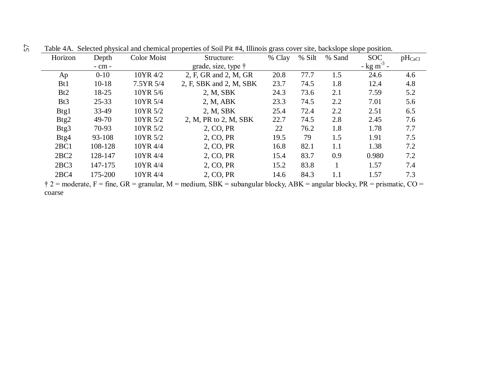| Horizon         | Depth     | <b>Color Moist</b>      | Structure:                  | % Clay | % Silt                    | % Sand         | <b>SOC</b>               | $pH_{CaCl}$ |
|-----------------|-----------|-------------------------|-----------------------------|--------|---------------------------|----------------|--------------------------|-------------|
|                 | - cm -    |                         | grade, size, type $\dagger$ |        |                           |                | $-$ kg m <sup>-3</sup> - |             |
| Ap              | $0 - 10$  | 10YR 4/2                | 2, F, GR and 2, M, GR       | 20.8   | 77.7                      | 1.5            | 24.6                     | 4.6         |
| B <sub>t1</sub> | $10 - 18$ | 7.5YR 5/4               | 2, F, SBK and 2, M, SBK     | 23.7   | 74.5                      | 1.8            | 12.4                     | 4.8         |
| Bt2             | 18-25     | 10YR 5/6                | 2, M, SBK                   | 24.3   | 73.6                      | 2.1            | 7.59                     | 5.2         |
| Bt <sub>3</sub> | $25 - 33$ | 10YR 5/4                | 2, M, ABK                   | 23.3   | 74.5                      | 2.2            | 7.01                     | 5.6         |
| Btg1            | 33-49     | 10YR 5/2                | 2, M, SBK                   | 25.4   | 72.4                      | 2.2            | 2.51                     | 6.5         |
| Btg2            | 49-70     | 10YR 5/2                | 2, M, PR to 2, M, SBK       | 22.7   | 74.5                      | 2.8            | 2.45                     | 7.6         |
| Btg3            | 70-93     | 10YR 5/2                | 2, CO, PR                   | 22     | 76.2                      | 1.8            | 1.78                     | 7.7         |
| Btg4            | 93-108    | 10YR 5/2                | 2, CO, PR                   | 19.5   | 79                        | 1.5            | 1.91                     | 7.5         |
| 2BC1            | 108-128   | 10YR 4/4                | 2, CO, PR                   | 16.8   | 82.1                      | 1.1            | 1.38                     | 7.2         |
| 2BC2            | 128-147   | 10YR 4/4                | 2, CO, PR                   | 15.4   | 83.7                      | 0.9            | 0.980                    | 7.2         |
| 2BC3            | 147-175   | 10YR 4/4                | 2, CO, PR                   | 15.2   | 83.8                      |                | 1.57                     | 7.4         |
| 2BC4            | 175-200   | 10YR 4/4                | 2, CO, PR                   | 14.6   | 84.3                      | 1.1            | 1.57                     | 7.3         |
|                 |           | $\sim$ $\sim$<br>$\sim$ | $\alpha$                    |        | $\mathbf{1}$ $\mathbf{N}$ | $\blacksquare$ | $\mathbf{r}$             | $\sim$      |

Table 4A. Selected physical and chemical properties of Soil Pit #4, Illinois grass cover site, backslope slope position. 57

 $\dagger$  2 = moderate, F = fine, GR = granular, M = medium, SBK = subangular blocky, ABK = angular blocky, PR = prismatic, CO = coarse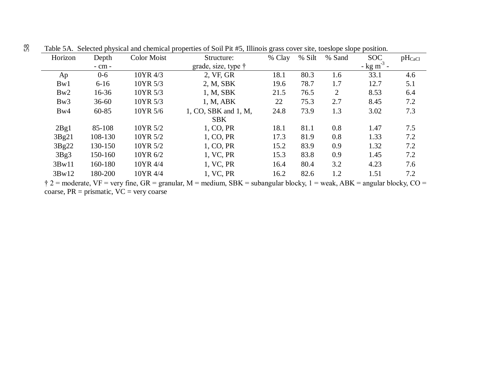| Horizon | Depth      | <b>Color Moist</b> | Structure:                                                                                                                        | % Clay | % Silt | % Sand | <b>SOC</b>               | $pH_{CaCl}$ |
|---------|------------|--------------------|-----------------------------------------------------------------------------------------------------------------------------------|--------|--------|--------|--------------------------|-------------|
|         | $-$ cm $-$ |                    | grade, size, type $\dagger$                                                                                                       |        |        |        | $-$ kg m <sup>-3</sup> - |             |
| Ap      | $0 - 6$    | 10YR 4/3           | 2, VF, GR                                                                                                                         | 18.1   | 80.3   | 1.6    | 33.1                     | 4.6         |
| Bw1     | $6 - 16$   | 10YR 5/3           | 2, M, SBK                                                                                                                         | 19.6   | 78.7   | 1.7    | 12.7                     | 5.1         |
| Bw2     | $16 - 36$  | 10YR 5/3           | 1, M, SBK                                                                                                                         | 21.5   | 76.5   | 2      | 8.53                     | 6.4         |
| Bw3     | $36 - 60$  | 10YR 5/3           | 1, M, ABK                                                                                                                         | 22     | 75.3   | 2.7    | 8.45                     | 7.2         |
| Bw4     | $60 - 85$  | 10YR 5/6           | 1, CO, SBK and 1, M,                                                                                                              | 24.8   | 73.9   | 1.3    | 3.02                     | 7.3         |
|         |            |                    | <b>SBK</b>                                                                                                                        |        |        |        |                          |             |
| 2Bg1    | 85-108     | 10YR 5/2           | 1, CO, PR                                                                                                                         | 18.1   | 81.1   | 0.8    | 1.47                     | 7.5         |
| 3Bg21   | 108-130    | 10YR 5/2           | 1, CO, PR                                                                                                                         | 17.3   | 81.9   | 0.8    | 1.33                     | 7.2         |
| 3Bg22   | 130-150    | 10YR 5/2           | 1, CO, PR                                                                                                                         | 15.2   | 83.9   | 0.9    | 1.32                     | 7.2         |
| 3Bg3    | 150-160    | 10YR 6/2           | 1, VC, PR                                                                                                                         | 15.3   | 83.8   | 0.9    | 1.45                     | 7.2         |
| 3Bw11   | 160-180    | 10YR 4/4           | 1, VC, PR                                                                                                                         | 16.4   | 80.4   | 3.2    | 4.23                     | 7.6         |
| 3Bw12   | 180-200    | 10YR 4/4           | 1, VC, PR                                                                                                                         | 16.2   | 82.6   | 1.2    | 1.51                     | 7.2         |
|         |            |                    | $\uparrow$ 2 = moderate, VF = very fine, GR = granular, M = medium, SBK = subangular blocky, 1 = weak, ABK = angular blocky, CO = |        |        |        |                          |             |

Table 5A. Selected physical and chemical properties of Soil Pit #5, Illinois grass cover site, toeslope slope position.

coarse,  $PR = prismatic$ ,  $VC = very coarse$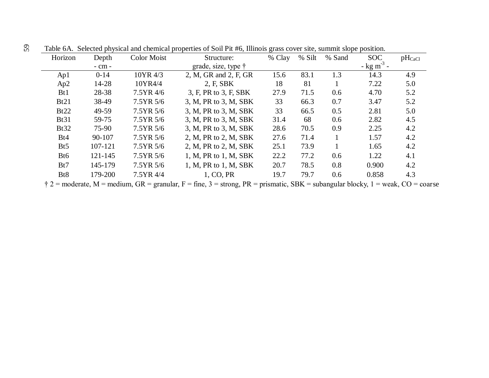| Horizon          | Depth      | <b>Color Moist</b> | Structure:            | % Clay | % Silt | % Sand | <b>SOC</b>               | $pH_{CaCl}$ |
|------------------|------------|--------------------|-----------------------|--------|--------|--------|--------------------------|-------------|
|                  | $-$ cm $-$ |                    | grade, size, type †   |        |        |        | $-$ kg m <sup>-3</sup> - |             |
| Ap1              | $0 - 14$   | 10YR 4/3           | 2, M, GR and 2, F, GR | 15.6   | 83.1   | 1.3    | 14.3                     | 4.9         |
| Ap2              | 14-28      | 10YR4/4            | 2, F, SBK             | 18     | 81     |        | 7.22                     | 5.0         |
| B <sub>t1</sub>  | 28-38      | 7.5YR 4/6          | 3, F, PR to 3, F, SBK | 27.9   | 71.5   | 0.6    | 4.70                     | 5.2         |
| Bt21             | 38-49      | 7.5YR 5/6          | 3, M, PR to 3, M, SBK | 33     | 66.3   | 0.7    | 3.47                     | 5.2         |
| Bt22             | 49-59      | 7.5YR 5/6          | 3, M, PR to 3, M, SBK | 33     | 66.5   | 0.5    | 2.81                     | 5.0         |
| <b>Bt31</b>      | 59-75      | 7.5YR 5/6          | 3, M, PR to 3, M, SBK | 31.4   | 68     | 0.6    | 2.82                     | 4.5         |
| <b>Bt32</b>      | 75-90      | 7.5YR 5/6          | 3, M, PR to 3, M, SBK | 28.6   | 70.5   | 0.9    | 2.25                     | 4.2         |
| Bt4              | 90-107     | 7.5YR 5/6          | 2, M, PR to 2, M, SBK | 27.6   | 71.4   |        | 1.57                     | 4.2         |
| B <sub>t5</sub>  | 107-121    | 7.5YR 5/6          | 2, M, PR to 2, M, SBK | 25.1   | 73.9   |        | 1.65                     | 4.2         |
| Bt6              | 121-145    | 7.5YR 5/6          | 1, M, PR to 1, M, SBK | 22.2   | 77.2   | 0.6    | 1.22                     | 4.1         |
| Bt7              | 145-179    | 7.5YR 5/6          | 1, M, PR to 1, M, SBK | 20.7   | 78.5   | 0.8    | 0.900                    | 4.2         |
| B <sub>t</sub> 8 | 179-200    | 7.5YR 4/4          | 1, CO, PR             | 19.7   | 79.7   | 0.6    | 0.858                    | 4.3         |

Table 6A. Selected physical and chemical properties of Soil Pit #6, Illinois grass cover site, summit slope position. 59

 $\uparrow$  2 = moderate, M = medium, GR = granular, F = fine, 3 = strong, PR = prismatic, SBK = subangular blocky, 1 = weak, CO = coarse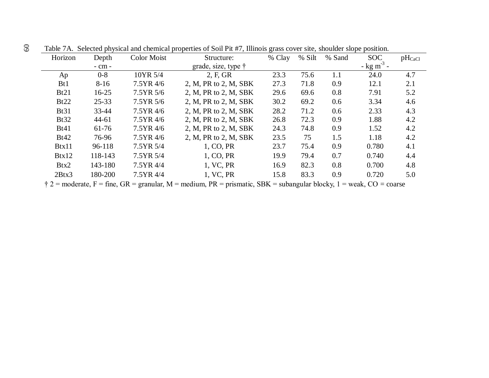| Horizon         | Depth      | <b>Color Moist</b> | Structure:                  | % Clay | % Silt | % Sand | <b>SOC</b>               | $pH_{CaCl}$ |
|-----------------|------------|--------------------|-----------------------------|--------|--------|--------|--------------------------|-------------|
|                 | $-$ cm $-$ |                    | grade, size, type $\dagger$ |        |        |        | $-$ kg m <sup>-3</sup> - |             |
| Ap              | $0 - 8$    | 10YR 5/4           | 2, F, GR                    | 23.3   | 75.6   | 1.1    | 24.0                     | 4.7         |
| B <sub>t1</sub> | $8 - 16$   | 7.5YR 4/6          | 2, M, PR to 2, M, SBK       | 27.3   | 71.8   | 0.9    | 12.1                     | 2.1         |
| Bt21            | $16 - 25$  | 7.5YR 5/6          | 2, M, PR to 2, M, SBK       | 29.6   | 69.6   | 0.8    | 7.91                     | 5.2         |
| Bt22            | $25 - 33$  | 7.5YR 5/6          | 2, M, PR to 2, M, SBK       | 30.2   | 69.2   | 0.6    | 3.34                     | 4.6         |
| <b>Bt31</b>     | 33-44      | 7.5YR 4/6          | 2, M, PR to 2, M, SBK       | 28.2   | 71.2   | 0.6    | 2.33                     | 4.3         |
| Bt32            | $44 - 61$  | 7.5YR 4/6          | 2, M, PR to 2, M, SBK       | 26.8   | 72.3   | 0.9    | 1.88                     | 4.2         |
| Bt41            | $61-76$    | 7.5YR 4/6          | 2, M, PR to 2, M, SBK       | 24.3   | 74.8   | 0.9    | 1.52                     | 4.2         |
| Bt42            | 76-96      | 7.5YR 4/6          | 2, M, PR to 2, M, SBK       | 23.5   | 75     | 1.5    | 1.18                     | 4.2         |
| Btx11           | 96-118     | 7.5YR 5/4          | 1, CO, PR                   | 23.7   | 75.4   | 0.9    | 0.780                    | 4.1         |
| Btx12           | 118-143    | 7.5YR 5/4          | 1, CO, PR                   | 19.9   | 79.4   | 0.7    | 0.740                    | 4.4         |
| Btx2            | 143-180    | 7.5YR 4/4          | 1, VC, PR                   | 16.9   | 82.3   | 0.8    | 0.700                    | 4.8         |
| 2Btx3           | 180-200    | 7.5YR 4/4          | 1, VC, PR                   | 15.8   | 83.3   | 0.9    | 0.720                    | 5.0         |

Table 7A. Selected physical and chemical properties of Soil Pit #7, Illinois grass cover site, shoulder slope position.

 $\ddot{\uparrow}$  2 = moderate, F = fine, GR = granular, M = medium, PR = prismatic, SBK = subangular blocky, 1 = weak, CO = coarse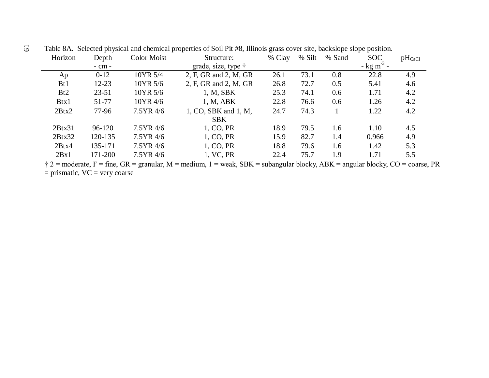| Horizon         | Depth      | <b>Color Moist</b> | Structure:                  | % Clay | % Silt | % Sand | <b>SOC</b>                        | $pH_{CaCl}$ |
|-----------------|------------|--------------------|-----------------------------|--------|--------|--------|-----------------------------------|-------------|
|                 | $-$ cm $-$ |                    | grade, size, type $\dagger$ |        |        |        | $-\frac{\text{kg}}{\text{m}^3}$ - |             |
| Ap              | $0 - 12$   | 10YR 5/4           | 2, F, GR and 2, M, GR       | 26.1   | 73.1   | 0.8    | 22.8                              | 4.9         |
| B <sub>t1</sub> | $12 - 23$  | 10YR 5/6           | 2, F, GR and 2, M, GR       | 26.8   | 72.7   | 0.5    | 5.41                              | 4.6         |
| Bt2             | $23 - 51$  | 10YR 5/6           | 1, M, SBK                   | 25.3   | 74.1   | 0.6    | 1.71                              | 4.2         |
| Btx1            | 51-77      | 10YR 4/6           | 1, M, ABK                   | 22.8   | 76.6   | 0.6    | 1.26                              | 4.2         |
| 2Btx2           | 77-96      | $7.5YR$ 4/6        | 1, CO, SBK and 1, M,        | 24.7   | 74.3   |        | 1.22                              | 4.2         |
|                 |            |                    | <b>SBK</b>                  |        |        |        |                                   |             |
| 2Btx31          | 96-120     | 7.5YR 4/6          | 1, CO, PR                   | 18.9   | 79.5   | 1.6    | 1.10                              | 4.5         |
| 2Btx32          | 120-135    | 7.5YR 4/6          | 1, CO, PR                   | 15.9   | 82.7   | 1.4    | 0.966                             | 4.9         |
| 2Btx4           | 135-171    | $7.5YR$ 4/6        | 1, CO, PR                   | 18.8   | 79.6   | 1.6    | 1.42                              | 5.3         |
| 2Bx1            | 171-200    | 7.5YR 4/6          | 1, VC, PR                   | 22.4   | 75.7   | 1.9    | 1.71                              | 5.5         |

Table 8A. Selected physical and chemical properties of Soil Pit #8, Illinois grass cover site, backslope slope position.

 $\dot{\uparrow}$  2 = moderate, F = fine, GR = granular, M = medium, 1 = weak, SBK = subangular blocky, ABK = angular blocky, CO = coarse, PR  $=$  prismatic,  $VC =$  very coarse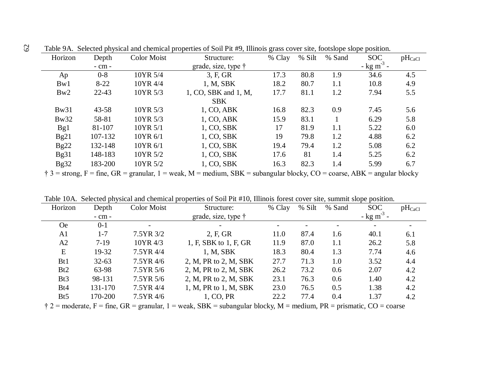| Horizon | Depth      | <b>Color Moist</b> | Structure:           | % Clay | % Silt | % Sand | <b>SOC</b>               | $pH_{CaCl}$ |
|---------|------------|--------------------|----------------------|--------|--------|--------|--------------------------|-------------|
|         | $-$ cm $-$ |                    | grade, size, type †  |        |        |        | $-$ kg m <sup>-3</sup> - |             |
| Ap      | $0 - 8$    | 10YR 5/4           | 3, F, GR             | 17.3   | 80.8   | 1.9    | 34.6                     | 4.5         |
| Bw1     | $8 - 22$   | 10YR 4/4           | 1, M, SBK            | 18.2   | 80.7   | 1.1    | 10.8                     | 4.9         |
| Bw2     | $22 - 43$  | 10YR 5/3           | 1, CO, SBK and 1, M, | 17.7   | 81.1   | 1.2    | 7.94                     | 5.5         |
|         |            |                    | <b>SBK</b>           |        |        |        |                          |             |
| Bw31    | $43 - 58$  | 10YR 5/3           | 1, CO, ABK           | 16.8   | 82.3   | 0.9    | 7.45                     | 5.6         |
| Bw32    | 58-81      | 10YR 5/3           | 1, CO, ABK           | 15.9   | 83.1   |        | 6.29                     | 5.8         |
| Bg1     | 81-107     | 10YR 5/1           | 1, CO, SBK           | 17     | 81.9   | 1.1    | 5.22                     | 6.0         |
| Bg21    | 107-132    | 10YR 6/1           | 1, CO, SBK           | 19     | 79.8   | 1.2    | 4.88                     | 6.2         |
| Bg22    | 132-148    | 10YR 6/1           | 1, CO, SBK           | 19.4   | 79.4   | 1.2    | 5.08                     | 6.2         |
| Bg31    | 148-183    | 10YR 5/2           | 1, CO, SBK           | 17.6   | 81     | 1.4    | 5.25                     | 6.2         |
| Bg32    | 183-200    | 10YR 5/2           | 1, CO, SBK           | 16.3   | 82.3   | 1.4    | 5.99                     | 6.7         |

Table 9A. Selected physical and chemical properties of Soil Pit #9, Illinois grass cover site, footslope slope position.

 $\dagger$  3 = strong, F = fine, GR = granular, 1 = weak, M = medium, SBK = subangular blocky, CO = coarse, ABK = angular blocky

| Horizon         | Depth      | <b>Color Moist</b> | Structure:                  | % Clay | % Silt | % Sand | <b>SOC</b>               | $pH_{CaCl}$                  |
|-----------------|------------|--------------------|-----------------------------|--------|--------|--------|--------------------------|------------------------------|
|                 | $-$ cm $-$ |                    | grade, size, type $\dagger$ |        |        |        | $-$ kg m <sup>-3</sup>   |                              |
| <b>Oe</b>       | $0-1$      |                    | -                           |        |        |        | $\overline{\phantom{0}}$ | $\qquad \qquad \blacksquare$ |
| A <sub>1</sub>  | $1 - 7$    | 7.5YR 3/2          | 2, F, GR                    | 11.0   | 87.4   | 1.6    | 40.1                     | 6.1                          |
| A2              | $7-19$     | 10YR 4/3           | 1, F, SBK to 1, F, GR       | 11.9   | 87.0   | 1.1    | 26.2                     | 5.8                          |
| E               | 19-32      | 7.5YR 4/4          | 1, M, SBK                   | 18.3   | 80.4   | 1.3    | 7.74                     | 4.6                          |
| B <sub>t1</sub> | $32 - 63$  | $7.5YR$ 4/6        | 2, M, PR to 2, M, SBK       | 27.7   | 71.3   | 1.0    | 3.52                     | 4.4                          |
| Bt2             | 63-98      | 7.5YR 5/6          | 2, M, PR to 2, M, SBK       | 26.2   | 73.2   | 0.6    | 2.07                     | 4.2                          |
| Bt3             | 98-131     | 7.5YR 5/6          | 2, M, PR to 2, M, SBK       | 23.1   | 76.3   | 0.6    | 1.40                     | 4.2                          |
| Bt4             | 131-170    | 7.5YR 4/4          | 1, M, PR to 1, M, SBK       | 23.0   | 76.5   | 0.5    | 1.38                     | 4.2                          |
| B <sub>t5</sub> | 170-200    | 7.5YR 4/6          | 1, CO, PR                   | 22.2   | 77.4   | 0.4    | 1.37                     | 4.2                          |

Table 10A. Selected physical and chemical properties of Soil Pit #10, Illinois forest cover site, summit slope position.

 $\ddot{\tau}$  2 = moderate, F = fine, GR = granular, 1 = weak, SBK = subangular blocky, M = medium, PR = prismatic, CO = coarse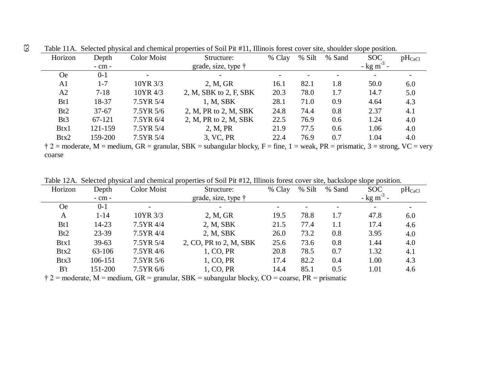| Horizon         | Depth      | Color Moist  | Structure:                                                                                                                                                                              | % Clay | % Silt | % Sand | <b>SOC</b>               | $pH_{CaCl}$ |
|-----------------|------------|--------------|-----------------------------------------------------------------------------------------------------------------------------------------------------------------------------------------|--------|--------|--------|--------------------------|-------------|
|                 | $-$ cm $-$ |              | grade, size, type $\dagger$                                                                                                                                                             |        |        |        | $-$ kg m <sup>-3</sup> - |             |
| <b>Oe</b>       | $0 - 1$    |              |                                                                                                                                                                                         |        |        |        |                          |             |
| A <sub>1</sub>  | 1-7        | 10YR 3/3     | 2, M, GR                                                                                                                                                                                | 16.1   | 82.1   | 1.8    | 50.0                     | 6.0         |
| A2              | $7 - 18$   | 10YR 4/3     | 2, M, SBK to 2, F, SBK                                                                                                                                                                  | 20.3   | 78.0   | 1.7    | 14.7                     | 5.0         |
| B <sub>t1</sub> | 18-37      | 7.5YR 5/4    | 1, M, SBK                                                                                                                                                                               | 28.1   | 71.0   | 0.9    | 4.64                     | 4.3         |
| Bt2             | $37 - 67$  | $7.5YR\,5/6$ | 2, M, PR to 2, M, SBK                                                                                                                                                                   | 24.8   | 74.4   | 0.8    | 2.37                     | 4.1         |
| Bt <sub>3</sub> | 67-121     | 7.5YR 6/4    | 2, M, PR to 2, M, SBK                                                                                                                                                                   | 22.5   | 76.9   | 0.6    | 1.24                     | 4.0         |
| Btx1            | 121-159    | 7.5YR 5/4    | 2, M, PR                                                                                                                                                                                | 21.9   | 77.5   | 0.6    | 1.06                     | 4.0         |
| Btx2            | 159-200    | 7.5YR 5/4    | 3, VC, PR                                                                                                                                                                               | 22.4   | 76.9   | 0.7    | 1.04                     | 4.0         |
|                 |            |              | $\pm$ 2 = moderate M = modium $\overline{CD}$ = grapular $\overline{SR}$ = cubangular blocky $\overline{E}$ = fine 1 = weak $\overline{DD}$ = prismatic 3 = strong $\overline{MC}$ = ve |        |        |        |                          |             |

Table 11A. Selected physical and chemical properties of Soil Pit #11, Illinois forest cover site, shoulder slope position.

 $\dagger$  2 = moderate, M = medium, GR = granular, SBK = subangular blocky, F = fine, 1 = weak, PR = prismatic, 3 = strong, VC = very coarse

Table 12A. Selected physical and chemical properties of Soil Pit #12, Illinois forest cover site, backslope slope position.

| Horizon         | Depth      | <b>Color Moist</b> | Structure:                  | % Clay | % Silt | % Sand | <b>SOC</b>               | $pH_{CaCl}$ |
|-----------------|------------|--------------------|-----------------------------|--------|--------|--------|--------------------------|-------------|
|                 | $-$ cm $-$ |                    | grade, size, type $\dagger$ |        |        |        | $-$ kg m <sup>-3</sup> - |             |
| <b>Oe</b>       | $0 - 1$    |                    |                             |        |        |        |                          |             |
| A               | $1 - 14$   | 10YR 3/3           | 2, M, GR                    | 19.5   | 78.8   | 1.7    | 47.8                     | 6.0         |
| B <sub>t1</sub> | 14-23      | 7.5YR 4/4          | 2, M, SBK                   | 21.5   | 77.4   | 1.1    | 17.4                     | 4.6         |
| Bt2             | $23 - 39$  | 7.5YR 4/4          | 2, M, SBK                   | 26.0   | 73.2   | 0.8    | 3.95                     | 4.0         |
| Btx1            | $39 - 63$  | 7.5YR 5/4          | 2, CO, PR to 2, M, SBK      | 25.6   | 73.6   | 0.8    | 1.44                     | 4.0         |
| Btx2            | 63-106     | 7.5YR 4/6          | 1, CO, PR                   | 20.8   | 78.5   | 0.7    | 1.32                     | 4.1         |
| Btx3            | 106-151    | 7.5YR 5/6          | 1, CO, PR                   | 17.4   | 82.2   | 0.4    | 1.00                     | 4.3         |
| B't             | 151-200    | 7.5YR 6/6          | 1, CO, PR                   | 14.4   | 85.1   | 0.5    | 1.01                     | 4.6         |

 $\dot{\uparrow}$  2 = moderate, M = medium, GR = granular, SBK = subangular blocky, CO = coarse, PR = prismatic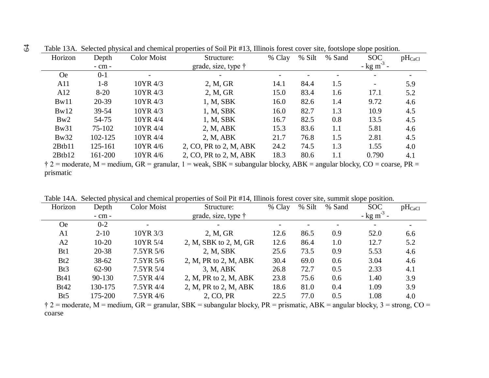| Horizon     | Depth      | <b>Color Moist</b> | Structure:                  | % Clay | % Silt | % Sand | <b>SOC</b>               | $pH_{CaCl}$ |
|-------------|------------|--------------------|-----------------------------|--------|--------|--------|--------------------------|-------------|
|             | $-$ cm $-$ |                    | grade, size, type $\dagger$ |        |        |        | $-$ kg m <sup>-3</sup> - |             |
| <b>Oe</b>   | $0 - 1$    |                    |                             |        |        |        |                          |             |
| A11         | $1 - 8$    | 10YR 4/3           | 2, M, GR                    | 14.1   | 84.4   | 1.5    |                          | 5.9         |
| A12         | $8 - 20$   | 10YR 4/3           | 2, M, GR                    | 15.0   | 83.4   | 1.6    | 17.1                     | 5.2         |
| Bw11        | 20-39      | 10YR 4/3           | 1, M, SBK                   | 16.0   | 82.6   | 1.4    | 9.72                     | 4.6         |
| Bw12        | 39-54      | 10YR 4/3           | 1, M, SBK                   | 16.0   | 82.7   | 1.3    | 10.9                     | 4.5         |
| Bw2         | 54-75      | 10YR 4/4           | 1, M, SBK                   | 16.7   | 82.5   | 0.8    | 13.5                     | 4.5         |
| <b>Bw31</b> | 75-102     | 10YR 4/4           | 2, M, ABK                   | 15.3   | 83.6   | 1.1    | 5.81                     | 4.6         |
| Bw32        | 102-125    | 10YR 4/4           | 2, M, ABK                   | 21.7   | 76.8   | 1.5    | 2.81                     | 4.5         |
| 2Btb11      | 125-161    | 10YR 4/6           | 2, CO, PR to 2, M, ABK      | 24.2   | 74.5   | 1.3    | 1.55                     | 4.0         |
| 2Btb12      | 161-200    | 10YR 4/6           | 2, CO, PR to 2, M, ABK      | 18.3   | 80.6   | 1.1    | 0.790                    | 4.1         |

Table 13A. Selected physical and chemical properties of Soil Pit #13, Illinois forest cover site, footslope slope position.

 $\dagger$  2 = moderate, M = medium, GR = granular, 1 = weak, SBK = subangular blocky, ABK = angular blocky, CO = coarse, PR = prismatic

|                 | Tuble T if i. Delected physical and chemical properties of bon FR #11, millions forest cover she, summit slope position. |             |                                                                                                                                     |        |        |        |                          |             |  |  |  |
|-----------------|--------------------------------------------------------------------------------------------------------------------------|-------------|-------------------------------------------------------------------------------------------------------------------------------------|--------|--------|--------|--------------------------|-------------|--|--|--|
| Horizon         | Depth                                                                                                                    | Color Moist | Structure:                                                                                                                          | % Clay | % Silt | % Sand | <b>SOC</b>               | $pH_{CaCl}$ |  |  |  |
|                 | $-$ cm $-$                                                                                                               |             | grade, size, type $\dagger$                                                                                                         |        |        |        | $-$ kg m <sup>-3</sup> - |             |  |  |  |
| <b>Oe</b>       | $0 - 2$                                                                                                                  |             |                                                                                                                                     |        |        |        |                          |             |  |  |  |
| A1              | $2 - 10$                                                                                                                 | 10YR 3/3    | 2, M, GR                                                                                                                            | 12.6   | 86.5   | 0.9    | 52.0                     | 6.6         |  |  |  |
| A2              | $10 - 20$                                                                                                                | 10YR 5/4    | 2, M, SBK to 2, M, GR                                                                                                               | 12.6   | 86.4   | 1.0    | 12.7                     | 5.2         |  |  |  |
| B <sub>t1</sub> | $20 - 38$                                                                                                                | 7.5YR 5/6   | 2, M, SBK                                                                                                                           | 25.6   | 73.5   | 0.9    | 5.53                     | 4.6         |  |  |  |
| Bt2             | $38 - 62$                                                                                                                | 7.5YR 5/6   | 2, M, PR to 2, M, ABK                                                                                                               | 30.4   | 69.0   | 0.6    | 3.04                     | 4.6         |  |  |  |
| Bt <sub>3</sub> | $62 - 90$                                                                                                                | 7.5YR 5/4   | 3, M, ABK                                                                                                                           | 26.8   | 72.7   | 0.5    | 2.33                     | 4.1         |  |  |  |
| <b>Bt41</b>     | 90-130                                                                                                                   | 7.5YR 4/4   | 2, M, PR to 2, M, ABK                                                                                                               | 23.8   | 75.6   | 0.6    | 1.40                     | 3.9         |  |  |  |
| Bt42            | 130-175                                                                                                                  | 7.5YR 4/4   | 2, M, PR to 2, M, ABK                                                                                                               | 18.6   | 81.0   | 0.4    | 1.09                     | 3.9         |  |  |  |
| B <sub>t5</sub> | 175-200                                                                                                                  | 7.5YR 4/6   | 2, CO, PR                                                                                                                           | 22.5   | 77.0   | 0.5    | 1.08                     | 4.0         |  |  |  |
|                 |                                                                                                                          |             | $\dot{\tau}$ 2 = moderate, M = medium, GR = granular, SBK = subangular blocky, PR = prismatic, ABK = angular blocky, 3 = strong, CO |        |        |        |                          |             |  |  |  |

Table 14A. Selected physical and chemical properties of Soil Pit #14, Illinois forest cover site, summit slope position.

 $\dagger$  2 = moderate, M = medium, GR = granular, SBK = subangular blocky, PR = prismatic, ABK = angular blocky, 3 = strong, CO = coarse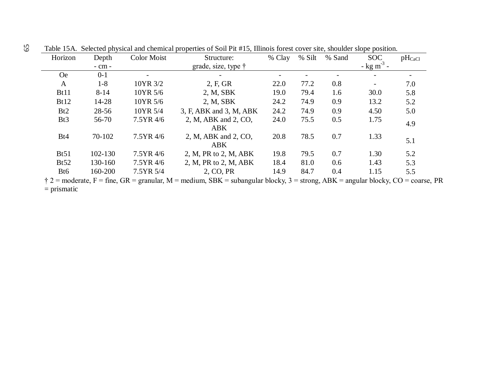| Horizon         | Depth       | <b>Color Moist</b> | Structure:                         | % Clay | % Silt | % Sand | <b>SOC</b>               | $pH_{CaCl}$ |
|-----------------|-------------|--------------------|------------------------------------|--------|--------|--------|--------------------------|-------------|
|                 | $-$ cm $-$  |                    | grade, size, type $\dagger$        |        |        |        | $-$ kg m <sup>-3</sup> - |             |
| <b>Oe</b>       | $0-1$       | Ξ.                 |                                    |        |        |        |                          |             |
| A               | $1 - 8$     | 10YR 3/2           | 2, F, GR                           | 22.0   | 77.2   | 0.8    |                          | 7.0         |
| Bt11            | $8 - 14$    | 10YR 5/6           | 2, M, SBK                          | 19.0   | 79.4   | 1.6    | 30.0                     | 5.8         |
| Bt12            | 14-28       | 10YR 5/6           | 2, M, SBK                          | 24.2   | 74.9   | 0.9    | 13.2                     | 5.2         |
| Bt2             | $28 - 56$   | 10YR 5/4           | 3, F, ABK and 3, M, ABK            | 24.2   | 74.9   | 0.9    | 4.50                     | 5.0         |
| Bt <sub>3</sub> | 56-70       | 7.5YR 4/6          | 2, M, ABK and 2, CO,<br><b>ABK</b> | 24.0   | 75.5   | 0.5    | 1.75                     | 4.9         |
| Bt4             | 70-102      | 7.5YR 4/6          | 2, M, ABK and 2, CO,<br><b>ABK</b> | 20.8   | 78.5   | 0.7    | 1.33                     | 5.1         |
| Bt51            | $102 - 130$ | 7.5YR 4/6          | 2, M, PR to 2, M, ABK              | 19.8   | 79.5   | 0.7    | 1.30                     | 5.2         |
| Bt52            | 130-160     | 7.5YR 4/6          | 2, M, PR to 2, M, ABK              | 18.4   | 81.0   | 0.6    | 1.43                     | 5.3         |
| Bt6             | 160-200     | 7.5YR 5/4          | 2, CO, PR                          | 14.9   | 84.7   | 0.4    | 1.15                     | 5.5         |

Table 15A. Selected physical and chemical properties of Soil Pit #15, Illinois forest cover site, shoulder slope position.

 $\dot{\uparrow}$  2 = moderate, F = fine, GR = granular, M = medium, SBK = subangular blocky, 3 = strong, ABK = angular blocky, CO = coarse, PR = prismatic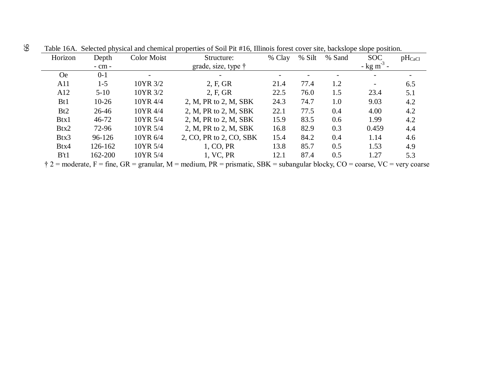| Horizon         | Depth      | <b>Color Moist</b> | Structure:                  | % Clay | % Silt | % Sand | <b>SOC</b>             | $pH_{CaCl}$ |
|-----------------|------------|--------------------|-----------------------------|--------|--------|--------|------------------------|-------------|
|                 | $-$ cm $-$ |                    | grade, size, type $\dagger$ |        |        |        | $-$ kg m <sup>-3</sup> |             |
| <b>Oe</b>       | $0 - 1$    | -                  |                             |        |        |        |                        |             |
| A11             | $1 - 5$    | 10YR 3/2           | 2, F, GR                    | 21.4   | 77.4   | 1.2    |                        | 6.5         |
| A12             | $5 - 10$   | 10YR 3/2           | 2, F, GR                    | 22.5   | 76.0   | 1.5    | 23.4                   | 5.1         |
| B <sub>t1</sub> | $10-26$    | 10YR 4/4           | 2, M, PR to 2, M, SBK       | 24.3   | 74.7   | 1.0    | 9.03                   | 4.2         |
| B <sub>t2</sub> | 26-46      | 10YR 4/4           | 2, M, PR to 2, M, SBK       | 22.1   | 77.5   | 0.4    | 4.00                   | 4.2         |
| Btx1            | $46 - 72$  | 10YR 5/4           | 2, M, PR to 2, M, SBK       | 15.9   | 83.5   | 0.6    | 1.99                   | 4.2         |
| Btx2            | 72-96      | 10YR 5/4           | 2, M, PR to 2, M, SBK       | 16.8   | 82.9   | 0.3    | 0.459                  | 4.4         |
| Btx3            | 96-126     | 10YR 6/4           | 2, CO, PR to 2, CO, SBK     | 15.4   | 84.2   | 0.4    | 1.14                   | 4.6         |
| Btx4            | 126-162    | 10YR 5/4           | 1, CO, PR                   | 13.8   | 85.7   | 0.5    | 1.53                   | 4.9         |
| B't1            | 162-200    | 10YR 5/4           | 1, VC, PR                   | 12.1   | 87.4   | 0.5    | 1.27                   | 5.3         |

Table 16A. Selected physical and chemical properties of Soil Pit #16, Illinois forest cover site, backslope slope position.

 $\dagger$  2 = moderate, F = fine, GR = granular, M = medium, PR = prismatic, SBK = subangular blocky, CO = coarse, VC = very coarse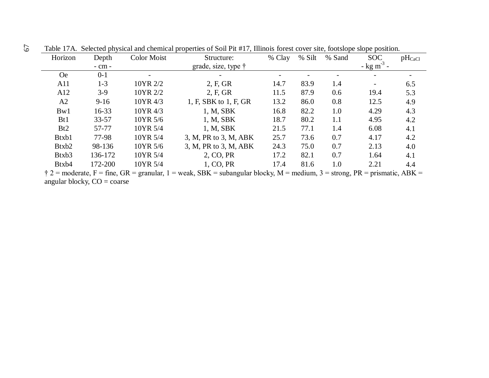| Horizon   | Depth      | <b>Color Moist</b> | Structure:                                                                                                                                                              | % Clay | % Silt | % Sand | <b>SOC</b>               | $pH_{CaCl}$ |
|-----------|------------|--------------------|-------------------------------------------------------------------------------------------------------------------------------------------------------------------------|--------|--------|--------|--------------------------|-------------|
|           | $-$ cm $-$ |                    | grade, size, type $\dagger$                                                                                                                                             |        |        |        | $-$ kg m <sup>-3</sup> - |             |
| <b>Oe</b> | $0 - 1$    |                    |                                                                                                                                                                         | -      |        |        |                          |             |
| A11       | $1 - 3$    | 10YR 2/2           | 2, F, GR                                                                                                                                                                | 14.7   | 83.9   | 1.4    |                          | 6.5         |
| A12       | $3-9$      | 10YR 2/2           | 2, F, GR                                                                                                                                                                | 11.5   | 87.9   | 0.6    | 19.4                     | 5.3         |
| A2        | $9-16$     | 10YR 4/3           | 1, F, SBK to 1, F, GR                                                                                                                                                   | 13.2   | 86.0   | 0.8    | 12.5                     | 4.9         |
| Bw1       | 16-33      | 10YR 4/3           | 1, M, SBK                                                                                                                                                               | 16.8   | 82.2   | 1.0    | 4.29                     | 4.3         |
| Bt1       | $33 - 57$  | 10YR 5/6           | 1, M, SBK                                                                                                                                                               | 18.7   | 80.2   | 1.1    | 4.95                     | 4.2         |
| Bt2       | 57-77      | 10YR 5/4           | 1, M, SBK                                                                                                                                                               | 21.5   | 77.1   | 1.4    | 6.08                     | 4.1         |
| Btxb1     | 77-98      | 10YR 5/4           | 3, M, PR to 3, M, ABK                                                                                                                                                   | 25.7   | 73.6   | 0.7    | 4.17                     | 4.2         |
| Btxb2     | 98-136     | 10YR 5/6           | 3, M, PR to 3, M, ABK                                                                                                                                                   | 24.3   | 75.0   | 0.7    | 2.13                     | 4.0         |
| Btxb3     | 136-172    | 10YR 5/4           | 2, CO, PR                                                                                                                                                               | 17.2   | 82.1   | 0.7    | 1.64                     | 4.1         |
| Btxb4     | 172-200    | 10YR 5/4           | 1, CO, PR                                                                                                                                                               | 17.4   | 81.6   | 1.0    | 2.21                     | 4.4         |
|           |            |                    | $\frac{1}{2}$ 2 = moderate $E = \text{frac } CD = \text{normaler} 1$ = weak $CDV = \text{subanalytic block} M = \text{modium} 2$ = strong $DD = \text{priematic} ADV =$ |        |        |        |                          |             |

Table 17A. Selected physical and chemical properties of Soil Pit #17, Illinois forest cover site, footslope slope position.

 $\dagger$  2 = moderate, F = fine, GR = granular, 1 = weak, SBK = subangular blocky, M = medium, 3 = strong, PR = prismatic, ABK angular blocky, CO = coarse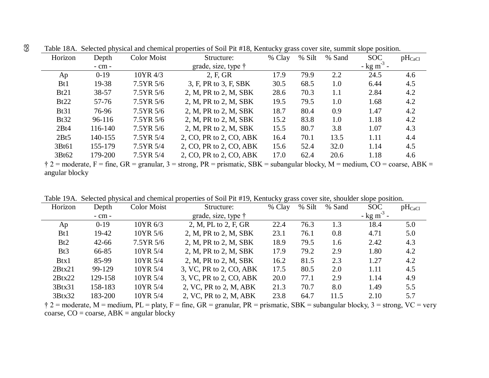| Horizon         | Depth       | Color Moist | Structure:                  | % Clay | % Silt | % Sand | <b>SOC</b>             | $pH_{CaCl}$ |
|-----------------|-------------|-------------|-----------------------------|--------|--------|--------|------------------------|-------------|
|                 | $-$ cm $-$  |             | grade, size, type $\dagger$ |        |        |        | $-$ kg m <sup>-3</sup> |             |
| Ap              | $0-19$      | 10YR 4/3    | 2, F, GR                    | 17.9   | 79.9   | 2.2    | 24.5                   | 4.6         |
| B <sub>t1</sub> | 19-38       | 7.5YR 5/6   | 3, F, PR to 3, F, SBK       | 30.5   | 68.5   | 1.0    | 6.44                   | 4.5         |
| Bt21            | $38 - 57$   | 7.5YR 5/6   | 2, M, PR to 2, M, SBK       | 28.6   | 70.3   | 1.1    | 2.84                   | 4.2         |
| Bt22            | $57 - 76$   | 7.5YR 5/6   | 2, M, PR to 2, M, SBK       | 19.5   | 79.5   | 1.0    | 1.68                   | 4.2         |
| <b>Bt31</b>     | 76-96       | 7.5YR 5/6   | 2, M, PR to 2, M, SBK       | 18.7   | 80.4   | 0.9    | 1.47                   | 4.2         |
| Bt32            | 96-116      | 7.5YR 5/6   | 2, M, PR to 2, M, SBK       | 15.2   | 83.8   | 1.0    | 1.18                   | 4.2         |
| 2Bt4            | $116 - 140$ | 7.5YR 5/6   | 2, M, PR to 2, M, SBK       | 15.5   | 80.7   | 3.8    | 1.07                   | 4.3         |
| 2Bt5            | 140-155     | 7.5YR 5/4   | 2, CO, PR to 2, CO, ABK     | 16.4   | 70.1   | 13.5   | 1.11                   | 4.4         |
| 3Bt61           | 155-179     | 7.5YR 5/4   | 2, CO, PR to 2, CO, ABK     | 15.6   | 52.4   | 32.0   | 1.14                   | 4.5         |
| 3Bt62           | 179-200     | 7.5YR 5/4   | 2, CO, PR to 2, CO, ABK     | 17.0   | 62.4   | 20.6   | 1.18                   | 4.6         |
|                 |             |             |                             |        |        |        |                        |             |

Table 18A. Selected physical and chemical properties of Soil Pit #18, Kentucky grass cover site, summit slope position.

 $\dagger$  2 = moderate, F = fine, GR = granular, 3 = strong, PR = prismatic, SBK = subangular blocky, M = medium, CO = coarse, ABK = angular blocky

| Horizon         | Depth      | <b>Color Moist</b> | Structure:                  | כז ע<br>% Clay | % Silt | % Sand | <b>SOC</b>               | $pH_{CaCl}$ |
|-----------------|------------|--------------------|-----------------------------|----------------|--------|--------|--------------------------|-------------|
|                 | $-$ cm $-$ |                    | grade, size, type $\dagger$ |                |        |        | $-$ kg m <sup>-3</sup> - |             |
| Ap              | $0-19$     | 10YR 6/3           | 2, M, PL to 2, F, GR        | 22.4           | 76.3   | 1.3    | 18.4                     | 5.0         |
| B <sub>t1</sub> | 19-42      | 10YR 5/6           | 2, M, PR to 2, M, SBK       | 23.1           | 76.1   | 0.8    | 4.71                     | 5.0         |
| Bt2             | $42 - 66$  | 7.5YR 5/6          | 2, M, PR to 2, M, SBK       | 18.9           | 79.5   | 1.6    | 2.42                     | 4.3         |
| Bt3             | 66-85      | 10YR 5/4           | 2, M, PR to 2, M, SBK       | 17.9           | 79.2   | 2.9    | 1.80                     | 4.2         |
| Btx1            | 85-99      | 10YR 5/4           | 2, M, PR to 2, M, SBK       | 16.2           | 81.5   | 2.3    | 1.27                     | 4.2         |
| 2Btx21          | 99-129     | 10YR 5/4           | 3, VC, PR to 2, CO, ABK     | 17.5           | 80.5   | 2.0    | 1.11                     | 4.5         |
| 2Btx22          | 129-158    | 10YR 5/4           | 3, VC, PR to 2, CO, ABK     | 20.0           | 77.1   | 2.9    | 1.14                     | 4.9         |
| 3Btx31          | 158-183    | 10YR 5/4           | 2, VC, PR to 2, M, ABK      | 21.3           | 70.7   | 8.0    | 1.49                     | 5.5         |
| 3Btx32          | 183-200    | 10YR 5/4           | 2, VC, PR to 2, M, ABK      | 23.8           | 64.7   | 11.5   | 2.10                     | 5.7         |
|                 |            |                    |                             |                |        |        |                          |             |

Table 19A. Selected physical and chemical properties of Soil Pit #19, Kentucky grass cover site, shoulder slope position.

 $\uparrow$  2 = moderate, M = medium, PL = platy, F = fine, GR = granular, PR = prismatic, SBK = subangular blocky, 3 = strong, VC = very coarse,  $CO = \text{coarse}$ ,  $ABK = \text{angular blocky}$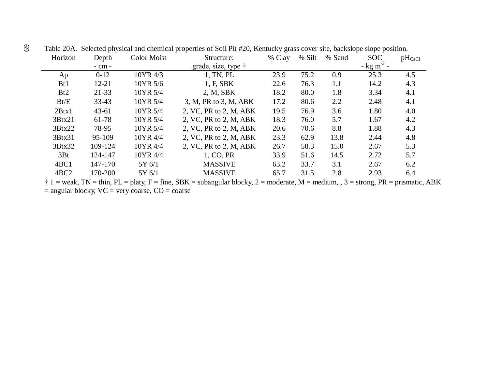| Horizon          | Depth      | <b>Color Moist</b> | Structure:                  | % Clay | % Silt | % Sand | <b>SOC</b>               | $pH_{CaCl}$ |
|------------------|------------|--------------------|-----------------------------|--------|--------|--------|--------------------------|-------------|
|                  | $-$ cm $-$ |                    | grade, size, type $\dagger$ |        |        |        | $-$ kg m <sup>-3</sup> - |             |
| Ap               | $0-12$     | 10YR 4/3           | 1, TN, PL                   | 23.9   | 75.2   | 0.9    | 25.3                     | 4.5         |
| B <sub>t1</sub>  | $12 - 21$  | 10YR 5/6           | 1, F, SBK                   | 22.6   | 76.3   | 1.1    | 14.2                     | 4.3         |
| Bt2              | $21 - 33$  | 10YR 5/4           | 2, M, SBK                   | 18.2   | 80.0   | 1.8    | 3.34                     | 4.1         |
| Bt/E             | $33 - 43$  | 10YR 5/4           | 3, M, PR to 3, M, ABK       | 17.2   | 80.6   | 2.2    | 2.48                     | 4.1         |
| 2Btx1            | $43 - 61$  | 10YR 5/4           | 2, VC, PR to 2, M, ABK      | 19.5   | 76.9   | 3.6    | 1.80                     | 4.0         |
| 3Btx21           | 61-78      | 10YR 5/4           | 2, VC, PR to 2, M, ABK      | 18.3   | 76.0   | 5.7    | 1.67                     | 4.2         |
| 3Btx22           | 78-95      | 10YR 5/4           | 2, VC, PR to 2, M, ABK      | 20.6   | 70.6   | 8.8    | 1.88                     | 4.3         |
| 3Btx31           | 95-109     | 10YR 4/4           | 2, VC, PR to 2, M, ABK      | 23.3   | 62.9   | 13.8   | 2.44                     | 4.8         |
| 3Btx32           | 109-124    | 10YR 4/4           | 2, VC, PR to 2, M, ABK      | 26.7   | 58.3   | 15.0   | 2.67                     | 5.3         |
| 3Bt              | 124-147    | 10YR 4/4           | 1, CO, PR                   | 33.9   | 51.6   | 14.5   | 2.72                     | 5.7         |
| 4BC1             | 147-170    | 5Y 6/1             | <b>MASSIVE</b>              | 63.2   | 33.7   | 3.1    | 2.67                     | 6.2         |
| 4BC <sub>2</sub> | 170-200    | 5Y 6/1             | <b>MASSIVE</b>              | 65.7   | 31.5   | 2.8    | 2.93                     | 6.4         |

Table 20A. Selected physical and chemical properties of Soil Pit #20, Kentucky grass cover site, backslope slope position.

 $\dagger$  1 = weak, TN = thin, PL = platy, F = fine, SBK = subangular blocky, 2 = moderate, M = medium, , 3 = strong, PR = prismatic, ABK  $=$  angular blocky,  $VC =$  very coarse,  $CO =$  coarse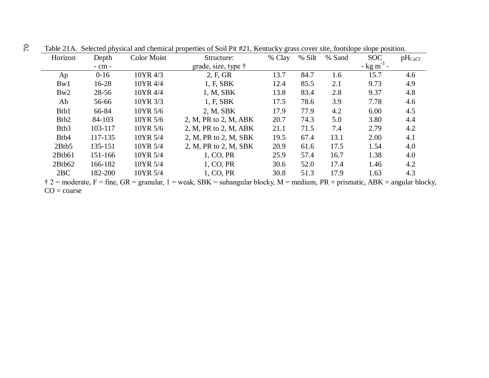| Horizon           | Depth      | <b>Color Moist</b> | Structure:            | % Clay | % Silt | % Sand | <b>SOC</b>               | $pH_{CaCl}$ |
|-------------------|------------|--------------------|-----------------------|--------|--------|--------|--------------------------|-------------|
|                   | $-$ cm $-$ |                    | grade, size, type †   |        |        |        | $-$ kg m <sup>-3</sup> - |             |
| Ap                | $0 - 16$   | 10YR 4/3           | 2, F, GR              | 13.7   | 84.7   | 1.6    | 15.7                     | 4.6         |
| Bw1               | $16 - 28$  | 10YR 4/4           | 1, F, SBK             | 12.4   | 85.5   | 2.1    | 9.73                     | 4.9         |
| Bw2               | 28-56      | 10YR 4/4           | 1, M, SBK             | 13.8   | 83.4   | 2.8    | 9.37                     | 4.8         |
| Ab                | 56-66      | 10YR 3/3           | 1, F, SBK             | 17.5   | 78.6   | 3.9    | 7.78                     | 4.6         |
| Btb1              | 66-84      | 10YR 5/6           | 2, M, SBK             | 17.9   | 77.9   | 4.2    | 6.00                     | 4.5         |
| B <sub>tb2</sub>  | 84-103     | 10YR 5/6           | 2, M, PR to 2, M, ABK | 20.7   | 74.3   | 5.0    | 3.80                     | 4.4         |
| B <sub>tb</sub> 3 | 103-117    | 10YR 5/6           | 2, M, PR to 2, M, ABK | 21.1   | 71.5   | 7.4    | 2.79                     | 4.2         |
| B <sub>tb</sub> 4 | 117-135    | 10YR 5/4           | 2, M, PR to 2, M, SBK | 19.5   | 67.4   | 13.1   | 2.00                     | 4.1         |
| 2Btb5             | 135-151    | 10YR 5/4           | 2, M, PR to 2, M, SBK | 20.9   | 61.6   | 17.5   | 1.54                     | 4.0         |
| 2Btb61            | 151-166    | 10YR 5/4           | 1, CO, PR             | 25.9   | 57.4   | 16.7   | 1.38                     | 4.0         |
| 2Btb62            | 166-182    | 10YR 5/4           | 1, CO, PR             | 30.6   | 52.0   | 17.4   | 1.46                     | 4.2         |
| 2BC               | 182-200    | 10YR 5/4           | 1, CO, PR             | 30.8   | 51.3   | 17.9   | 1.63                     | 4.3         |
|                   |            | $\cap$ $\Gamma$    | $G_{\bf D}$           |        |        |        | $\sqrt{2}$               |             |

Table 21A. Selected physical and chemical properties of Soil Pit #21, Kentucky grass cover site, footslope slope position.

 $\ddot{\tau}$  2 = moderate, F = fine, GR = granular, 1 = weak, SBK = subangular blocky, M = medium, PR = prismatic, ABK = angular blocky,  $CO = \text{coarse}$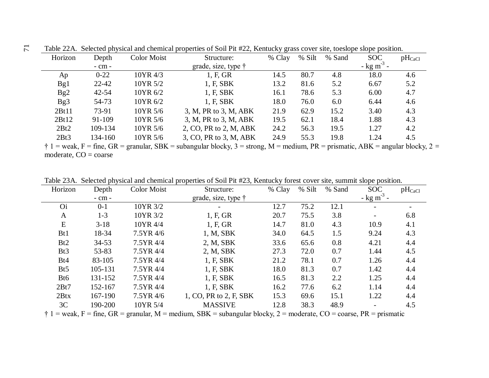| Horizon | Depth      | Color Moist | Structure:                  | % Clay | % Silt | % Sand | <b>SOC</b>               | $pH_{CaCl}$ |
|---------|------------|-------------|-----------------------------|--------|--------|--------|--------------------------|-------------|
|         | $-$ cm $-$ |             | grade, size, type $\dagger$ |        |        |        | $-$ kg m <sup>-3</sup> - |             |
| Ap      | $0 - 22$   | 10YR 4/3    | 1, F, GR                    | 14.5   | 80.7   | 4.8    | 18.0                     | 4.6         |
| Bg1     | $22 - 42$  | 10YR 5/2    | 1, F, SBK                   | 13.2   | 81.6   | 5.2    | 6.67                     | 5.2         |
| Bg2     | $42 - 54$  | 10YR 6/2    | 1, F, SBK                   | 16.1   | 78.6   | 5.3    | 6.00                     | 4.7         |
| Bg3     | 54-73      | 10YR 6/2    | 1, F, SBK                   | 18.0   | 76.0   | 6.0    | 6.44                     | 4.6         |
| 2Bt11   | 73-91      | 10YR 5/6    | 3, M, PR to 3, M, ABK       | 21.9   | 62.9   | 15.2   | 3.40                     | 4.3         |
| 2Bt12   | 91-109     | 10YR 5/6    | 3, M, PR to 3, M, ABK       | 19.5   | 62.1   | 18.4   | 1.88                     | 4.3         |
| 2Bt2    | 109-134    | 10YR 5/6    | 2, CO, PR to 2, M, ABK      | 24.2   | 56.3   | 19.5   | 1.27                     | 4.2         |
| 2Bt3    | 134-160    | 10YR 5/6    | 3, CO, PR to 3, M, ABK      | 24.9   | 55.3   | 19.8   | 1.24                     | 4.5         |

Table 22A. Selected physical and chemical properties of Soil Pit #22, Kentucky grass cover site, toeslope slope position.

 $\dagger$  1 = weak, F = fine, GR = granular, SBK = subangular blocky, 3 = strong, M = medium, PR = prismatic, ABK = angular blocky, 2 = moderate,  $CO = \text{coarse}$ 

Table 23A. Selected physical and chemical properties of Soil Pit #23, Kentucky forest cover site, summit slope position.

| Horizon         | Depth     | <b>Color Moist</b> | Structure:                  | % Clay | % Silt | % Sand | <b>SOC</b>               | $pH_{CaCl}$ |
|-----------------|-----------|--------------------|-----------------------------|--------|--------|--------|--------------------------|-------------|
|                 | - cm -    |                    | grade, size, type $\dagger$ |        |        |        | $-$ kg m <sup>-3</sup> - |             |
| Oi              | $0 - 1$   | 10YR 3/2           | $\overline{\phantom{a}}$    | 12.7   | 75.2   | 12.1   |                          |             |
| A               | $1-3$     | 10YR 3/2           | 1, F, GR                    | 20.7   | 75.5   | 3.8    |                          | 6.8         |
| E               | $3 - 18$  | 10YR 4/4           | 1, F, GR                    | 14.7   | 81.0   | 4.3    | 10.9                     | 4.1         |
| B <sub>t1</sub> | 18-34     | 7.5YR 4/6          | 1, M, SBK                   | 34.0   | 64.5   | 1.5    | 9.24                     | 4.3         |
| Bt2             | $34 - 53$ | 7.5YR 4/4          | 2, M, SBK                   | 33.6   | 65.6   | 0.8    | 4.21                     | 4.4         |
| Bt <sub>3</sub> | 53-83     | 7.5YR 4/4          | 2, M, SBK                   | 27.3   | 72.0   | 0.7    | 1.44                     | 4.5         |
| Bt4             | 83-105    | 7.5YR 4/4          | 1, F, SBK                   | 21.2   | 78.1   | 0.7    | 1.26                     | 4.4         |
| B <sub>t5</sub> | 105-131   | 7.5YR 4/4          | 1, F, SBK                   | 18.0   | 81.3   | 0.7    | 1.42                     | 4.4         |
| Bt6             | 131-152   | 7.5YR 4/4          | 1, F, SBK                   | 16.5   | 81.3   | 2.2    | 1.25                     | 4.4         |
| 2Bt7            | 152-167   | 7.5YR 4/4          | 1, F, SBK                   | 16.2   | 77.6   | 6.2    | 1.14                     | 4.4         |
| 2Btx            | 167-190   | 7.5YR 4/6          | 1, CO, PR to 2, F, SBK      | 15.3   | 69.6   | 15.1   | 1.22                     | 4.4         |
| 3C              | 190-200   | 10YR 5/4           | <b>MASSIVE</b>              | 12.8   | 38.3   | 48.9   |                          | 4.5         |

 $\dagger$  1 = weak, F = fine, GR = granular, M = medium, SBK = subangular blocky, 2 = moderate, CO = coarse, PR = prismatic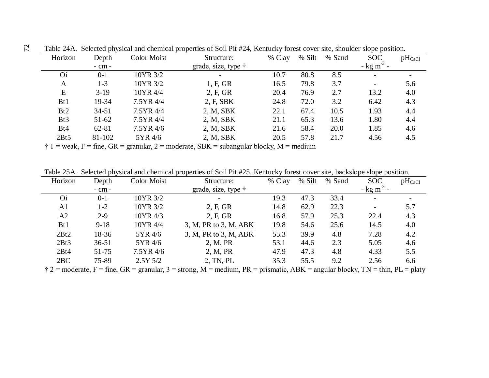| Horizon         | Depth      | Color Moist | Structure:                  | % Clay | % Silt | % Sand | <b>SOC</b>               | $pH_{CaCl}$ |
|-----------------|------------|-------------|-----------------------------|--------|--------|--------|--------------------------|-------------|
|                 | $-$ cm $-$ |             | grade, size, type $\dagger$ |        |        |        | $-$ kg m <sup>-3</sup> - |             |
| <b>Oi</b>       | $0 - 1$    | 10YR 3/2    |                             | 10.7   | 80.8   | 8.5    |                          |             |
| A               | $1 - 3$    | 10YR 3/2    | 1, F, GR                    | 16.5   | 79.8   | 3.7    |                          | 5.6         |
| E               | $3-19$     | 10YR 4/4    | 2, F, GR                    | 20.4   | 76.9   | 2.7    | 13.2                     | 4.0         |
| B <sub>t1</sub> | 19-34      | 7.5YR 4/4   | 2, F, SBK                   | 24.8   | 72.0   | 3.2    | 6.42                     | 4.3         |
| B <sub>t2</sub> | $34 - 51$  | 7.5YR 4/4   | 2, M, SBK                   | 22.1   | 67.4   | 10.5   | 1.93                     | 4.4         |
| Bt3             | $51 - 62$  | 7.5YR 4/4   | 2, M, SBK                   | 21.1   | 65.3   | 13.6   | 1.80                     | 4.4         |
| Bt4             | 62-81      | 7.5YR 4/6   | 2, M, SBK                   | 21.6   | 58.4   | 20.0   | 1.85                     | 4.6         |
| 2Bt5            | 81-102     | 5YR 4/6     | 2, M, SBK                   | 20.5   | 57.8   | 21.7   | 4.56                     | 4.5         |

Table 24A. Selected physical and chemical properties of Soil Pit #24, Kentucky forest cover site, shoulder slope position.

 $\dagger$  1 = weak, F = fine, GR = granular, 2 = moderate, SBK = subangular blocky, M = medium

Table 25A. Selected physical and chemical properties of Soil Pit #25, Kentucky forest cover site, backslope slope position.

| Horizon         | Depth      | Color Moist | Structure:                  | % Clay | % Silt | % Sand | <b>SOC</b>                | $pH_{CaCl}$ |
|-----------------|------------|-------------|-----------------------------|--------|--------|--------|---------------------------|-------------|
|                 | $-$ cm $-$ |             | grade, size, type $\dagger$ |        |        |        | - $kg \, \text{m}^{-3}$ - |             |
| O <sub>i</sub>  | $0 - 1$    | 10YR 3/2    |                             | 19.3   | 47.3   | 33.4   | $\overline{\phantom{0}}$  |             |
| A1              | $1-2$      | 10YR 3/2    | 2, F, GR                    | 14.8   | 62.9   | 22.3   |                           | 5.7         |
| A2              | $2 - 9$    | 10YR 4/3    | 2, F, GR                    | 16.8   | 57.9   | 25.3   | 22.4                      | 4.3         |
| B <sub>t1</sub> | $9 - 18$   | 10YR 4/4    | 3, M, PR to 3, M, ABK       | 19.8   | 54.6   | 25.6   | 14.5                      | 4.0         |
| 2Bt2            | 18-36      | 5YR 4/6     | 3, M, PR to 3, M, ABK       | 55.3   | 39.9   | 4.8    | 7.28                      | 4.2         |
| 2Bt3            | $36 - 51$  | 5YR 4/6     | 2, M, PR                    | 53.1   | 44.6   | 2.3    | 5.05                      | 4.6         |
| 2Bt4            | $51 - 75$  | 7.5YR 4/6   | 2, M, PR                    | 47.9   | 47.3   | 4.8    | 4.33                      | 5.5         |
| 2BC             | 75-89      | $2.5Y\,5/2$ | 2, TN, PL                   | 35.3   | 55.5   | 9.2    | 2.56                      | 6.6         |

 $\dot{\uparrow}$  2 = moderate, F = fine, GR = granular, 3 = strong, M = medium, PR = prismatic, ABK = angular blocky, TN = thin, PL = platy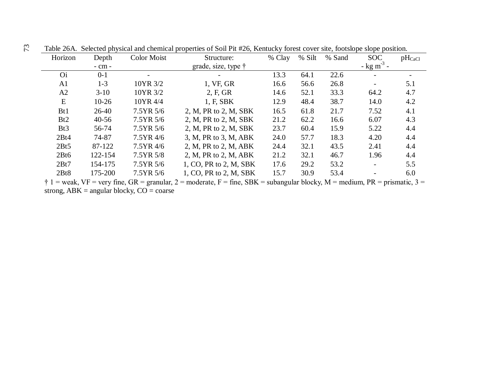| $pH_{CaCl}$ |
|-------------|
|             |
|             |
| 5.1         |
| 4.7         |
| 4.2         |
| 4.1         |
| 4.3         |
| 4.4         |
| 4.4         |
| 4.4         |
| 4.4         |
| 5.5         |
| 6.0         |
|             |

Table 26A. Selected physical and chemical properties of Soil Pit #26, Kentucky forest cover site, footslope slope position.

 $\dagger$  1 = weak, VF = very fine, GR = granular, 2 = moderate, F = fine, SBK = subangular blocky, M = medium, PR = prismatic, 3 = strong,  $ABK = angular blocky$ ,  $CO = coarse$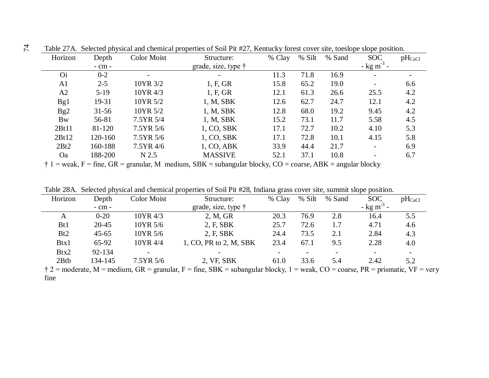| Horizon        | Depth      | <b>Color Moist</b> | Structure:                  | % Clay | % Silt | % Sand | <b>SOC</b>               | $pH_{CaCl}$ |
|----------------|------------|--------------------|-----------------------------|--------|--------|--------|--------------------------|-------------|
|                | $-$ cm $-$ |                    | grade, size, type $\dagger$ |        |        |        | $-$ kg m <sup>-3</sup> - |             |
| <b>Oi</b>      | $0 - 2$    |                    |                             | 11.3   | 71.8   | 16.9   |                          |             |
| A <sub>1</sub> | $2 - 5$    | 10YR 3/2           | 1, F, GR                    | 15.8   | 65.2   | 19.0   |                          | 6.6         |
| A2             | $5-19$     | 10YR 4/3           | 1, F, GR                    | 12.1   | 61.3   | 26.6   | 25.5                     | 4.2         |
| Bg1            | 19-31      | 10YR 5/2           | 1, M, SBK                   | 12.6   | 62.7   | 24.7   | 12.1                     | 4.2         |
| Bg2            | $31 - 56$  | 10YR 5/2           | 1, M, SBK                   | 12.8   | 68.0   | 19.2   | 9.45                     | 4.2         |
| <b>Bw</b>      | 56-81      | 7.5YR 5/4          | 1, M, SBK                   | 15.2   | 73.1   | 11.7   | 5.58                     | 4.5         |
| 2Bt11          | 81-120     | 7.5YR 5/6          | 1, CO, SBK                  | 17.1   | 72.7   | 10.2   | 4.10                     | 5.3         |
| 2Bt12          | 120-160    | 7.5YR 5/6          | 1, CO, SBK                  | 17.1   | 72.8   | 10.1   | 4.15                     | 5.8         |
| 2Bt2           | 160-188    | 7.5YR 4/6          | 1, CO, ABK                  | 33.9   | 44.4   | 21.7   |                          | 6.9         |
| <b>Oa</b>      | 188-200    | N 2.5              | <b>MASSIVE</b>              | 52.1   | 37.1   | 10.8   |                          | 6.7         |

Table 27A. Selected physical and chemical properties of Soil Pit #27, Kentucky forest cover site, toeslope slope position.

 $\dagger$  1 = weak, F = fine, GR = granular, M medium, SBK = subangular blocky, CO = coarse, ABK = angular blocky

Table 28A. Selected physical and chemical properties of Soil Pit #28, Indiana grass cover site, summit slope position.

| Horizon         | Depth      | Color Moist              | Structure:                                                                                                                        | % Clay | % Silt | % Sand | <b>SOC</b>               | $pH_{CaCl}$              |
|-----------------|------------|--------------------------|-----------------------------------------------------------------------------------------------------------------------------------|--------|--------|--------|--------------------------|--------------------------|
|                 | $-$ cm $-$ |                          | grade, size, type $\dagger$                                                                                                       |        |        |        | $-$ kg m <sup>-3</sup> - |                          |
| A               | $0 - 20$   | 10YR 4/3                 | 2, M, GR                                                                                                                          | 20.3   | 76.9   | 2.8    | 16.4                     | 5.5                      |
| B <sub>t1</sub> | $20 - 45$  | 10YR 5/6                 | 2, F, SBK                                                                                                                         | 25.7   | 72.6   | 1.7    | 4.71                     | 4.6                      |
| B <sub>t2</sub> | $45 - 65$  | 10YR 5/6                 | 2, F, SBK                                                                                                                         | 24.4   | 73.5   | 2.1    | 2.84                     | 4.3                      |
| Btx1            | 65-92      | 10YR 4/4                 | 1, CO, PR to 2, M, SBK                                                                                                            | 23.4   | 67.1   | 9.5    | 2.28                     | 4.0                      |
| Btx2            | 92-134     | $\overline{\phantom{a}}$ |                                                                                                                                   |        |        |        |                          | $\overline{\phantom{0}}$ |
| 2Btb            | 134-145    | 7.5YR 5/6                | 2, VF, SBK                                                                                                                        | 61.0   | 33.6   | 5.4    | 2.42                     | 5.2                      |
|                 |            |                          | $\pm$ 2 = moderate M = modum CD = erapy or $E = \text{fino}$ CDV = expansion blocky 1 = week CO = economy DD = prismatic VE = you |        |        |        |                          |                          |

 $\uparrow$  2 = moderate, M = medium, GR = granular, F = fine, SBK = subangular blocky, 1 = weak, CO = coarse, PR = prismatic, VF = very fine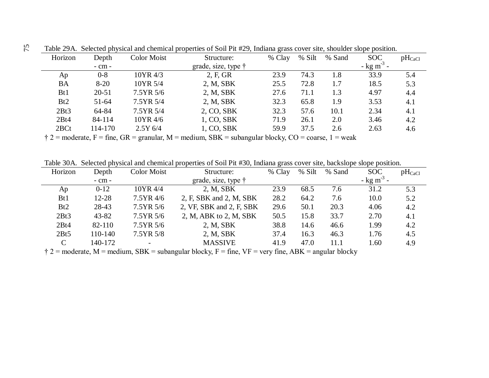| Horizon         | Depth      | <b>Color Moist</b> | Structure:                  | % Clay | % Silt | % Sand | <b>SOC</b>                | $pH_{CaCl}$ |
|-----------------|------------|--------------------|-----------------------------|--------|--------|--------|---------------------------|-------------|
|                 | $-$ cm $-$ |                    | grade, size, type $\dagger$ |        |        |        | - $kg \, \text{m}^{-3}$ - |             |
| Ap              | $0 - 8$    | 10YR 4/3           | 2, F, GR                    | 23.9   | 74.3   | 1.8    | 33.9                      | 5.4         |
| <b>BA</b>       | $8 - 20$   | 10YR 5/4           | 2, M, SBK                   | 25.5   | 72.8   | 1.7    | 18.5                      | 5.3         |
| B <sub>t1</sub> | $20 - 51$  | 7.5YR 5/6          | 2, M, SBK                   | 27.6   | 71.1   | 1.3    | 4.97                      | 4.4         |
| Bt2             | $51 - 64$  | 7.5YR 5/4          | 2, M, SBK                   | 32.3   | 65.8   | 1.9    | 3.53                      | 4.1         |
| 2Bt3            | 64-84      | 7.5YR 5/4          | 2, CO, SBK                  | 32.3   | 57.6   | 10.1   | 2.34                      | 4.1         |
| 2Bt4            | 84-114     | 10YR 4/6           | 1, CO, SBK                  | 71.9   | 26.1   | 2.0    | 3.46                      | 4.2         |
| 2BCt            | 114-170    | $2.5Y\,6/4$        | 1, CO, SBK                  | 59.9   | 37.5   | 2.6    | 2.63                      | 4.6         |

Table 29A. Selected physical and chemical properties of Soil Pit #29, Indiana grass cover site, shoulder slope position.

 $\dot{\uparrow}$  2 = moderate, F = fine, GR = granular, M = medium, SBK = subangular blocky, CO = coarse, 1 = weak

Table 30A. Selected physical and chemical properties of Soil Pit #30, Indiana grass cover site, backslope slope position.

| Horizon         | Depth      | Color Moist | Structure:                  | % Clay | % Silt | % Sand | <b>SOC</b>               | $pH_{CaCl}$ |
|-----------------|------------|-------------|-----------------------------|--------|--------|--------|--------------------------|-------------|
|                 | $-$ cm $-$ |             | grade, size, type $\dagger$ |        |        |        | $-$ kg m <sup>-3</sup> - |             |
| Ap              | $0-12$     | 10YR 4/4    | 2, M, SBK                   | 23.9   | 68.5   | 7.6    | 31.2                     | 5.3         |
| B <sub>t1</sub> | $12 - 28$  | 7.5YR 4/6   | 2, F, SBK and 2, M, SBK     | 28.2   | 64.2   | 7.6    | 10.0                     | 5.2         |
| Bt2             | 28-43      | 7.5YR 5/6   | 2, VF, SBK and 2, F, SBK    | 29.6   | 50.1   | 20.3   | 4.06                     | 4.2         |
| 2Bt3            | $43 - 82$  | 7.5YR 5/6   | 2, M, ABK to 2, M, SBK      | 50.5   | 15.8   | 33.7   | 2.70                     | 4.1         |
| 2Bt4            | 82-110     | 7.5YR 5/6   | 2, M, SBK                   | 38.8   | 14.6   | 46.6   | 1.99                     | 4.2         |
| 2Bt5            | 110-140    | 7.5YR 5/8   | 2, M, SBK                   | 37.4   | 16.3   | 46.3   | 1.76                     | 4.5         |
| $\mathcal{C}$   | 140-172    |             | <b>MASSIVE</b>              | 41.9   | 47.0   | 11.1   | 1.60                     | 4.9         |

 $\dot{\uparrow}$  2 = moderate, M = medium, SBK = subangular blocky, F = fine, VF = very fine, ABK = angular blocky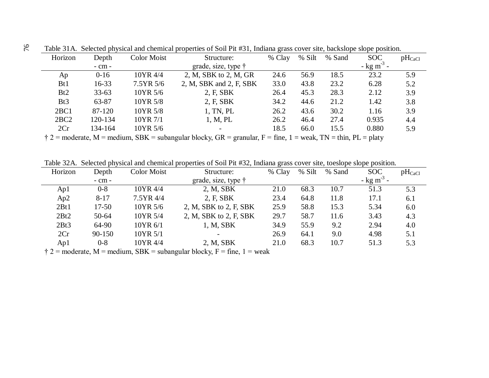| Horizon         | Depth      | Color Moist | Structure:                  | % Clay | % Silt | % Sand | <b>SOC</b>               | $pH_{CaCl}$ |
|-----------------|------------|-------------|-----------------------------|--------|--------|--------|--------------------------|-------------|
|                 | $-$ cm $-$ |             | grade, size, type $\dagger$ |        |        |        | $-$ kg m <sup>-3</sup> - |             |
| Ap              | $0 - 16$   | 10YR 4/4    | 2, M, SBK to 2, M, GR       | 24.6   | 56.9   | 18.5   | 23.2                     | 5.9         |
| B <sub>t1</sub> | $16 - 33$  | 7.5YR 5/6   | 2, M, SBK and 2, F, SBK     | 33.0   | 43.8   | 23.2   | 6.28                     | 5.2         |
| Bt2             | $33 - 63$  | 10YR 5/6    | 2, F, SBK                   | 26.4   | 45.3   | 28.3   | 2.12                     | 3.9         |
| Bt3             | 63-87      | 10YR 5/8    | 2, F, SBK                   | 34.2   | 44.6   | 21.2   | 1.42                     | 3.8         |
| 2BC1            | 87-120     | 10YR 5/8    | 1, TN, PL                   | 26.2   | 43.6   | 30.2   | 1.16                     | 3.9         |
| 2BC2            | 120-134    | 10YR 7/1    | 1, M, PL                    | 26.2   | 46.4   | 27.4   | 0.935                    | 4.4         |
| 2Cr             | 134-164    | 10YR 5/6    |                             | 18.5   | 66.0   | 15.5   | 0.880                    | 5.9         |

Table 31A. Selected physical and chemical properties of Soil Pit #31, Indiana grass cover site, backslope slope position.

 $\dagger$  2 = moderate, M = medium, SBK = subangular blocky, GR = granular, F = fine, 1 = weak, TN = thin, PL = platy

Table 32A. Selected physical and chemical properties of Soil Pit #32, Indiana grass cover site, toeslope slope position.

| Horizon | Depth      | <b>Color Moist</b> | Structure:                                                                                       | % Clay | % Silt | % Sand | <b>SOC</b>               | $pH_{CaCl}$ |
|---------|------------|--------------------|--------------------------------------------------------------------------------------------------|--------|--------|--------|--------------------------|-------------|
|         | $-$ cm $-$ |                    | grade, size, type $\dagger$                                                                      |        |        |        | $-$ kg m <sup>-3</sup> - |             |
| Ap1     | $0 - 8$    | 10YR 4/4           | 2, M, SBK                                                                                        | 21.0   | 68.3   | 10.7   | 51.3                     | 5.3         |
| Ap2     | $8 - 17$   | 7.5YR 4/4          | 2, F, SBK                                                                                        | 23.4   | 64.8   | 11.8   | 17.1                     | 6.1         |
| 2Bt1    | $17 - 50$  | 10YR 5/6           | 2, M, SBK to 2, F, SBK                                                                           | 25.9   | 58.8   | 15.3   | 5.34                     | 6.0         |
| 2Bt2    | 50-64      | 10YR 5/4           | 2, M, SBK to 2, F, SBK                                                                           | 29.7   | 58.7   | 11.6   | 3.43                     | 4.3         |
| 2Bt3    | 64-90      | 10YR 6/1           | 1, M, SBK                                                                                        | 34.9   | 55.9   | 9.2    | 2.94                     | 4.0         |
| 2Cr     | $90 - 150$ | 10YR 5/1           | $\overline{\phantom{a}}$                                                                         | 26.9   | 64.1   | 9.0    | 4.98                     | 5.1         |
| Ap1     | $0 - 8$    | 10YR 4/4           | 2, M, SBK                                                                                        | 21.0   | 68.3   | 10.7   | 51.3                     | 5.3         |
|         |            |                    | $\frac{1}{2}$ 2 = moderate M = modum $\Omega V$ = subpropriate blocky $E = \text{frac} 1$ = week |        |        |        |                          |             |

 $\ddot{\tau}$  2 = moderate, M = medium, SBK = subangular blocky, F = fine, 1 = weak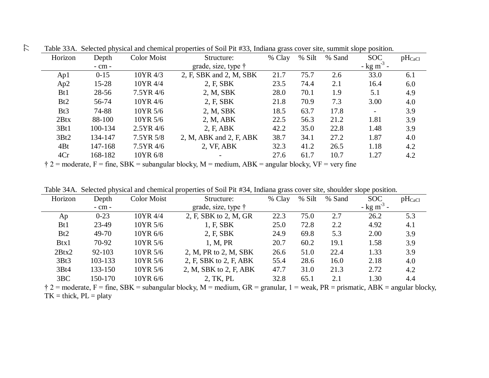|         |            |             |                             | Table 5971. Scheened physical and chemical properties of Soll Fit 1199, mulana grass cover site, summit slope position. |        |        |                          |             |  |
|---------|------------|-------------|-----------------------------|-------------------------------------------------------------------------------------------------------------------------|--------|--------|--------------------------|-------------|--|
| Horizon | Depth      | Color Moist | Structure:                  | % Clay                                                                                                                  | % Silt | % Sand | <b>SOC</b>               | $pH_{CaCl}$ |  |
|         | $-$ cm $-$ |             | grade, size, type $\dagger$ |                                                                                                                         |        |        | $-$ kg m <sup>-3</sup> - |             |  |
| Ap1     | $0 - 15$   | 10YR 4/3    | 2, F, SBK and 2, M, SBK     | 21.7                                                                                                                    | 75.7   | 2.6    | 33.0                     | 6.1         |  |
| Ap2     | $15 - 28$  | 10YR 4/4    | 2, F, SBK                   | 23.5                                                                                                                    | 74.4   | 2.1    | 16.4                     | 6.0         |  |
| Bt1     | $28 - 56$  | 7.5YR 4/6   | 2, M, SBK                   | 28.0                                                                                                                    | 70.1   | 1.9    | 5.1                      | 4.9         |  |
| Bt2     | 56-74      | 10YR 4/6    | 2, F, SBK                   | 21.8                                                                                                                    | 70.9   | 7.3    | 3.00                     | 4.0         |  |
| Bt3     | 74-88      | 10YR 5/6    | 2, M, SBK                   | 18.5                                                                                                                    | 63.7   | 17.8   |                          | 3.9         |  |
| 2Btx    | 88-100     | 10YR 5/6    | 2, M, ABK                   | 22.5                                                                                                                    | 56.3   | 21.2   | 1.81                     | 3.9         |  |
| 3Bt1    | 100-134    | $2.5YR$ 4/6 | 2, F, ABK                   | 42.2                                                                                                                    | 35.0   | 22.8   | 1.48                     | 3.9         |  |
| 3Bt2    | 134-147    | 7.5YR 5/8   | 2, M, ABK and 2, F, ABK     | 38.7                                                                                                                    | 34.1   | 27.2   | 1.87                     | 4.0         |  |
| 4Bt     | 147-168    | 7.5YR 4/6   | 2, VF, ABK                  | 32.3                                                                                                                    | 41.2   | 26.5   | 1.18                     | 4.2         |  |
| 4Cr     | 168-182    | 10YR 6/8    |                             | 27.6                                                                                                                    | 61.7   | 10.7   | 1.27                     | 4.2         |  |
|         |            |             |                             |                                                                                                                         |        |        |                          |             |  |

Table 33A. Selected physical and chemical properties of Soil Pit #33, Indiana grass cover site, summit slope position. 77

 $\dot{\uparrow}$  2 = moderate, F = fine, SBK = subangular blocky, M = medium, ABK = angular blocky, VF = very fine

|  |  | Table 34A. Selected physical and chemical properties of Soil Pit #34, Indiana grass cover site, shoulder slope position. |  |  |
|--|--|--------------------------------------------------------------------------------------------------------------------------|--|--|
|  |  |                                                                                                                          |  |  |

| Horizon         | Depth      | Color Moist | Structure:                                                                                                                               | % Clay | % Silt | % Sand | <b>SOC</b>               | $pH_{CaCl}$ |
|-----------------|------------|-------------|------------------------------------------------------------------------------------------------------------------------------------------|--------|--------|--------|--------------------------|-------------|
|                 | $-$ cm $-$ |             | grade, size, type $\dagger$                                                                                                              |        |        |        | $-$ kg m <sup>-3</sup> - |             |
| Ap              | $0 - 23$   | 10YR 4/4    | 2, F, SBK to 2, M, GR                                                                                                                    | 22.3   | 75.0   | 2.7    | 26.2                     | 5.3         |
| B <sub>t1</sub> | 23-49      | 10YR 5/6    | 1, F, SBK                                                                                                                                | 25.0   | 72.8   | 2.2    | 4.92                     | 4.1         |
| Bt2             | 49-70      | 10YR 6/6    | 2, F, SBK                                                                                                                                | 24.9   | 69.8   | 5.3    | 2.00                     | 3.9         |
| Btx1            | 70-92      | 10YR 5/6    | 1, M, PR                                                                                                                                 | 20.7   | 60.2   | 19.1   | 1.58                     | 3.9         |
| 2Btx2           | $92 - 103$ | 10YR 5/6    | 2, M, PR to 2, M, SBK                                                                                                                    | 26.6   | 51.0   | 22.4   | 1.33                     | 3.9         |
| 3Bt3            | 103-133    | 10YR 5/6    | 2, F, SBK to 2, F, ABK                                                                                                                   | 55.4   | 28.6   | 16.0   | 2.18                     | 4.0         |
| 3Bt4            | 133-150    | 10YR 5/6    | 2, M, SBK to 2, F, ABK                                                                                                                   | 47.7   | 31.0   | 21.3   | 2.72                     | 4.2         |
| 3BC             | 150-170    | 10YR 6/6    | 2, TK, PL                                                                                                                                | 32.8   | 65.1   | 2.1    | 1.30                     | 4.4         |
|                 |            |             | $\dot{\tau}$ 2 = moderate, F = fine, SBK = subangular blocky, M = medium, GR = granular, 1 = weak, PR = prismatic, ABK = angular blocky, |        |        |        |                          |             |

 $TK = thick, PL = platy$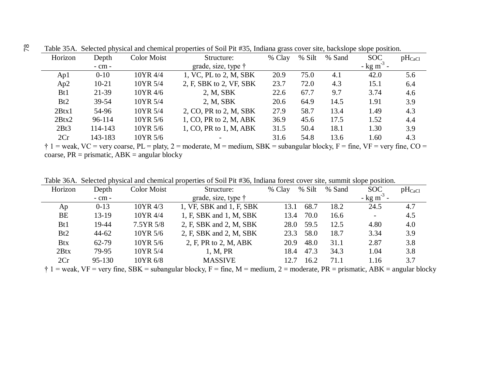| Horizon         | Depth      | Color Moist | Structure:                  | % Clay | % Silt | % Sand | <b>SOC</b>               | $pH_{CaCl}$ |
|-----------------|------------|-------------|-----------------------------|--------|--------|--------|--------------------------|-------------|
|                 | $-$ cm $-$ |             | grade, size, type $\dagger$ |        |        |        | $-$ kg m <sup>-3</sup> - |             |
| Ap1             | $0 - 10$   | 10YR 4/4    | 1, VC, PL to 2, M, SBK      | 20.9   | 75.0   | 4.1    | 42.0                     | 5.6         |
| Ap2             | $10-21$    | 10YR 5/4    | 2, F, SBK to 2, VF, SBK     | 23.7   | 72.0   | 4.3    | 15.1                     | 6.4         |
| B <sub>t1</sub> | 21-39      | 10YR 4/6    | 2, M, SBK                   | 22.6   | 67.7   | 9.7    | 3.74                     | 4.6         |
| Bt2             | $39 - 54$  | 10YR 5/4    | 2, M, SBK                   | 20.6   | 64.9   | 14.5   | 1.91                     | 3.9         |
| 2Btx1           | 54-96      | 10YR 5/4    | 2, CO, PR to 2, M, SBK      | 27.9   | 58.7   | 13.4   | 1.49                     | 4.3         |
| 2Btx2           | 96-114     | 10YR 5/6    | 1, CO, PR to 2, M, ABK      | 36.9   | 45.6   | 17.5   | 1.52                     | 4.4         |
| 2Bt3            | 114-143    | 10YR 5/6    | 1, CO, PR to 1, M, ABK      | 31.5   | 50.4   | 18.1   | 1.30                     | 3.9         |
| 2Cr             | 143-183    | 10YR 5/6    |                             | 31.6   | 54.8   | 13.6   | 1.60                     | 4.3         |

Table 35A. Selected physical and chemical properties of Soil Pit #35, Indiana grass cover site, backslope slope position.

 $\dagger$  1 = weak, VC = very coarse, PL = platy, 2 = moderate, M = medium, SBK = subangular blocky, F = fine, VF = very fine, CO = coarse,  $PR = prismatic$ ,  $ABK = angular blocky$ 

Table 36A. Selected physical and chemical properties of Soil Pit #36, Indiana forest cover site, summit slope position.

| Horizon         | Depth      | <b>Color Moist</b> | Structure:                  | % Clay | % Silt | % Sand | <b>SOC</b>               | $pH_{CaCl}$ |
|-----------------|------------|--------------------|-----------------------------|--------|--------|--------|--------------------------|-------------|
|                 | $-$ cm $-$ |                    | grade, size, type $\dagger$ |        |        |        | $-$ kg m <sup>-3</sup>   |             |
| Ap              | $0-13$     | 10YR 4/3           | 1, VF, SBK and 1, F, SBK    | 13.1   | 68.7   | 18.2   | 24.5                     | 4.7         |
| BE              | 13-19      | 10YR 4/4           | 1, F, SBK and 1, M, SBK     | 13.4   | 70.0   | 16.6   | $\overline{\phantom{a}}$ | 4.5         |
| B <sub>t1</sub> | 19-44      | 7.5YR 5/8          | 2, F, SBK and 2, M, SBK     | 28.0   | 59.5   | 12.5   | 4.80                     | 4.0         |
| Bt2             | $44 - 62$  | 10YR 5/6           | 2, F, SBK and 2, M, SBK     | 23.3   | 58.0   | 18.7   | 3.34                     | 3.9         |
| <b>Btx</b>      | 62-79      | 10YR 5/6           | 2, F, PR to 2, M, ABK       | 20.9   | 48.0   | 31.1   | 2.87                     | 3.8         |
| 2Btx            | 79-95      | 10YR 5/4           | 1, M, PR                    | 18.4   | 47.3   | 34.3   | 1.04                     | 3.8         |
| 2Cr             | 95-130     | 10YR 6/8           | <b>MASSIVE</b>              | 12.7   | 16.2   | 71.1   | 1.16                     | 3.7         |

 $\dagger$  1 = weak, VF = very fine, SBK = subangular blocky, F = fine, M = medium, 2 = moderate, PR = prismatic, ABK = angular blocky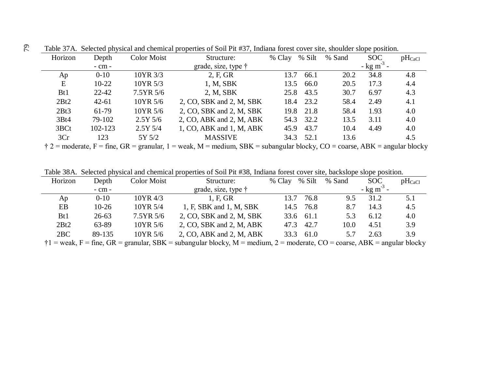| Horizon         | Depth      | <b>Color Moist</b> | Structure:                  | % Clay | % Silt    | % Sand | <b>SOC</b>               | $pH_{CaCl}$ |
|-----------------|------------|--------------------|-----------------------------|--------|-----------|--------|--------------------------|-------------|
|                 | $-$ cm $-$ |                    | grade, size, type $\dagger$ |        |           |        | $-$ kg m <sup>-3</sup> - |             |
| Ap              | $0 - 10$   | 10YR 3/3           | 2, F, GR                    | 13.7   | 66.1      | 20.2   | 34.8                     | 4.8         |
| E               | $10-22$    | 10YR 5/3           | 1, M, SBK                   | 13.5   | 66.0      | 20.5   | 17.3                     | 4.4         |
| B <sub>t1</sub> | $22 - 42$  | 7.5YR 5/6          | 2, M, SBK                   | 25.8   | 43.5      | 30.7   | 6.97                     | 4.3         |
| 2Bt2            | $42 - 61$  | 10YR 5/6           | 2, CO, SBK and 2, M, SBK    |        | 18.4 23.2 | 58.4   | 2.49                     | 4.1         |
| 2Bt3            | 61-79      | 10YR 5/6           | 2, CO, SBK and 2, M, SBK    | 19.8   | 21.8      | 58.4   | 1.93                     | 4.0         |
| 3Bt4            | 79-102     | $2.5Y\,5/6$        | 2, CO, ABK and 2, M, ABK    |        | 54.3 32.2 | 13.5   | 3.11                     | 4.0         |
| 3BCt            | 102-123    | $2.5Y\,5/4$        | 1, CO, ABK and 1, M, ABK    | 45.9   | 43.7      | 10.4   | 4.49                     | 4.0         |
| 3Cr             | 123        | 5Y 5/2             | <b>MASSIVE</b>              | 34.3   | 52.1      | 13.6   |                          | 4.5         |

Table 37A. Selected physical and chemical properties of Soil Pit #37, Indiana forest cover site, shoulder slope position. 79

 $\dot{\uparrow}$  2 = moderate, F = fine, GR = granular, 1 = weak, M = medium, SBK = subangular blocky, CO = coarse, ABK = angular blocky

Table 38A. Selected physical and chemical properties of Soil Pit #38, Indiana forest cover site, backslope slope position.

| Horizon                        | Depth                | Color Moist  | Structure:                                                                                                                                                                                                                                                                                       | % Silt<br>% Clay     | % Sand | <b>SOC</b>               | $pH_{CaCl}$ |
|--------------------------------|----------------------|--------------|--------------------------------------------------------------------------------------------------------------------------------------------------------------------------------------------------------------------------------------------------------------------------------------------------|----------------------|--------|--------------------------|-------------|
|                                | $-$ cm $-$           |              | grade, size, type $\dagger$                                                                                                                                                                                                                                                                      |                      |        | $-$ kg m <sup>-3</sup> - |             |
| Ap                             | $0 - 10$             | 10YR 4/3     | 1, F, GR                                                                                                                                                                                                                                                                                         | 13.7<br>76.8         | 9.5    | 31.2                     | 5.1         |
| EB                             | $10-26$              | 10YR 5/4     | 1, F, SBK and 1, M, SBK                                                                                                                                                                                                                                                                          | 14.5 76.8            | 8.7    | 14.3                     | 4.5         |
| Bt1                            | $26 - 63$            | $7.5YR\,5/6$ | 2, CO, SBK and 2, M, SBK                                                                                                                                                                                                                                                                         | 33.6 61.1            | 5.3    | 6.12                     | 4.0         |
| 2Bt2                           | 63-89                | 10YR 5/6     | 2, CO, SBK and 2, M, ABK                                                                                                                                                                                                                                                                         | 47.3 42.7            | 10.0   | 4.51                     | 3.9         |
| 2BC                            | 89-135               | 10YR 5/6     | 2, CO, ABK and 2, M, ABK                                                                                                                                                                                                                                                                         | 33.3<br>61.0         | 5.7    | 2.63                     | 3.9         |
| $\blacksquare$<br>$\mathbf{r}$ | $\sim$ $\sim$ $\sim$ | 1.77         | $\mathbf{1}$ and $\mathbf{1}$ and $\mathbf{1}$ and $\mathbf{1}$ and $\mathbf{1}$ and $\mathbf{1}$ and $\mathbf{1}$ and $\mathbf{1}$ and $\mathbf{1}$ and $\mathbf{1}$ and $\mathbf{1}$ and $\mathbf{1}$ and $\mathbf{1}$ and $\mathbf{1}$ and $\mathbf{1}$ and $\mathbf{1}$ and $\mathbf{1}$ and | $\sim$ $\sim$ $\sim$ |        | $\sqrt{N}$               | 1111        |

 $\dagger$ 1 = weak, F = fine, GR = granular, SBK = subangular blocky, M = medium, 2 = moderate, CO = coarse, ABK = angular blocky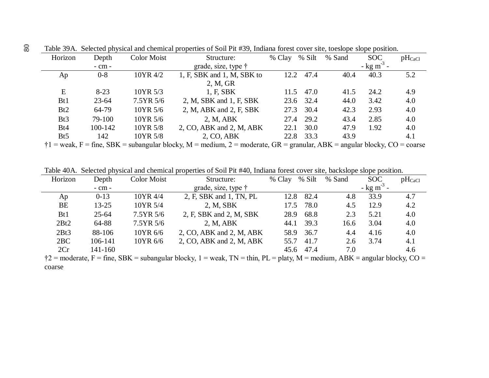| Horizon         | Depth      | <b>Color Moist</b> | Structure:                   | % Silt<br>% Clay | % Sand | <b>SOC</b>               | $pH_{CaCl}$ |
|-----------------|------------|--------------------|------------------------------|------------------|--------|--------------------------|-------------|
|                 | $-$ cm $-$ |                    | grade, size, type $\dagger$  |                  |        | $-$ kg m <sup>-3</sup> - |             |
| Ap              | $0 - 8$    | 10YR 4/2           | 1, F, SBK and 1, M, SBK to   | 47.4<br>12.2     | 40.4   | 40.3                     | 5.2         |
|                 |            |                    | 2, M, GR                     |                  |        |                          |             |
| E               | $8 - 23$   | 10YR 5/3           | 1, F, SBK                    | 47.0<br>11.5     | 41.5   | 24.2                     | 4.9         |
| B <sub>t1</sub> | $23 - 64$  | 7.5YR 5/6          | 2, M, SBK and 1, F, SBK      | 32.4<br>23.6     | 44.0   | 3.42                     | 4.0         |
| Bt2             | 64-79      | 10YR 5/6           | 2, M, ABK and 2, F, SBK      | 30.4<br>27.3     | 42.3   | 2.93                     | 4.0         |
| Bt3             | 79-100     | 10YR 5/6           | 2, M, ABK                    | 29.2<br>27.4     | 43.4   | 2.85                     | 4.0         |
| B <sub>t4</sub> | 100-142    | 10YR 5/8           | $2, CO, ABK$ and $2, M, ABK$ | 30.0<br>22.1     | 47.9   | 1.92                     | 4.0         |
| Bt <sub>5</sub> | 142        | 10YR 5/8           | 2, CO, ABK                   | 33.3<br>22.8     | 43.9   |                          | 4.1         |

Table 39A. Selected physical and chemical properties of Soil Pit #39, Indiana forest cover site, toeslope slope position.

 $\dagger$ 1 = weak, F = fine, SBK = subangular blocky, M = medium, 2 = moderate, GR = granular, ABK = angular blocky, CO = coarse

Table 40A. Selected physical and chemical properties of Soil Pit #40, Indiana forest cover site, backslope slope position.

| Horizon         | Depth      | <b>Color Moist</b>          | Structure:                  | % Clay    | % Silt | % Sand | <b>SOC</b>               | $pH_{CaCl}$ |
|-----------------|------------|-----------------------------|-----------------------------|-----------|--------|--------|--------------------------|-------------|
|                 | $-$ cm $-$ |                             | grade, size, type $\dagger$ |           |        |        | $-$ kg m <sup>-3</sup> - |             |
| Ap              | $0-13$     | 10YR 4/4                    | 2, F, SBK and 1, TN, PL     | 12.8      | 82.4   | 4.8    | 33.9                     | 4.7         |
| BE              | $13 - 25$  | 10YR 5/4                    | 2, M, SBK                   | 17.5      | 78.0   | 4.5    | 12.9                     | 4.2         |
| B <sub>t1</sub> | $25 - 64$  | 7.5YR 5/6                   | 2, F, SBK and 2, M, SBK     | 28.9      | 68.8   | 2.3    | 5.21                     | 4.0         |
| 2Bt2            | 64-88      | 7.5YR 5/6                   | 2, M, ABK                   | 44.1      | 39.3   | 16.6   | 3.04                     | 4.0         |
| 2Bt3            | 88-106     | 10YR 6/6                    | 2, CO, ABK and 2, M, ABK    | 58.9      | 36.7   | 4.4    | 4.16                     | 4.0         |
| 2BC             | 106-141    | 10YR 6/6                    | 2, CO, ABK and 2, M, ABK    | 55.7      | 41.7   | 2.6    | 3.74                     | 4.1         |
| 2Cr             | 141-160    |                             |                             | 45.6 47.4 |        | 7.0    |                          | 4.6         |
|                 |            | $\sim$ $\sim$ $\sim$ $\sim$ | $\sim$ $\sim$ $\sim$        |           |        |        |                          |             |

 $\dagger$ 2 = moderate, F = fine, SBK = subangular blocky, 1 = weak, TN = thin, PL = platy, M = medium, ABK = angular blocky, CO = coarse